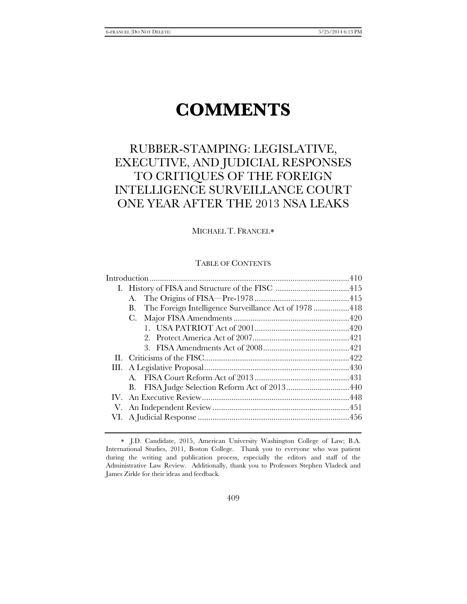# **COMMENTS**

# RUBBER-STAMPING: LEGISLATIVE, EXECUTIVE, AND JUDICIAL RESPONSES TO CRITIQUES OF THE FOREIGN INTELLIGENCE SURVEILLANCE COURT ONE YEAR AFTER THE 2013 NSA LEAKS

MICHAEL T. FRANCEL[∗](#page-0-0)

# TABLE OF CONTENTS

| The Foreign Intelligence Surveillance Act of 1978 418<br>B. |  |
|-------------------------------------------------------------|--|
|                                                             |  |
|                                                             |  |
|                                                             |  |
|                                                             |  |
|                                                             |  |
|                                                             |  |
|                                                             |  |
|                                                             |  |
|                                                             |  |
|                                                             |  |
|                                                             |  |
|                                                             |  |

<span id="page-0-0"></span><sup>∗</sup> J.D. Candidate, 2015, American University Washington College of Law; B.A. International Studies, 2011, Boston College. Thank you to everyone who was patient during the writing and publication process, especially the editors and staff of the Administrative Law Review. Additionally, thank you to Professors Stephen Vladeck and James Zirkle for their ideas and feedback.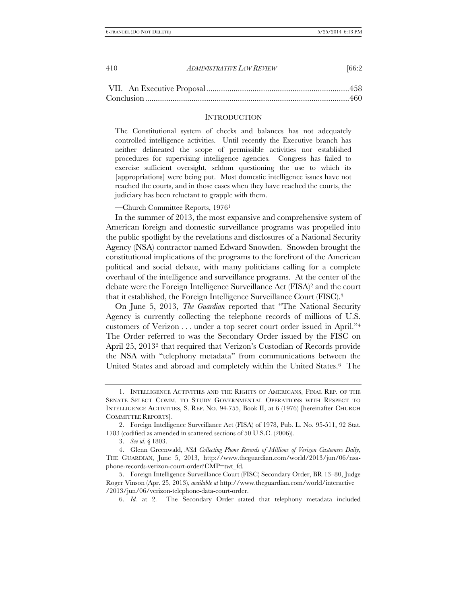#### **INTRODUCTION**

The Constitutional system of checks and balances has not adequately controlled intelligence activities. Until recently the Executive branch has neither delineated the scope of permissible activities nor established procedures for supervising intelligence agencies. Congress has failed to exercise sufficient oversight, seldom questioning the use to which its [appropriations] were being put. Most domestic intelligence issues have not reached the courts, and in those cases when they have reached the courts, the judiciary has been reluctant to grapple with them.

—Church Committee Reports, 1976[1](#page-1-0)

In the summer of 2013, the most expansive and comprehensive system of American foreign and domestic surveillance programs was propelled into the public spotlight by the revelations and disclosures of a National Security Agency (NSA) contractor named Edward Snowden. Snowden brought the constitutional implications of the programs to the forefront of the American political and social debate, with many politicians calling for a complete overhaul of the intelligence and surveillance programs. At the center of the debate were the Foreign Intelligence Surveillance Act (FISA)[2](#page-1-1) and the court that it established, the Foreign Intelligence Surveillance Court (FISC).[3](#page-1-2)

On June 5, 2013, *The Guardian* reported that "The National Security Agency is currently collecting the telephone records of millions of U.S. customers of Verizon . . . under a top secret court order issued in April.["4](#page-1-3)  The Order referred to was the Secondary Order issued by the FISC on April 2[5](#page-1-4), 2013<sup>5</sup> that required that Verizon's Custodian of Records provide the NSA with "telephony metadata" from communications between the United States and abroad and completely within the United States.[6](#page-1-5) The

<span id="page-1-0"></span><sup>1.</sup> INTELLIGENCE ACTIVITIES AND THE RIGHTS OF AMERICANS, FINAL REP. OF THE SENATE SELECT COMM. TO STUDY GOVERNMENTAL OPERATIONS WITH RESPECT TO INTELLIGENCE ACTIVITIES, S. REP. NO. 94-755, Book II, at 6 (1976) [hereinafter CHURCH COMMITTEE REPORTS].

<span id="page-1-1"></span><sup>2.</sup> Foreign Intelligence Surveillance Act (FISA) of 1978, Pub. L. No. 95-511, 92 Stat. 1783 (codified as amended in scattered sections of 50 U.S.C. (2006)).

<sup>3.</sup> *See id.* § 1803.

<span id="page-1-3"></span><span id="page-1-2"></span><sup>4.</sup> Glenn Greenwald, *NSA Collecting Phone Records of Millions of Verizon Customers Daily*, THE GUARDIAN, June 5, 2013, http://www.theguardian.com/world/2013/jun/06/nsaphone-records-verizon-court-order?CMP=twt\_fd.

<span id="page-1-5"></span><span id="page-1-4"></span><sup>5.</sup> Foreign Intelligence Surveillance Court (FISC) Secondary Order, BR 13–80, Judge Roger Vinson (Apr. 25, 2013), *available at* http://www.theguardian.com/world/interactive /2013/jun/06/verizon-telephone-data-court-order.

<sup>6.</sup> *Id.* at 2. The Secondary Order stated that telephony metadata included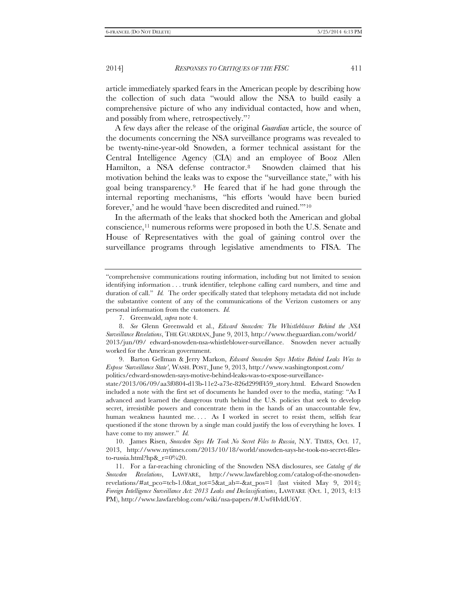article immediately sparked fears in the American people by describing how the collection of such data "would allow the NSA to build easily a comprehensive picture of who any individual contacted, how and when, and possibly from where, retrospectively."[7](#page-2-0)

A few days after the release of the original *Guardian* article, the source of the documents concerning the NSA surveillance programs was revealed to be twenty-nine-year-old Snowden, a former technical assistant for the Central Intelligence Agency (CIA) and an employee of Booz Allen Hamilton, a NSA defense contractor.<sup>[8](#page-2-1)</sup> Snowden claimed that his motivation behind the leaks was to expose the "surveillance state," with his goal being transparency.[9](#page-2-2) He feared that if he had gone through the internal reporting mechanisms, "his efforts 'would have been buried forever,' and he would 'have been discredited and ruined.'"[10](#page-2-3)

In the aftermath of the leaks that shocked both the American and global conscience[,11](#page-2-4) numerous reforms were proposed in both the U.S. Senate and House of Representatives with the goal of gaining control over the surveillance programs through legislative amendments to FISA. The

<sup>&</sup>quot;comprehensive communications routing information, including but not limited to session identifying information . . . trunk identifier, telephone calling card numbers, and time and duration of call." *Id.* The order specifically stated that telephony metadata did not include the substantive content of any of the communications of the Verizon customers or any personal information from the customers. *Id.*

<sup>7.</sup> Greenwald, *supra* note 4.

<span id="page-2-1"></span><span id="page-2-0"></span><sup>8.</sup> *See* Glenn Greenwald et al., *Edward Snowden: The Whistleblower Behind the NSA Surveillance Revelations*, THE GUARDIAN, June 9, 2013, http://www.theguardian.com/world/ 2013/jun/09/ edward-snowden-nsa-whistleblower-surveillance. Snowden never actually worked for the American government.

<span id="page-2-2"></span><sup>9.</sup> Barton Gellman & Jerry Markon, *Edward Snowden Says Motive Behind Leaks Was to Expose 'Surveillance State'*, WASH. POST, June 9, 2013, http://www.washingtonpost.com/ politics/edward-snowden-says-motive-behind-leaks-was-to-expose-surveillance-

state/2013/06/09/aa3f0804-d13b-11e2-a73e-826d299ff459\_story.html. Edward Snowden included a note with the first set of documents he handed over to the media, stating: "As I advanced and learned the dangerous truth behind the U.S. policies that seek to develop secret, irresistible powers and concentrate them in the hands of an unaccountable few, human weakness haunted me.... As I worked in secret to resist them, selfish fear questioned if the stone thrown by a single man could justify the loss of everything he loves. I have come to my answer." *Id.*

<span id="page-2-3"></span><sup>10.</sup> James Risen, *Snowden Says He Took No Secret Files to Russia*, N.Y. TIMES, Oct. 17, 2013, http://www.nytimes.com/2013/10/18/world/snowden-says-he-took-no-secret-filesto-russia.html?hp&\_r=0%20.

<span id="page-2-4"></span><sup>11.</sup> For a far-reaching chronicling of the Snowden NSA disclosures, see *Catalog of the Snowden Revelations*, LAWFARE, http://www.lawfareblog.com/catalog-of-the-snowdenrevelations/#at\_pco=tcb-1.0&at\_tot=5&at\_ab=-&at\_pos=1 (last visited May 9, 2014); *Foreign Intelligence Surveillance Act: 2013 Leaks and Declassifications*, LAWFARE (Oct. 1, 2013, 4:13 PM), http://www.lawfareblog.com/wiki/nsa-papers/#.Uwf4IvldU6Y.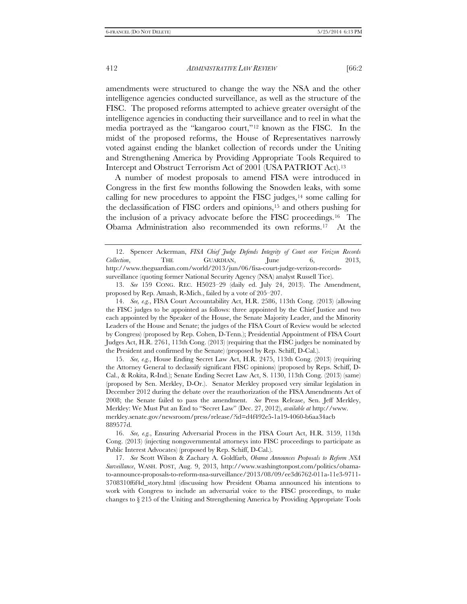amendments were structured to change the way the NSA and the other intelligence agencies conducted surveillance, as well as the structure of the FISC. The proposed reforms attempted to achieve greater oversight of the intelligence agencies in conducting their surveillance and to reel in what the media portrayed as the "kangaroo court,"[12](#page-3-0) known as the FISC. In the midst of the proposed reforms, the House of Representatives narrowly voted against ending the blanket collection of records under the Uniting and Strengthening America by Providing Appropriate Tools Required to Intercept and Obstruct Terrorism Act of 2001 (USA PATRIOT Act).[13](#page-3-1)

A number of modest proposals to amend FISA were introduced in Congress in the first few months following the Snowden leaks, with some calling for new procedures to appoint the FISC judges, $14$  some calling for the declassification of FISC orders and opinions,[15](#page-3-3) and others pushing for the inclusion of a privacy advocate before the FISC proceedings.[16](#page-3-4) The Obama Administration also recommended its own reforms.[17](#page-3-5) At the

<span id="page-3-2"></span>14. *See, e.g.*, FISA Court Accountability Act, H.R. 2586, 113th Cong. (2013) (allowing the FISC judges to be appointed as follows: three appointed by the Chief Justice and two each appointed by the Speaker of the House, the Senate Majority Leader, and the Minority Leaders of the House and Senate; the judges of the FISA Court of Review would be selected by Congress) (proposed by Rep. Cohen, D-Tenn.); Presidential Appointment of FISA Court Judges Act, H.R. 2761, 113th Cong. (2013) (requiring that the FISC judges be nominated by the President and confirmed by the Senate) (proposed by Rep. Schiff, D-Cal.).

<span id="page-3-3"></span>15. *See, e.g.*, House Ending Secret Law Act, H.R. 2475, 113th Cong. (2013) (requiring the Attorney General to declassify significant FISC opinions) (proposed by Reps. Schiff, D-Cal., & Rokita, R-Ind.); Senate Ending Secret Law Act, S. 1130, 113th Cong. (2013) (same) (proposed by Sen. Merkley, D-Or.). Senator Merkley proposed very similar legislation in December 2012 during the debate over the reauthorization of the FISA Amendments Act of 2008; the Senate failed to pass the amendment. *See* Press Release, Sen. Jeff Merkley, Merkley: We Must Put an End to "Secret Law" (Dec. 27, 2012), *available at* http://www. merkley.senate.gov/newsroom/press/release/?id=d4f492e5-1a19-4060-b6aa34acb 889577d.

<span id="page-3-0"></span><sup>12.</sup> Spencer Ackerman, *FISA Chief Judge Defends Integrity of Court over Verizon Records Collection*, THE GUARDIAN, June 6, 2013, http://www.theguardian.com/world/2013/jun/06/fisa-court-judge-verizon-recordssurveillance (quoting former National Security Agency (NSA) analyst Russell Tice).

<span id="page-3-1"></span><sup>13.</sup> *See* 159 CONG. REC. H5023–29 (daily ed. July 24, 2013). The Amendment, proposed by Rep. Amash, R-Mich., failed by a vote of 205–207.

<span id="page-3-4"></span><sup>16.</sup> *See, e.g.*, Ensuring Adversarial Process in the FISA Court Act, H.R. 3159, 113th Cong. (2013) (injecting nongovernmental attorneys into FISC proceedings to participate as Public Interest Advocates) (proposed by Rep. Schiff, D-Cal.).

<span id="page-3-5"></span><sup>17.</sup> *See* Scott Wilson & Zachary A. Goldfarb, *Obama Announces Proposals to Reform NSA Surveillance*, WASH. POST, Aug. 9, 2013, http://www.washingtonpost.com/politics/obamato-announce-proposals-to-reform-nsa-surveillance/2013/08/09/ee3d6762-011a-11e3-9711- 3708310f6f4d\_story.html (discussing how President Obama announced his intentions to work with Congress to include an adversarial voice to the FISC proceedings, to make changes to § 215 of the Uniting and Strengthening America by Providing Appropriate Tools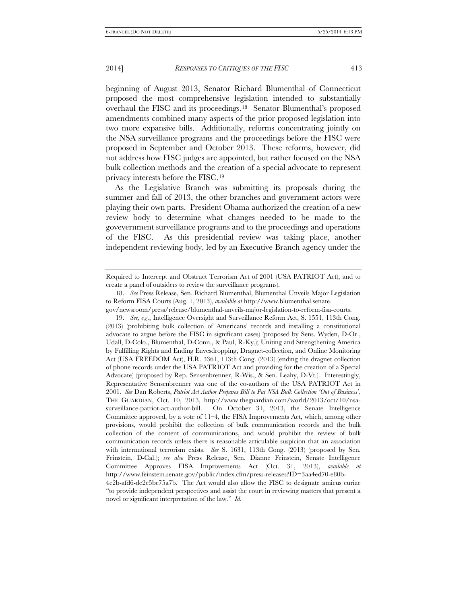beginning of August 2013, Senator Richard Blumenthal of Connecticut proposed the most comprehensive legislation intended to substantially overhaul the FISC and its proceedings.[18](#page-4-0) Senator Blumenthal's proposed amendments combined many aspects of the prior proposed legislation into two more expansive bills. Additionally, reforms concentrating jointly on the NSA surveillance programs and the proceedings before the FISC were proposed in September and October 2013. These reforms, however, did not address how FISC judges are appointed, but rather focused on the NSA bulk collection methods and the creation of a special advocate to represent privacy interests before the FISC.[19](#page-4-1)

As the Legislative Branch was submitting its proposals during the summer and fall of 2013, the other branches and government actors were playing their own parts. President Obama authorized the creation of a new review body to determine what changes needed to be made to the govevernment surveillance programs and to the proceedings and operations of the FISC. As this presidential review was taking place, another independent reviewing body, led by an Executive Branch agency under the

Required to Intercept and Obstruct Terrorism Act of 2001 (USA PATRIOT Act), and to create a panel of outsiders to review the surveillance programs).

<span id="page-4-0"></span><sup>18.</sup> *See* Press Release, Sen. Richard Blumenthal, Blumenthal Unveils Major Legislation to Reform FISA Courts (Aug. 1, 2013), *available at* http://www.blumenthal.senate.

<span id="page-4-1"></span>gov/newsroom/press/release/blumenthal-unveils-major-legislation-to-reform-fisa-courts. 19. *See, e.g.*, Intelligence Oversight and Surveillance Reform Act, S. 1551, 113th Cong. (2013) (prohibiting bulk collection of Americans' records and installing a constitutional advocate to argue before the FISC in significant cases) (proposed by Sens. Wyden, D-Or., Udall, D-Colo., Blumenthal, D-Conn., & Paul, R-Ky.); Uniting and Strengthening America by Fulfilling Rights and Ending Eavesdropping, Dragnet-collection, and Online Monitoring Act (USA FREEDOM Act), H.R. 3361, 113th Cong. (2013) (ending the dragnet collection of phone records under the USA PATRIOT Act and providing for the creation of a Special Advocate) (proposed by Rep. Sensenbrenner, R-Wis., & Sen. Leahy, D-Vt.). Interestingly, Representative Sensenbrenner was one of the co-authors of the USA PATRIOT Act in 2001. *See* Dan Roberts, *Patriot Act Author Prepares Bill to Put NSA Bulk Collection 'Out of Business'*, THE GUARDIAN, Oct. 10, 2013, http://www.theguardian.com/world/2013/oct/10/nsasurveillance-patriot-act-author-bill. On October 31, 2013, the Senate Intelligence Committee approved, by a vote of 11–4, the FISA Improvements Act, which, among other provisions, would prohibit the collection of bulk communication records and the bulk collection of the content of communications, and would prohibit the review of bulk communication records unless there is reasonable articulable suspicion that an association with international terrorism exists. *See* S. 1631, 113th Cong. (2013) (proposed by Sen. Feinstein, D-Cal.); *see also* Press Release, Sen. Dianne Feinstein, Senate Intelligence Committee Approves FISA Improvements Act (Oct. 31, 2013), *available at*  http://www.feinstein.senate.gov/public/index.cfm/press-releases?ID=3aa4ed70-e80b-4c2b-afd6-dc2e5bc75a7b. The Act would also allow the FISC to designate amicus curiae

<sup>&</sup>quot;to provide independent perspectives and assist the court in reviewing matters that present a novel or significant interpretation of the law." *Id.*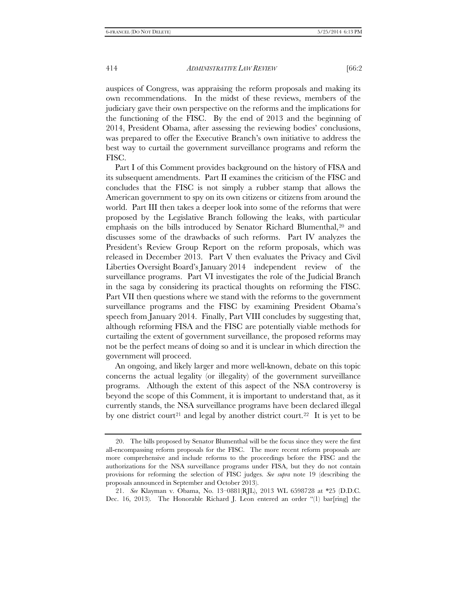auspices of Congress, was appraising the reform proposals and making its own recommendations. In the midst of these reviews, members of the judiciary gave their own perspective on the reforms and the implications for the functioning of the FISC. By the end of 2013 and the beginning of 2014, President Obama, after assessing the reviewing bodies' conclusions, was prepared to offer the Executive Branch's own initiative to address the best way to curtail the government surveillance programs and reform the FISC.

Part I of this Comment provides background on the history of FISA and its subsequent amendments. Part II examines the criticism of the FISC and concludes that the FISC is not simply a rubber stamp that allows the American government to spy on its own citizens or citizens from around the world. Part III then takes a deeper look into some of the reforms that were proposed by the Legislative Branch following the leaks, with particular emphasis on the bills introduced by Senator Richard Blumenthal[,20](#page-5-0) and discusses some of the drawbacks of such reforms. Part IV analyzes the President's Review Group Report on the reform proposals, which was released in December 2013. Part V then evaluates the Privacy and Civil Liberties Oversight Board's January 2014 independent review of the surveillance programs. Part VI investigates the role of the Judicial Branch in the saga by considering its practical thoughts on reforming the FISC. Part VII then questions where we stand with the reforms to the government surveillance programs and the FISC by examining President Obama's speech from January 2014. Finally, Part VIII concludes by suggesting that, although reforming FISA and the FISC are potentially viable methods for curtailing the extent of government surveillance, the proposed reforms may not be the perfect means of doing so and it is unclear in which direction the government will proceed.

<span id="page-5-2"></span>An ongoing, and likely larger and more well-known, debate on this topic concerns the actual legality (or illegality) of the government surveillance programs. Although the extent of this aspect of the NSA controversy is beyond the scope of this Comment, it is important to understand that, as it currently stands, the NSA surveillance programs have been declared illegal by one district court<sup>[21](#page-5-1)</sup> and legal by another district court.<sup>[22](#page-5-2)</sup> It is yet to be

<span id="page-5-0"></span><sup>20.</sup> The bills proposed by Senator Blumenthal will be the focus since they were the first all-encompassing reform proposals for the FISC. The more recent reform proposals are more comprehensive and include reforms to the proceedings before the FISC and the authorizations for the NSA surveillance programs under FISA, but they do not contain provisions for reforming the selection of FISC judges. *See supra* note 19 (describing the proposals announced in September and October 2013).

<span id="page-5-1"></span><sup>21.</sup> *See* Klayman v. Obama, No. 13–0881(RJL), 2013 WL 6598728 at \*25 (D.D.C. Dec. 16, 2013). The Honorable Richard J. Leon entered an order "(1) bar[ring] the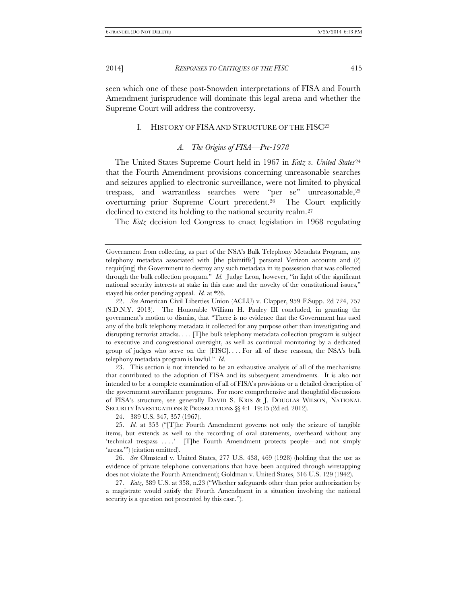seen which one of these post-Snowden interpretations of FISA and Fourth Amendment jurisprudence will dominate this legal arena and whether the Supreme Court will address the controversy.

# I. HISTORY OF FISA AND STRUCTURE OF THE FIS[C23](#page-6-0)

### *A. The Origins of FISA—Pre-1978*

The United States Supreme Court held in 1967 in *Katz v. United States*[24](#page-6-1) that the Fourth Amendment provisions concerning unreasonable searches and seizures applied to electronic surveillance, were not limited to physical trespass, and warrantless searches were "per se" unreasonable,[25](#page-6-2) overturning prior Supreme Court precedent.[26](#page-6-3) The Court explicitly declined to extend its holding to the national security realm.[27](#page-6-4)

The *Katz* decision led Congress to enact legislation in 1968 regulating

<span id="page-6-0"></span>23. This section is not intended to be an exhaustive analysis of all of the mechanisms that contributed to the adoption of FISA and its subsequent amendments. It is also not intended to be a complete examination of all of FISA's provisions or a detailed description of the government surveillance programs. For more comprehensive and thoughtful discussions of FISA's structure, see generally DAVID S. KRIS & J. DOUGLAS WILSON, NATIONAL SECURITY INVESTIGATIONS & PROSECUTIONS §§ 4:1–19:15 (2d ed. 2012).

24. 389 U.S. 347, 357 (1967).

<span id="page-6-3"></span>26. *See* Olmstead v. United States, 277 U.S. 438, 469 (1928) (holding that the use as evidence of private telephone conversations that have been acquired through wiretapping does not violate the Fourth Amendment); Goldman v. United States, 316 U.S. 129 (1942).

Government from collecting, as part of the NSA's Bulk Telephony Metadata Program, any telephony metadata associated with [the plaintiffs'] personal Verizon accounts and (2) requir[ing] the Government to destroy any such metadata in its possession that was collected through the bulk collection program." *Id*. Judge Leon, however, "in light of the significant national security interests at stake in this case and the novelty of the constitutional issues," stayed his order pending appeal. *Id.* at \*26.

<sup>22.</sup> *See* American Civil Liberties Union (ACLU) v. Clapper, 959 F.Supp. 2d 724, 757 (S.D.N.Y. 2013). The Honorable William H. Pauley III concluded, in granting the government's motion to dismiss, that "There is no evidence that the Government has used any of the bulk telephony metadata it collected for any purpose other than investigating and disrupting terrorist attacks. . . . [T]he bulk telephony metadata collection program is subject to executive and congressional oversight, as well as continual monitoring by a dedicated group of judges who serve on the [FISC]. . . . For all of these reasons, the NSA's bulk telephony metadata program is lawful." *Id*.

<span id="page-6-2"></span><span id="page-6-1"></span><sup>25.</sup> *Id.* at 353 ("[T]he Fourth Amendment governs not only the seizure of tangible items, but extends as well to the recording of oral statements, overheard without any 'technical trespass . . . .' [T]he Fourth Amendment protects people—and not simply 'areas.'") (citation omitted).

<span id="page-6-4"></span><sup>27.</sup> *Katz*, 389 U.S. at 358, n.23 ("Whether safeguards other than prior authorization by a magistrate would satisfy the Fourth Amendment in a situation involving the national security is a question not presented by this case.").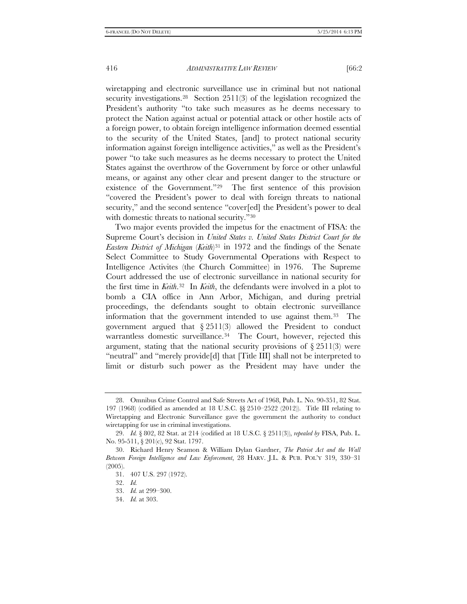wiretapping and electronic surveillance use in criminal but not national security investigations.<sup>[28](#page-7-0)</sup> Section 2511(3) of the legislation recognized the President's authority "to take such measures as he deems necessary to protect the Nation against actual or potential attack or other hostile acts of a foreign power, to obtain foreign intelligence information deemed essential to the security of the United States, [and] to protect national security information against foreign intelligence activities," as well as the President's power "to take such measures as he deems necessary to protect the United States against the overthrow of the Government by force or other unlawful means, or against any other clear and present danger to the structure or existence of the Government."[29](#page-7-1) The first sentence of this provision "covered the President's power to deal with foreign threats to national security," and the second sentence "cover[ed] the President's power to deal with domestic threats to national security."<sup>[30](#page-7-2)</sup>

Two major events provided the impetus for the enactment of FISA: the Supreme Court's decision in *United States v. United States District Court for the Eastern District of Michigan* (*Keith*)[31](#page-7-3) in 1972 and the findings of the Senate Select Committee to Study Governmental Operations with Respect to Intelligence Activites (the Church Committee) in 1976. The Supreme Court addressed the use of electronic surveillance in national security for the first time in *Keith*.[32](#page-7-4) In *Keith*, the defendants were involved in a plot to bomb a CIA office in Ann Arbor, Michigan, and during pretrial proceedings, the defendants sought to obtain electronic surveillance information that the government intended to use against them.[33](#page-7-5) The government argued that § 2511(3) allowed the President to conduct warrantless domestic surveillance.<sup>[34](#page-7-6)</sup> The Court, however, rejected this argument, stating that the national security provisions of  $\S 2511(3)$  were "neutral" and "merely provide[d] that [Title III] shall not be interpreted to limit or disturb such power as the President may have under the

<span id="page-7-0"></span><sup>28.</sup> Omnibus Crime Control and Safe Streets Act of 1968, Pub. L. No. 90-351, 82 Stat. 197 (1968) (codified as amended at 18 U.S.C. §§ 2510–2522 (2012)). Title III relating to Wiretapping and Electronic Surveillance gave the government the authority to conduct wiretapping for use in criminal investigations.

<span id="page-7-1"></span><sup>29.</sup> *Id.* § 802, 82 Stat. at 214 (codified at 18 U.S.C. § 2511(3)), *repealed by* FISA, Pub. L. No. 95-511, § 201(c), 92 Stat. 1797.

<span id="page-7-5"></span><span id="page-7-4"></span><span id="page-7-3"></span><span id="page-7-2"></span><sup>30.</sup> Richard Henry Seamon & William Dylan Gardner, *The Patriot Act and the Wall Between Foreign Intelligence and Law Enforcement*, 28 HARV. J.L. & PUB. POL'Y 319, 330–31 (2005).

<sup>31.</sup> 407 U.S. 297 (1972).

<sup>32.</sup> *Id.*

<sup>33.</sup> *Id.* at 299–300.

<span id="page-7-6"></span><sup>34.</sup> *Id.* at 303.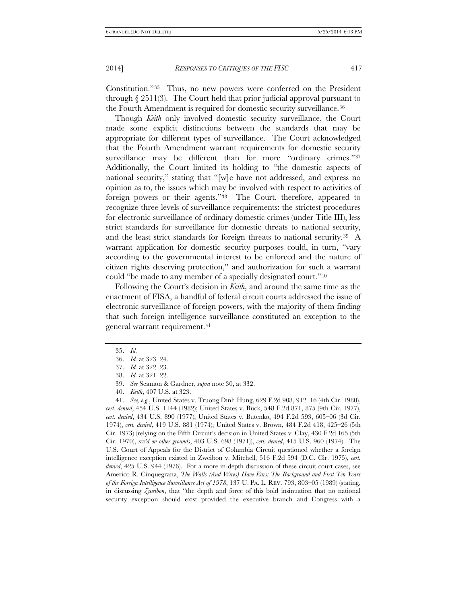Constitution."[35](#page-8-0) Thus, no new powers were conferred on the President through  $\S 2511(3)$ . The Court held that prior judicial approval pursuant to the Fourth Amendment is required for domestic security surveillance.<sup>[36](#page-8-1)</sup>

Though *Keith* only involved domestic security surveillance, the Court made some explicit distinctions between the standards that may be appropriate for different types of surveillance. The Court acknowledged that the Fourth Amendment warrant requirements for domestic security surveillance may be different than for more "ordinary crimes."<sup>37</sup> Additionally, the Court limited its holding to "the domestic aspects of national security," stating that "[w]e have not addressed, and express no opinion as to, the issues which may be involved with respect to activities of foreign powers or their agents."[38](#page-8-3) The Court, therefore, appeared to recognize three levels of surveillance requirements: the strictest procedures for electronic surveillance of ordinary domestic crimes (under Title III), less strict standards for surveillance for domestic threats to national security, and the least strict standards for foreign threats to national security.[39](#page-8-4) A warrant application for domestic security purposes could, in turn, "vary according to the governmental interest to be enforced and the nature of citizen rights deserving protection," and authorization for such a warrant could "be made to any member of a specially designated court."[40](#page-8-5)

Following the Court's decision in *Keith*, and around the same time as the enactment of FISA, a handful of federal circuit courts addressed the issue of electronic surveillance of foreign powers, with the majority of them finding that such foreign intelligence surveillance constituted an exception to the general warrant requirement.[41](#page-8-6)

<span id="page-8-0"></span><sup>35.</sup> *Id.*

<sup>36.</sup> *Id.* at 323–24.

<sup>37.</sup> *Id.* at 322–23.

<sup>38.</sup> *Id.* at 321–22.

<sup>39.</sup> *See* Seamon & Gardner, *supra* note 30, at 332.

<sup>40.</sup> *Keith*, 407 U.S. at 323.

<span id="page-8-6"></span><span id="page-8-5"></span><span id="page-8-4"></span><span id="page-8-3"></span><span id="page-8-2"></span><span id="page-8-1"></span><sup>41.</sup> *See, e.g.*, United States v. Truong Dinh Hung, 629 F.2d 908, 912–16 (4th Cir. 1980), *cert. denied*, 454 U.S. 1144 (1982); United States v. Buck, 548 F.2d 871, 875 (9th Cir. 1977), *cert. denied*, 434 U.S. 890 (1977); United States v. Butenko, 494 F.2d 593, 605–06 (3d Cir. 1974), *cert. denied*, 419 U.S. 881 (1974); United States v. Brown, 484 F.2d 418, 425–26 (5th Cir. 1973) (relying on the Fifth Circuit's decision in United States v. Clay, 430 F.2d 165 (5th Cir. 1970), *rev'd on other grounds*, 403 U.S. 698 (1971)), *cert. denied*, 415 U.S. 960 (1974). The U.S. Court of Appeals for the District of Columbia Circuit questioned whether a foreign intelligence exception existed in Zweibon v. Mitchell, 516 F.2d 594 (D.C. Cir. 1975), *cert. denied*, 425 U.S. 944 (1976). For a more in-depth discussion of these circuit court cases, see Americo R. Cinquegrana, *The Walls (And Wires) Have Ears: The Background and First Ten Years of the Foreign Intelligence Surveillance Act of 1978*, 137 U. PA. L. REV. 793, 803–05 (1989) (stating, in discussing *Zweibon*, that "the depth and force of this bold insinuation that no national security exception should exist provided the executive branch and Congress with a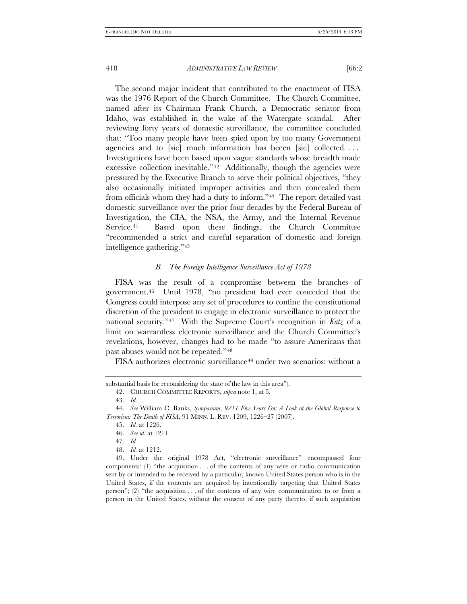The second major incident that contributed to the enactment of FISA was the 1976 Report of the Church Committee. The Church Committee, named after its Chairman Frank Church, a Democratic senator from Idaho, was established in the wake of the Watergate scandal. After reviewing forty years of domestic surveillance, the committee concluded that: "Too many people have been spied upon by too many Government agencies and to [sic] much information has beeen [sic] collected.... Investigations have been based upon vague standards whose breadth made excessive collection inevitable."<sup>[42](#page-9-0)</sup> Additionally, though the agencies were pressured by the Executive Branch to serve their political objectives, "they also occasionally initiated improper activities and then concealed them from officials whom they had a duty to inform."[43](#page-9-1) The report detailed vast domestic surveillance over the prior four decades by the Federal Bureau of Investigation, the CIA, the NSA, the Army, and the Internal Revenue Service.[44](#page-9-2) Based upon these findings, the Church Committee "recommended a strict and careful separation of domestic and foreign intelligence gathering."[45](#page-9-3)

#### *B. The Foreign Intelligence Surveillance Act of 1978*

FISA was the result of a compromise between the branches of government.[46](#page-9-4) Until 1978, "no president had ever conceded that the Congress could interpose any set of procedures to confine the constitutional discretion of the president to engage in electronic surveillance to protect the national security."[47](#page-9-5) With the Supreme Court's recognition in *Katz* of a limit on warrantless electronic surveillance and the Church Committee's revelations, however, changes had to be made "to assure Americans that past abuses would not be repeated."[48](#page-9-6)

FISA authorizes electronic surveillance<sup>[49](#page-9-7)</sup> under two scenarios: without a

<span id="page-9-0"></span>substantial basis for reconsidering the state of the law in this area").

<sup>42.</sup> CHURCH COMMITTEE REPORTS, *supra* note 1, at 5.

<sup>43.</sup> *Id.*

<span id="page-9-4"></span><span id="page-9-3"></span><span id="page-9-2"></span><span id="page-9-1"></span><sup>44.</sup> *See* William C. Banks, *Symposium*, *9/11 Five Years On: A Look at the Global Response to Terrorism: The Death of FISA*, 91 MINN. L. REV. 1209, 1226–27 (2007).

<sup>45.</sup> *Id.* at 1226.

<sup>46.</sup> *See id.* at 1211.

<sup>47.</sup> *Id.*

<sup>48.</sup> *Id.* at 1212.

<span id="page-9-7"></span><span id="page-9-6"></span><span id="page-9-5"></span><sup>49.</sup> Under the original 1978 Act, "electronic surveillance" encompassed four components: (1) "the acquisition . . . of the contents of any wire or radio communication sent by or intended to be received by a particular, known United States person who is in the United States, if the contents are acquired by intentionally targeting that United States person";  $(2)$  "the acquisition . . . of the contents of any wire communication to or from a person in the United States, without the consent of any party thereto, if such acquisition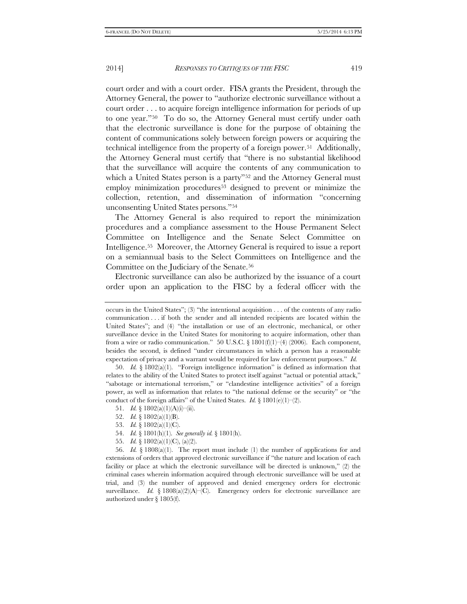court order and with a court order. FISA grants the President, through the Attorney General, the power to "authorize electronic surveillance without a court order . . . to acquire foreign intelligence information for periods of up to one year."[50](#page-10-0) To do so, the Attorney General must certify under oath that the electronic surveillance is done for the purpose of obtaining the content of communications solely between foreign powers or acquiring the technical intelligence from the property of a foreign power[.51](#page-10-1) Additionally, the Attorney General must certify that "there is no substantial likelihood that the surveillance will acquire the contents of any communication to which a United States person is a party"<sup>[52](#page-10-2)</sup> and the Attorney General must employ minimization procedures<sup>[53](#page-10-3)</sup> designed to prevent or minimize the collection, retention, and dissemination of information "concerning unconsenting United States persons.["54](#page-10-4)

The Attorney General is also required to report the minimization procedures and a compliance assessment to the House Permanent Select Committee on Intelligence and the Senate Select Committee on Intelligence.[55](#page-10-5) Moreover, the Attorney General is required to issue a report on a semiannual basis to the Select Committees on Intelligence and the Committee on the Judiciary of the Senate.[56](#page-10-6)

Electronic surveillance can also be authorized by the issuance of a court order upon an application to the FISC by a federal officer with the

- 52. *Id.* § 1802(a)(1)(B).
- 53. *Id.* § 1802(a)(1)(C).
- 54. *Id.* § 1801(h)(1). *See generally id.* § 1801(h).
- 55. *Id.* § 1802(a)(1)(C), (a)(2).

<span id="page-10-6"></span><span id="page-10-5"></span><span id="page-10-4"></span><span id="page-10-3"></span><span id="page-10-2"></span>56. *Id.* § 1808(a)(1). The report must include (1) the number of applications for and extensions of orders that approved electronic surveillance if "the nature and location of each facility or place at which the electronic surveillance will be directed is unknown," (2) the criminal cases wherein information acquired through electronic surveillance will be used at trial, and (3) the number of approved and denied emergency orders for electronic surveillance. *Id.* §  $1808(a)(2)(A)$ –(C). Emergency orders for electronic surveillance are authorized under § 1805(f).

occurs in the United States"; (3) "the intentional acquisition . . . of the contents of any radio communication . . . if both the sender and all intended recipients are located within the United States"; and (4) "the installation or use of an electronic, mechanical, or other surveillance device in the United States for monitoring to acquire information, other than from a wire or radio communication." 50 U.S.C. § 1801(f)(1)=(4) (2006). Each component, besides the second, is defined "under circumstances in which a person has a reasonable expectation of privacy and a warrant would be required for law enforcement purposes." *Id.*

<span id="page-10-1"></span><span id="page-10-0"></span><sup>50.</sup> *Id.* § 1802(a)(1). "Foreign intelligence information" is defined as information that relates to the ability of the United States to protect itself against "actual or potential attack," "sabotage or international terrorism," or "clandestine intelligence activities" of a foreign power, as well as information that relates to "the national defense or the security" or "the conduct of the foreign affairs" of the United States. *Id.*  $\S$  1801(e)(1)–(2).

<sup>51.</sup> *Id.*  $\{1802(a)(1)(A)(i)$ —(ii).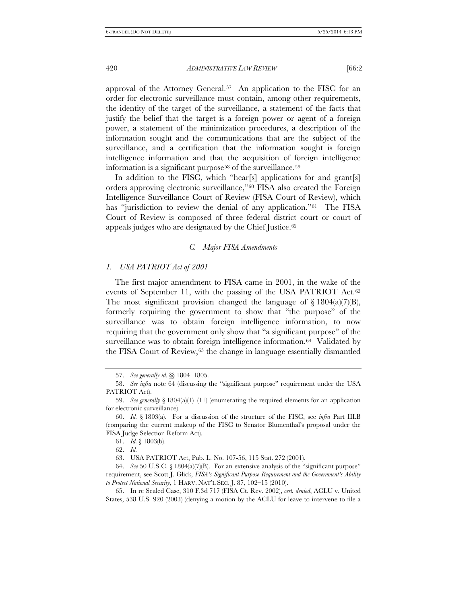approval of the Attorney General.[57](#page-11-0) An application to the FISC for an order for electronic surveillance must contain, among other requirements, the identity of the target of the surveillance, a statement of the facts that justify the belief that the target is a foreign power or agent of a foreign power, a statement of the minimization procedures, a description of the information sought and the communications that are the subject of the surveillance, and a certification that the information sought is foreign intelligence information and that the acquisition of foreign intelligence information is a significant purpose<sup>58</sup> of the surveillance.<sup>[59](#page-11-2)</sup>

In addition to the FISC, which "hear[s] applications for and grant[s] orders approving electronic surveillance,"[60](#page-11-3) FISA also created the Foreign Intelligence Surveillance Court of Review (FISA Court of Review), which has "jurisdiction to review the denial of any application."<sup>61</sup> The FISA Court of Review is composed of three federal district court or court of appeals judges who are designated by the Chief Justice.[62](#page-11-5)

#### *C. Major FISA Amendments*

#### *1. USA PATRIOT Act of 2001*

The first major amendment to FISA came in 2001, in the wake of the events of September 11, with the passing of the USA PATRIOT Act.<sup>63</sup> The most significant provision changed the language of  $\S$  1804(a)(7)(B), formerly requiring the government to show that "the purpose" of the surveillance was to obtain foreign intelligence information, to now requiring that the government only show that "a significant purpose" of the surveillance was to obtain foreign intelligence information.<sup>[64](#page-11-7)</sup> Validated by the FISA Court of Review,[65](#page-11-8) the change in language essentially dismantled

<sup>57.</sup> *See generally id.* §§ 1804–1805.

<span id="page-11-1"></span><span id="page-11-0"></span><sup>58.</sup> *See infra* note 64 (discussing the "significant purpose" requirement under the USA PATRIOT Act).

<span id="page-11-2"></span><sup>59.</sup> *See generally*  $\S 1804(a)(1)$  (enumerating the required elements for an application for electronic surveillance).

<span id="page-11-4"></span><span id="page-11-3"></span><sup>60.</sup> *Id.* § 1803(a). For a discussion of the structure of the FISC, see *infra* Part III.B (comparing the current makeup of the FISC to Senator Blumenthal's proposal under the FISA Judge Selection Reform Act).

<sup>61.</sup> *Id.* § 1803(b).

<sup>62.</sup> *Id.*

<sup>63.</sup> USA PATRIOT Act, Pub. L. No. 107-56, 115 Stat. 272 (2001).

<span id="page-11-7"></span><span id="page-11-6"></span><span id="page-11-5"></span><sup>64.</sup> *See* 50 U.S.C. § 1804(a)(7)(B). For an extensive analysis of the "significant purpose" requirement, see Scott J. Glick, *FISA's Significant Purpose Requirement and the Government's Ability to Protect National Security*, 1 HARV. NAT'L SEC. J. 87, 102–15 (2010).

<span id="page-11-8"></span><sup>65.</sup> In re Sealed Case, 310 F.3d 717 (FISA Ct. Rev. 2002), *cert. denied*, ACLU v. United States, 538 U.S. 920 (2003) (denying a motion by the ACLU for leave to intervene to file a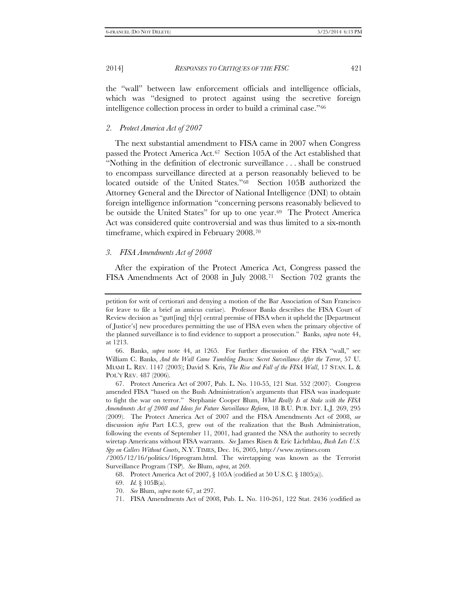the "wall" between law enforcement officials and intelligence officials, which was "designed to protect against using the secretive foreign intelligence collection process in order to build a criminal case.["66](#page-12-0)

#### *2. Protect America Act of 2007*

The next substantial amendment to FISA came in 2007 when Congress passed the Protect America Act.[67](#page-12-1) Section 105A of the Act established that "Nothing in the definition of electronic surveillance . . . shall be construed to encompass surveillance directed at a person reasonably believed to be located outside of the United States."[68](#page-12-2) Section 105B authorized the Attorney General and the Director of National Intelligence (DNI) to obtain foreign intelligence information "concerning persons reasonably believed to be outside the United States" for up to one year.<sup>69</sup> The Protect America Act was considered quite controversial and was thus limited to a six-month timeframe, which expired in February 2008.[70](#page-12-4)

#### *3. FISA Amendments Act of 2008*

After the expiration of the Protect America Act, Congress passed the FISA Amendments Act of 2008 in July 2008.[71](#page-12-5) Section 702 grants the

<span id="page-12-5"></span><span id="page-12-4"></span><span id="page-12-3"></span><span id="page-12-2"></span>Surveillance Program (TSP). *See* Blum, *supra*, at 269.

68. Protect America Act of 2007, § 105A (codified at 50 U.S.C. § 1805(a)).

- 70. *See* Blum, *supra* note 67, at 297.
- 71. FISA Amendments Act of 2008, Pub. L. No. 110-261, 122 Stat. 2436 (codified as

petition for writ of certiorari and denying a motion of the Bar Association of San Francisco for leave to file a brief as amicus curiae). Professor Banks describes the FISA Court of Review decision as "gutt[ing] th[e] central premise of FISA when it upheld the [Department of Justice's] new procedures permitting the use of FISA even when the primary objective of the planned surveillance is to find evidence to support a prosecution." Banks, *supra* note 44, at 1213.

<span id="page-12-0"></span><sup>66.</sup> Banks, *supra* note 44, at 1265. For further discussion of the FISA "wall," see William C. Banks, *And the Wall Came Tumbling Down: Secret Surveillance After the Terror*, 57 U. MIAMI L. REV. 1147 (2003); David S. Kris, *The Rise and Fall of the FISA Wall*, 17 STAN. L. & POL'Y REV. 487 (2006).

<span id="page-12-1"></span><sup>67.</sup> Protect America Act of 2007, Pub. L. No. 110-55, 121 Stat. 552 (2007). Congress amended FISA "based on the Bush Administration's arguments that FISA was inadequate to fight the war on terror." Stephanie Cooper Blum, *What Really Is at Stake with the FISA Amendments Act of 2008 and Ideas for Future Surveillance Reform*, 18 B.U. PUB. INT. L.J. 269, 295 (2009). The Protect America Act of 2007 and the FISA Amendments Act of 2008, *see* discussion *infra* Part I.C.3, grew out of the realization that the Bush Administration, following the events of September 11, 2001, had granted the NSA the authority to secretly wiretap Americans without FISA warrants. *See* James Risen & Eric Lichtblau, *Bush Lets U.S. Spy on Callers Without Courts*, N.Y. TIMES, Dec. 16, 2005, http://www.nytimes.com /2005/12/16/politics/16program.html. The wiretapping was known as the Terrorist

<sup>69.</sup> *Id.* § 105B(a).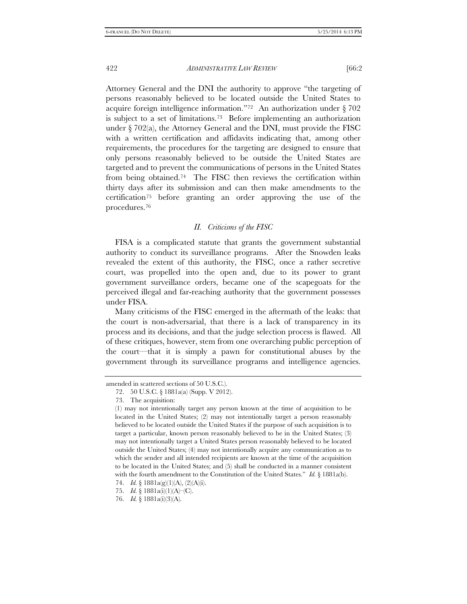Attorney General and the DNI the authority to approve "the targeting of persons reasonably believed to be located outside the United States to acquire foreign intelligence information."[72](#page-13-0) An authorization under § 702 is subject to a set of limitations.[73](#page-13-1) Before implementing an authorization under  $\S 702(a)$ , the Attorney General and the DNI, must provide the FISC with a written certification and affidavits indicating that, among other requirements, the procedures for the targeting are designed to ensure that only persons reasonably believed to be outside the United States are targeted and to prevent the communications of persons in the United States from being obtained.[74](#page-13-2) The FISC then reviews the certification within thirty days after its submission and can then make amendments to the certification[75](#page-13-3) before granting an order approving the use of the procedures.[76](#page-13-4)

#### *II. Criticisms of the FISC*

FISA is a complicated statute that grants the government substantial authority to conduct its surveillance programs. After the Snowden leaks revealed the extent of this authority, the FISC, once a rather secretive court, was propelled into the open and, due to its power to grant government surveillance orders, became one of the scapegoats for the perceived illegal and far-reaching authority that the government possesses under FISA.

Many criticisms of the FISC emerged in the aftermath of the leaks: that the court is non-adversarial, that there is a lack of transparency in its process and its decisions, and that the judge selection process is flawed. All of these critiques, however, stem from one overarching public perception of the court—that it is simply a pawn for constitutional abuses by the government through its surveillance programs and intelligence agencies.

<span id="page-13-1"></span><span id="page-13-0"></span>amended in scattered sections of 50 U.S.C.).

<sup>72.</sup> 50 U.S.C. § 1881a(a) (Supp. V 2012).

<sup>73.</sup> The acquisition:

<sup>(1)</sup> may not intentionally target any person known at the time of acquisition to be located in the United States; (2) may not intentionally target a person reasonably believed to be located outside the United States if the purpose of such acquisition is to target a particular, known person reasonably believed to be in the United States; (3) may not intentionally target a United States person reasonably believed to be located outside the United States; (4) may not intentionally acquire any communication as to which the sender and all intended recipients are known at the time of the acquisition to be located in the United States; and (5) shall be conducted in a manner consistent with the fourth amendment to the Constitution of the United States." *Id.* § 1881a(b).

<span id="page-13-3"></span><span id="page-13-2"></span><sup>74.</sup> *Id.* § 1881a(g)(1)(A), (2)(A)(i).

<sup>75.</sup> *Id.* § 1881a(i)(1)(A)–(C).

<span id="page-13-4"></span><sup>76.</sup> *Id.* § 1881a(i)(3)(A).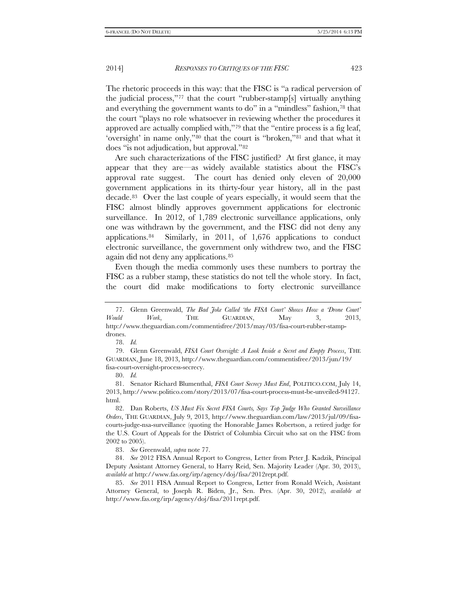The rhetoric proceeds in this way: that the FISC is "a radical perversion of the judicial process,"[77](#page-14-0) that the court "rubber-stamp[s] virtually anything and everything the government wants to do" in a "mindless" fashion,<sup>[78](#page-14-1)</sup> that the court "plays no role whatsoever in reviewing whether the procedures it approved are actually complied with,"[79](#page-14-2) that the "entire process is a fig leaf, 'oversight' in name only,"[80](#page-14-3) that the court is "broken,["81](#page-14-4) and that what it does "is not adjudication, but approval."[82](#page-14-5)

Are such characterizations of the FISC justified? At first glance, it may appear that they are—as widely available statistics about the FISC's approval rate suggest. The court has denied only eleven of 20,000 government applications in its thirty-four year history, all in the past decade.[83](#page-14-6) Over the last couple of years especially, it would seem that the FISC almost blindly approves government applications for electronic surveillance. In 2012, of 1,789 electronic surveillance applications, only one was withdrawn by the government, and the FISC did not deny any applications.[84](#page-14-7) Similarly, in 2011, of 1,676 applications to conduct electronic surveillance, the government only withdrew two, and the FISC again did not deny any applications.[85](#page-14-8)

Even though the media commonly uses these numbers to portray the FISC as a rubber stamp, these statistics do not tell the whole story. In fact, the court did make modifications to forty electronic surveillance

78. *Id.*

80. *Id.*

<span id="page-14-4"></span><span id="page-14-3"></span>81. Senator Richard Blumenthal, *FISA Court Secrecy Must End*, POLITICO.COM, July 14, 2013, http://www.politico.com/story/2013/07/fisa-court-process-must-be-unveiled-94127. html.

<span id="page-14-5"></span>82. Dan Roberts, *US Must Fix Secret FISA Courts, Says Top Judge Who Granted Surveillance Orders*, THE GUARDIAN, July 9, 2013, http://www.theguardian.com/law/2013/jul/09/fisacourts-judge-nsa-surveillance (quoting the Honorable James Robertson, a retired judge for the U.S. Court of Appeals for the District of Columbia Circuit who sat on the FISC from 2002 to 2005).

<span id="page-14-8"></span>85. *See* 2011 FISA Annual Report to Congress, Letter from Ronald Weich, Assistant Attorney General, to Joseph R. Biden, Jr., Sen. Pres. (Apr. 30, 2012), *available at* http://www.fas.org/irp/agency/doj/fisa/2011rept.pdf.

<span id="page-14-0"></span><sup>77.</sup> Glenn Greenwald, *The Bad Joke Called 'the FISA Court' Shows How a 'Drone Court' Would Work*, THE GUARDIAN, May 3, 2013, http://www.theguardian.com/commentisfree/2013/may/03/fisa-court-rubber-stampdrones.

<span id="page-14-2"></span><span id="page-14-1"></span><sup>79.</sup> Glenn Greenwald, *FISA Court Oversight: A Look Inside a Secret and Empty Process*, THE GUARDIAN, June 18, 2013, http://www.theguardian.com/commentisfree/2013/jun/19/ fisa-court-oversight-process-secrecy.

<sup>83.</sup> *See* Greenwald, *supra* note 77.

<span id="page-14-7"></span><span id="page-14-6"></span><sup>84.</sup> *See* 2012 FISA Annual Report to Congress, Letter from Peter J. Kadzik, Principal Deputy Assistant Attorney General, to Harry Reid, Sen. Majority Leader (Apr. 30, 2013), *available at* http://www.fas.org/irp/agency/doj/fisa/2012rept.pdf.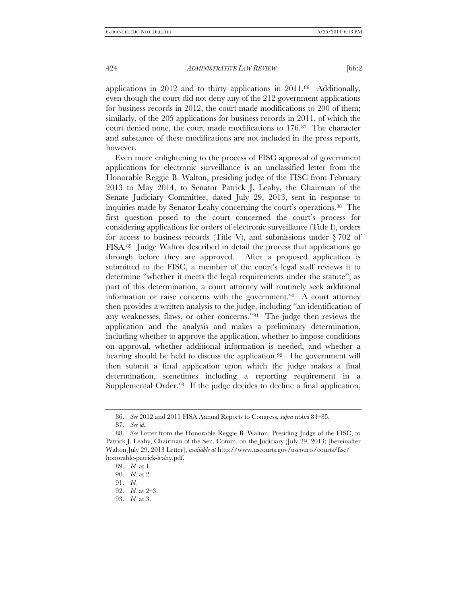applications in 2012 and to thirty applications in 2011.[86](#page-15-0) Additionally, even though the court did not deny any of the 212 government applications for business records in 2012, the court made modifications to 200 of them; similarly, of the 205 applications for business records in 2011, of which the court denied none, the court made modifications to 176.[87](#page-15-1) The character and substance of these modifications are not included in the press reports, however.

Even more enlightening to the process of FISC approval of government applications for electronic surveillance is an unclassified letter from the Honorable Reggie B. Walton, presiding judge of the FISC from February 2013 to May 2014, to Senator Patrick J. Leahy, the Chairman of the Senate Judiciary Committee, dated July 29, 2013, sent in response to inquiries made by Senator Leahy concerning the court's operations[.88](#page-15-2) The first question posed to the court concerned the court's process for considering applications for orders of electronic surveillance (Title I), orders for access to business records (Title V), and submissions under  $\S 702$  of FISA.[89](#page-15-3) Judge Walton described in detail the process that applications go through before they are approved. After a proposed application is submitted to the FISC, a member of the court's legal staff reviews it to determine "whether it meets the legal requirements under the statute"; as part of this determination, a court attorney will routinely seek additional information or raise concerns with the government.[90](#page-15-4) A court attorney then provides a written analysis to the judge, including "an identification of any weaknesses, flaws, or other concerns.["91](#page-15-5) The judge then reviews the application and the analysis and makes a preliminary determination, including whether to approve the application, whether to impose conditions on approval, whether additional information is needed, and whether a hearing should be held to discuss the application.<sup>92</sup> The government will then submit a final application upon which the judge makes a final determination, sometimes including a reporting requirement in a Supplemental Order.<sup>93</sup> If the judge decides to decline a final application,

<sup>86.</sup> *See* 2012 and 2011 FISA Annual Reports to Congress, *supra* notes 84–85.

<sup>87.</sup> *See id.*

<span id="page-15-4"></span><span id="page-15-3"></span><span id="page-15-2"></span><span id="page-15-1"></span><span id="page-15-0"></span><sup>88.</sup> *See* Letter from the Honorable Reggie B. Walton, Presiding Judge of the FISC, to Patrick J. Leahy, Chairman of the Sen. Comm. on the Judiciary (July 29, 2013) [hereinafter Walton July 29, 2013 Letter], *available at* http://www.uscourts.gov/uscourts/courts/fisc/ honorable-patrick-leahy.pdf.

<sup>89.</sup> *Id.* at 1.

<span id="page-15-5"></span><sup>90.</sup> *Id.* at 2.

<sup>91.</sup> *Id.*

<span id="page-15-6"></span><sup>92.</sup> *Id.* at 2–3.

<span id="page-15-7"></span><sup>93.</sup> *Id.* at 3.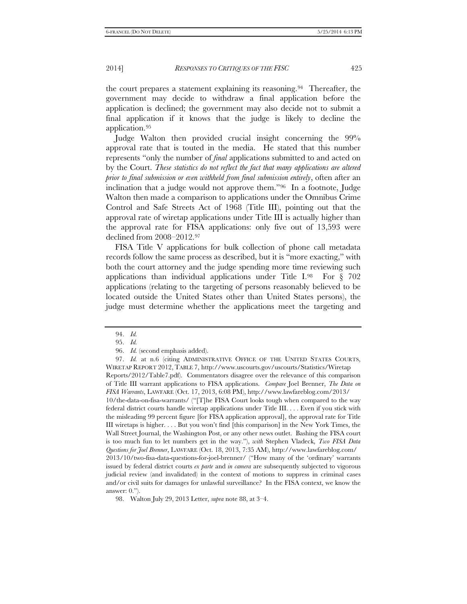the court prepares a statement explaining its reasoning.[94](#page-16-0) Thereafter, the government may decide to withdraw a final application before the application is declined; the government may also decide not to submit a final application if it knows that the judge is likely to decline the application[.95](#page-16-1)

Judge Walton then provided crucial insight concerning the 99% approval rate that is touted in the media. He stated that this number represents "only the number of *final* applications submitted to and acted on by the Court. *These statistics do not reflect the fact that many applications are altered prior to final submission or even withheld from final submission entirely*, often after an inclination that a judge would not approve them."[96](#page-16-2) In a footnote, Judge Walton then made a comparison to applications under the Omnibus Crime Control and Safe Streets Act of 1968 (Title III), pointing out that the approval rate of wiretap applications under Title III is actually higher than the approval rate for FISA applications: only five out of 13,593 were declined from 2008–2012.[97](#page-16-3)

FISA Title V applications for bulk collection of phone call metadata records follow the same process as described, but it is "more exacting," with both the court attorney and the judge spending more time reviewing such applications than individual applications under Title I. $98$  For § 702 applications (relating to the targeting of persons reasonably believed to be located outside the United States other than United States persons), the judge must determine whether the applications meet the targeting and

<sup>94.</sup> *Id.*

<sup>95.</sup> *Id.*

<sup>96.</sup> *Id.* (second emphasis added).

<span id="page-16-3"></span><span id="page-16-2"></span><span id="page-16-1"></span><span id="page-16-0"></span><sup>97.</sup> *Id.* at n.6 (citing ADMINISTRATIVE OFFICE OF THE UNITED STATES COURTS, WIRETAP REPORT 2012, TABLE 7, http://www.uscourts.gov/uscourts/Statistics/Wiretap Reports/2012/Table7.pdf). Commentators disagree over the relevance of this comparison of Title III warrant applications to FISA applications. *Compare* Joel Brenner, *The Data on FISA Warrants*, LAWFARE (Oct. 17, 2013, 6:08 PM), http://www.lawfareblog.com/2013/ 10/the-data-on-fisa-warrants/ ("[T]he FISA Court looks tough when compared to the way federal district courts handle wiretap applications under Title III. . . . Even if you stick with the misleading 99 percent figure [for FISA application approval], the approval rate for Title III wiretaps is higher. . . . But you won't find [this comparison] in the New York Times, the Wall Street Journal, the Washington Post, or any other news outlet. Bashing the FISA court is too much fun to let numbers get in the way."), *with* Stephen Vladeck, *Two FISA Data Questions for Joel Brenner*, LAWFARE (Oct. 18, 2013, 7:35 AM), http://www.lawfareblog.com/ 2013/10/two-fisa-data-questions-for-joel-brenner/ ("How many of the 'ordinary' warrants issued by federal district courts *ex parte* and *in camera* are subsequently subjected to vigorous judicial review (and invalidated) in the context of motions to suppress in criminal cases and/or civil suits for damages for unlawful surveillance? In the FISA context, we know the answer: 0.").

<span id="page-16-4"></span><sup>98.</sup> Walton July 29, 2013 Letter, *supra* note 88, at 3–4.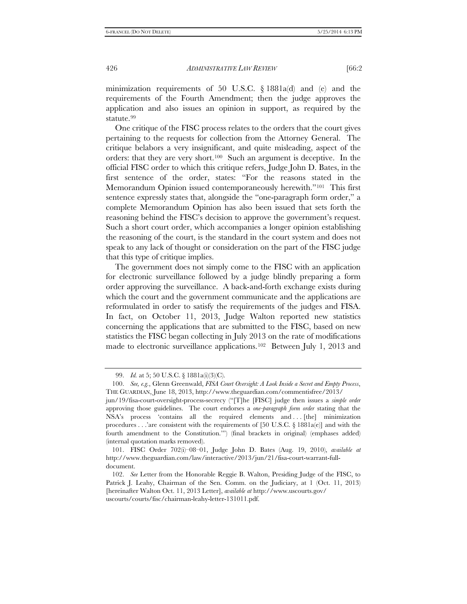minimization requirements of 50 U.S.C. § 1881a(d) and (e) and the requirements of the Fourth Amendment; then the judge approves the application and also issues an opinion in support, as required by the statute.[99](#page-17-0)

One critique of the FISC process relates to the orders that the court gives pertaining to the requests for collection from the Attorney General. The critique belabors a very insignificant, and quite misleading, aspect of the orders: that they are very short.[100](#page-17-1) Such an argument is deceptive. In the official FISC order to which this critique refers, Judge John D. Bates, in the first sentence of the order, states: "For the reasons stated in the Memorandum Opinion issued contemporaneously herewith."[101](#page-17-2) This first sentence expressly states that, alongside the "one-paragraph form order," a complete Memorandum Opinion has also been issued that sets forth the reasoning behind the FISC's decision to approve the government's request. Such a short court order, which accompanies a longer opinion establishing the reasoning of the court, is the standard in the court system and does not speak to any lack of thought or consideration on the part of the FISC judge that this type of critique implies.

The government does not simply come to the FISC with an application for electronic surveillance followed by a judge blindly preparing a form order approving the surveillance. A back-and-forth exchange exists during which the court and the government communicate and the applications are reformulated in order to satisfy the requirements of the judges and FISA. In fact, on October 11, 2013, Judge Walton reported new statistics concerning the applications that are submitted to the FISC, based on new statistics the FISC began collecting in July 2013 on the rate of modifications made to electronic surveillance applications.<sup>[102](#page-17-3)</sup> Between July 1, 2013 and

<sup>99.</sup> *Id.* at 5; 50 U.S.C. § 1881a(i)(3)(C).

<span id="page-17-1"></span><span id="page-17-0"></span><sup>100.</sup> *See, e.g.*, Glenn Greenwald, *FISA Court Oversight: A Look Inside a Secret and Empty Process*, THE GUARDIAN, June 18, 2013, http://www.theguardian.com/commentisfree/2013/

jun/19/fisa-court-oversight-process-secrecy ("[T]he [FISC] judge then issues a *simple order* approving those guidelines. The court endorses a *one-paragraph form order* stating that the NSA's process 'contains all the required elements and . . . [the] minimization procedures  $\ldots$  are consistent with the requirements of [50 U.S.C. § 1881a(e)] and with the fourth amendment to the Constitution.'") (final brackets in original) (emphases added) (internal quotation marks removed).

<span id="page-17-2"></span><sup>101.</sup> FISC Order 702(i)–08–01, Judge John D. Bates (Aug. 19, 2010), *available at* http://www.theguardian.com/law/interactive/2013/jun/21/fisa-court-warrant-fulldocument.

<span id="page-17-3"></span><sup>102.</sup> *See* Letter from the Honorable Reggie B. Walton, Presiding Judge of the FISC, to Patrick J. Leahy, Chairman of the Sen. Comm. on the Judiciary, at 1 (Oct. 11, 2013) [hereinafter Walton Oct. 11, 2013 Letter], *available at* http://www.uscourts.gov/ uscourts/courts/fisc/chairman-leahy-letter-131011.pdf.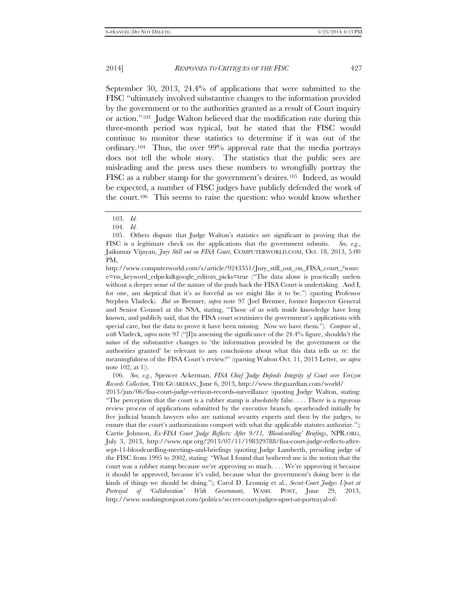September 30, 2013, 24.4% of applications that were submitted to the FISC "ultimately involved substantive changes to the information provided by the government or to the authorities granted as a result of Court inquiry or action."[103](#page-18-0) Judge Walton believed that the modification rate during this three-month period was typical, but he stated that the FISC would continue to monitor these statistics to determine if it was out of the ordinary.[104](#page-18-1) Thus, the over 99% approval rate that the media portrays does not tell the whole story. The statistics that the public sees are misleading and the press uses these numbers to wrongfully portray the FISC as a rubber stamp for the government's desires.[105](#page-18-2) Indeed, as would be expected, a number of FISC judges have publicly defended the work of the court.[106](#page-18-3) This seems to raise the question: who would know whether

2013/jun/06/fisa-court-judge-verizon-records-surveillance (quoting Judge Walton, stating: "The perception that the court is a rubber stamp is absolutely false. . . . There is a rigorous review process of applications submitted by the executive branch, spearheaded initially by five judicial branch lawyers who are national security experts and then by the judges, to ensure that the court's authorizations comport with what the applicable statutes authorize."); Carrie Johnson, *Ex-FISA Court Judge Reflects: After 9/11, 'Bloodcurdling' Briefings*, NPR.ORG, July 3, 2013, http://www.npr.org/2013/07/11/198329788/fisa-court-judge-reflects-aftersept-11-bloodcurdling-meetings-and-briefings (quoting Judge Lamberth, presiding judge of the FISC from 1995 to 2002, stating: "What I found that bothered me is the notion that the court was a rubber stamp because we're approving so much. . . . We're approving it because it should be approved, because it's valid, because what the government's doing here is the kinds of things we should be doing."); Carol D. Leonnig et al., *Secret-Court Judges Upset at Portrayal of 'Collaboration' With Government*, WASH. POST, June 29, 2013, http://www.washingtonpost.com/politics/secret-court-judges-upset-at-portrayal-of-

<sup>103.</sup> *Id.*

<sup>104.</sup> *Id.*

<span id="page-18-2"></span><span id="page-18-1"></span><span id="page-18-0"></span><sup>105.</sup> Others dispute that Judge Walton's statistics are significant in proving that the FISC is a legitimate check on the applications that the government submits. *See, e.g.*, Jaikumar Vijayan, *Jury Still out on FISA Court*, COMPUTERWORLD.COM, Oct. 18, 2013, 5:00 PM,

http://www.computerworld.com/s/article/9243351/Jury\_still\_out\_on\_FISA\_court\_?sourc e=rss\_keyword\_edpicks&google\_editors\_picks=true ("The data alone is practically useless without a deeper sense of the nature of the push back the FISA Court is undertaking. And I, for one, am skeptical that it's as forceful as we might like it to be.") (quoting Professor Stephen Vladeck). *But see* Brenner, *supra* note 97 (Joel Brenner, former Inspector General and Senior Counsel at the NSA, stating, "Those of us with inside knowledge have long known, and publicly said, that the FISA court scrutinizes the government's applications with special care, but the data to prove it have been missing. Now we have them."). *Compare id.*, *with* Vladeck, *supra* note 97 ("[I]n assessing the significance of the 24.4% figure, shouldn't the *nature* of the substantive changes to 'the information provided by the government or the authorities granted' be relevant to any conclusions about what this data tells us re: the meaningfulness of the FISA Court's review?" (quoting Walton Oct. 11, 2013 Letter, *see supra* note 102, at 1)).

<span id="page-18-3"></span><sup>106.</sup> *See, e.g.*, Spencer Ackerman, *FISA Chief Judge Defends Integrity of Court over Verizon Records Collection*, THE GUARDIAN, June 6, 2013, http://www.theguardian.com/world/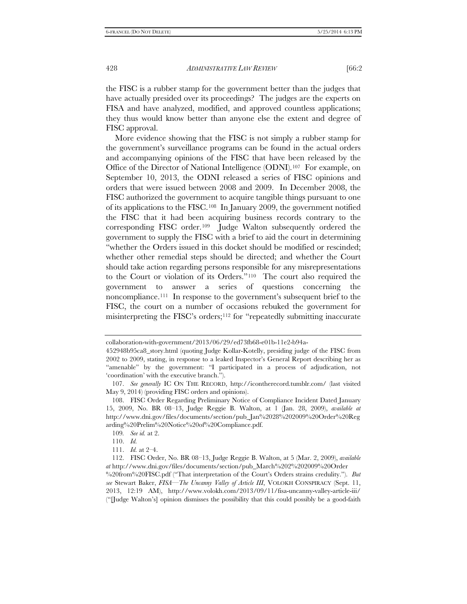the FISC is a rubber stamp for the government better than the judges that have actually presided over its proceedings? The judges are the experts on FISA and have analyzed, modified, and approved countless applications; they thus would know better than anyone else the extent and degree of FISC approval.

More evidence showing that the FISC is not simply a rubber stamp for the government's surveillance programs can be found in the actual orders and accompanying opinions of the FISC that have been released by the Office of the Director of National Intelligence (ODNI).[107](#page-19-0) For example, on September 10, 2013, the ODNI released a series of FISC opinions and orders that were issued between 2008 and 2009. In December 2008, the FISC authorized the government to acquire tangible things pursuant to one of its applications to the FISC.[108](#page-19-1) In January 2009, the government notified the FISC that it had been acquiring business records contrary to the corresponding FISC order.[109](#page-19-2) Judge Walton subsequently ordered the government to supply the FISC with a brief to aid the court in determining "whether the Orders issued in this docket should be modified or rescinded; whether other remedial steps should be directed; and whether the Court should take action regarding persons responsible for any misrepresentations to the Court or violation of its Orders."[110](#page-19-3) The court also required the government to answer a series of questions concerning the noncompliance.[111](#page-19-4) In response to the government's subsequent brief to the FISC, the court on a number of occasions rebuked the government for misinterpreting the FISC's orders;<sup>[112](#page-19-5)</sup> for "repeatedly submitting inaccurate

collaboration-with-government/2013/06/29/ed73fb68-e01b-11e2-b94a-

<sup>452948</sup>b95ca8\_story.html (quoting Judge Kollar-Kotelly, presiding judge of the FISC from 2002 to 2009, stating, in response to a leaked Inspector's General Report describing her as "amenable" by the government: "I participated in a process of adjudication, not 'coordination' with the executive branch.").

<span id="page-19-0"></span><sup>107.</sup> *See generally* IC ON THE RECORD, http://icontherecord.tumblr.com/ (last visited May 9, 2014) (providing FISC orders and opinions).

<span id="page-19-1"></span><sup>108.</sup> FISC Order Regarding Preliminary Notice of Compliance Incident Dated January 15, 2009, No. BR 08–13, Judge Reggie B. Walton, at 1 (Jan. 28, 2009), *available at* http://www.dni.gov/files/documents/section/pub\_Jan%2028%202009%20Order%20Reg arding%20Prelim%20Notice%20of%20Compliance.pdf.

<sup>109</sup>*. See id.* at 2.

<sup>110.</sup> *Id.*

<sup>111.</sup> *Id.* at 2–4.

<span id="page-19-5"></span><span id="page-19-4"></span><span id="page-19-3"></span><span id="page-19-2"></span><sup>112.</sup> FISC Order, No. BR 08–13, Judge Reggie B. Walton, at 5 (Mar. 2, 2009), *available at* http://www.dni.gov/files/documents/section/pub\_March%202%202009%20Order

<sup>%20</sup>from%20FISC.pdf ("That interpretation of the Court's Orders strains credulity."). *But see* Stewart Baker, *FISA—The Uncanny Valley of Article III*, VOLOKH CONSPIRACY (Sept. 11, 2013, 12:19 AM), http://www.volokh.com/2013/09/11/fisa-uncanny-valley-article-iii/ ("[Judge Walton's] opinion dismisses the possibility that this could possibly be a good-faith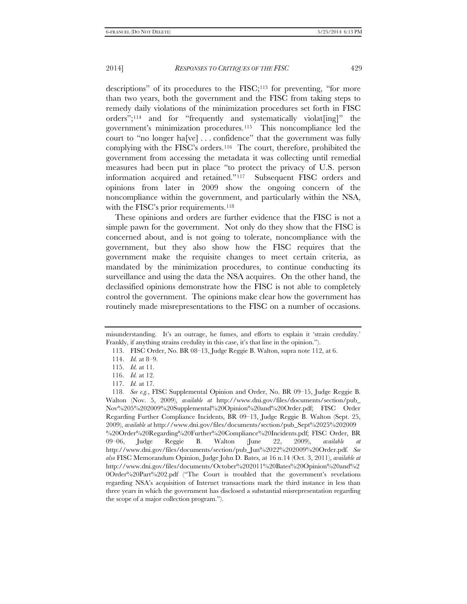descriptions" of its procedures to the FISC;<sup>[113](#page-20-0)</sup> for preventing, "for more than two years, both the government and the FISC from taking steps to remedy daily violations of the minimization procedures set forth in FISC orders";[114](#page-20-1) and for "frequently and systematically violat[ing]" the government's minimization procedures.[115](#page-20-2) This noncompliance led the court to "no longer ha[ve] . . . confidence" that the government was fully complying with the FISC's orders.[116](#page-20-3) The court, therefore, prohibited the government from accessing the metadata it was collecting until remedial measures had been put in place "to protect the privacy of U.S. person information acquired and retained."[117](#page-20-4) Subsequent FISC orders and opinions from later in 2009 show the ongoing concern of the noncompliance within the government, and particularly within the NSA,

These opinions and orders are further evidence that the FISC is not a simple pawn for the government. Not only do they show that the FISC is concerned about, and is not going to tolerate, noncompliance with the government, but they also show how the FISC requires that the government make the requisite changes to meet certain criteria, as mandated by the minimization procedures, to continue conducting its surveillance and using the data the NSA acquires. On the other hand, the declassified opinions demonstrate how the FISC is not able to completely control the government. The opinions make clear how the government has routinely made misrepresentations to the FISC on a number of occasions.

with the FISC's prior requirements.<sup>[118](#page-20-5)</sup>

<span id="page-20-1"></span><span id="page-20-0"></span>misunderstanding. It's an outrage, he fumes, and efforts to explain it 'strain credulity.' Frankly, if anything strains credulity in this case, it's that line in the opinion.").

<sup>113.</sup> FISC Order, No. BR 08–13, Judge Reggie B. Walton, supra note 112, at 6.

<sup>114.</sup> *Id.* at 8–9.

<sup>115.</sup> *Id.* at 11.

<sup>116.</sup> *Id.* at 12.

<sup>117.</sup> *Id.* at 17.

<span id="page-20-5"></span><span id="page-20-4"></span><span id="page-20-3"></span><span id="page-20-2"></span><sup>118.</sup> *See e.g.*, FISC Supplemental Opinion and Order, No. BR 09–15, Judge Reggie B. Walton (Nov. 5, 2009), *available at* http://www.dni.gov/files/documents/section/pub\_ Nov%205%202009%20Supplemental%20Opinion%20and%20Order.pdf; FISC Order Regarding Further Compliance Incidents, BR 09–13, Judge Reggie B. Walton (Sept. 25, 2009), *available at* http://www.dni.gov/files/documents/section/pub\_Sept%2025%202009 %20Order%20Regarding%20Further%20Compliance%20Incidents.pdf; FISC Order, BR 09–06, Judge Reggie B. Walton (June 22, 2009), *available at* http://www.dni.gov/files/documents/section/pub\_Jun%2022%202009%20Order.pdf. *See also* FISC Memorandum Opinion, Judge John D. Bates, at 16 n.14 (Oct. 3, 2011), *available at*  http://www.dni.gov/files/documents/October%202011%20Bates%20Opinion%20and%2 0Order%20Part%202.pdf ("The Court is troubled that the government's revelations regarding NSA's acquisition of Internet transactions mark the third instance in less than three years in which the government has disclosed a substantial misrepresentation regarding the scope of a major collection program.").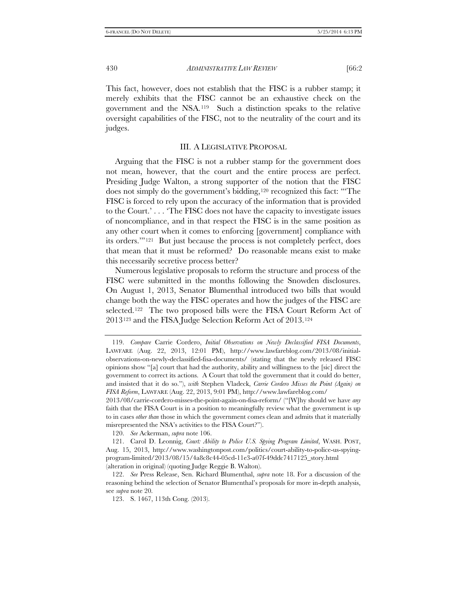This fact, however, does not establish that the FISC is a rubber stamp; it merely exhibits that the FISC cannot be an exhaustive check on the government and the NSA.[119](#page-21-0) Such a distinction speaks to the relative oversight capabilities of the FISC, not to the neutrality of the court and its judges.

# III. A LEGISLATIVE PROPOSAL

Arguing that the FISC is not a rubber stamp for the government does not mean, however, that the court and the entire process are perfect. Presiding Judge Walton, a strong supporter of the notion that the FISC does not simply do the government's bidding,[120](#page-21-1) recognized this fact: "'The FISC is forced to rely upon the accuracy of the information that is provided to the Court.' . . . 'The FISC does not have the capacity to investigate issues of noncompliance, and in that respect the FISC is in the same position as any other court when it comes to enforcing [government] compliance with its orders.'"[121](#page-21-2) But just because the process is not completely perfect, does that mean that it must be reformed? Do reasonable means exist to make this necessarily secretive process better?

Numerous legislative proposals to reform the structure and process of the FISC were submitted in the months following the Snowden disclosures. On August 1, 2013, Senator Blumenthal introduced two bills that would change both the way the FISC operates and how the judges of the FISC are selected.[122](#page-21-3) The two proposed bills were the FISA Court Reform Act of 2013[123](#page-21-4) and the FISA Judge Selection Reform Act of 2013[.124](#page-21-5)

120. *See* Ackerman, *supra* note 106.

<span id="page-21-5"></span><span id="page-21-0"></span><sup>119.</sup> *Compare* Carrie Cordero, *Initial Observations on Newly Declassified FISA Documents*, LAWFARE (Aug. 22, 2013, 12:01 PM), http://www.lawfareblog.com/2013/08/initialobservations-on-newly-declassified-fisa-documents/ (stating that the newly released FISC opinions show "[a] court that had the authority, ability and willingness to the [sic] direct the government to correct its actions. A Court that told the government that it could do better, and insisted that it do so."), *with* Stephen Vladeck, *Carrie Cordero Misses the Point (Again) on FISA Reform*, LAWFARE (Aug. 22, 2013, 9:01 PM), http://www.lawfareblog.com/

<sup>2013/08/</sup>carrie-cordero-misses-the-point-again-on-fisa-reform/ ("[W]hy should we have *any* faith that the FISA Court is in a position to meaningfully review what the government is up to in cases *other than* those in which the government comes clean and admits that it materially misrepresented the NSA's activities to the FISA Court?").

<span id="page-21-2"></span><span id="page-21-1"></span><sup>121.</sup> Carol D. Leonnig, *Court: Ability to Police U.S. Spying Program Limited*, WASH. POST, Aug. 15, 2013, http://www.washingtonpost.com/politics/court-ability-to-police-us-spyingprogram-limited/2013/08/15/4a8c8c44-05cd-11e3-a07f-49ddc7417125\_story.html (alteration in original) (quoting Judge Reggie B. Walton).

<span id="page-21-4"></span><span id="page-21-3"></span><sup>122.</sup> *See* Press Release, Sen. Richard Blumenthal, *supra* note 18. For a discussion of the reasoning behind the selection of Senator Blumenthal's proposals for more in-depth analysis, see *supra* note 20.

<sup>123.</sup> S. 1467, 113th Cong. (2013).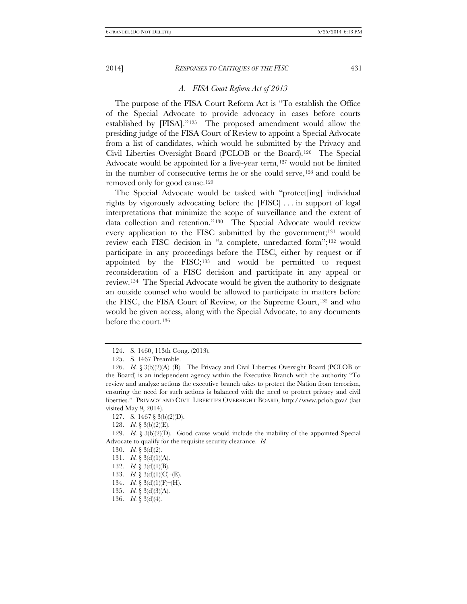#### *A. FISA Court Reform Act of 2013*

The purpose of the FISA Court Reform Act is "To establish the Office of the Special Advocate to provide advocacy in cases before courts established by [FISA]."[125](#page-22-0) The proposed amendment would allow the presiding judge of the FISA Court of Review to appoint a Special Advocate from a list of candidates, which would be submitted by the Privacy and Civil Liberties Oversight Board (PCLOB or the Board).[126](#page-22-1) The Special Advocate would be appointed for a five-year term,<sup>[127](#page-22-2)</sup> would not be limited in the number of consecutive terms he or she could serve,[128](#page-22-3) and could be removed only for good cause.[129](#page-22-4)

The Special Advocate would be tasked with "protect[ing] individual rights by vigorously advocating before the [FISC] . . . in support of legal interpretations that minimize the scope of surveillance and the extent of data collection and retention."[130](#page-22-5) The Special Advocate would review every application to the FISC submitted by the government;[131](#page-22-6) would review each FISC decision in "a complete, unredacted form";[132](#page-22-7) would participate in any proceedings before the FISC, either by request or if appointed by the  $FISC;^{133}$  $FISC;^{133}$  $FISC;^{133}$  and would be permitted to request reconsideration of a FISC decision and participate in any appeal or review.[134](#page-22-9) The Special Advocate would be given the authority to designate an outside counsel who would be allowed to participate in matters before the FISC, the FISA Court of Review, or the Supreme Court,[135](#page-22-10) and who would be given access, along with the Special Advocate, to any documents before the court.[136](#page-22-11)

<sup>124.</sup> S. 1460, 113th Cong. (2013).

<sup>125.</sup> S. 1467 Preamble.

<span id="page-22-1"></span><span id="page-22-0"></span><sup>126.</sup> *Id.* § 3(b)(2)(A)–(B). The Privacy and Civil Liberties Oversight Board (PCLOB or the Board) is an independent agency within the Executive Branch with the authority "To review and analyze actions the executive branch takes to protect the Nation from terrorism, ensuring the need for such actions is balanced with the need to protect privacy and civil liberties." PRIVACY AND CIVIL LIBERTIES OVERSIGHT BOARD, http://www.pclob.gov/ (last visited May 9, 2014).

<sup>127.</sup> S. 1467 § 3(b)(2)(D).

<sup>128.</sup> *Id.* § 3(b)(2)(E).

<span id="page-22-7"></span><span id="page-22-6"></span><span id="page-22-5"></span><span id="page-22-4"></span><span id="page-22-3"></span><span id="page-22-2"></span><sup>129.</sup> *Id.* § 3(b)(2)(D). Good cause would include the inability of the appointed Special Advocate to qualify for the requisite security clearance. *Id.*

<sup>130.</sup> *Id.* § 3(d)(2).

<sup>131.</sup> *Id.* § 3(d)(1)(A).

<sup>132.</sup> *Id.* § 3(d)(1)(B).

<span id="page-22-8"></span><sup>133.</sup> *Id.* § 3(d)(1)(C)–(E).

<span id="page-22-9"></span><sup>134.</sup> *Id.* § 3(d)(1)(F)–(H).

<span id="page-22-10"></span><sup>135.</sup> *Id.* § 3(d)(3)(A).

<span id="page-22-11"></span><sup>136.</sup> *Id.* § 3(d)(4).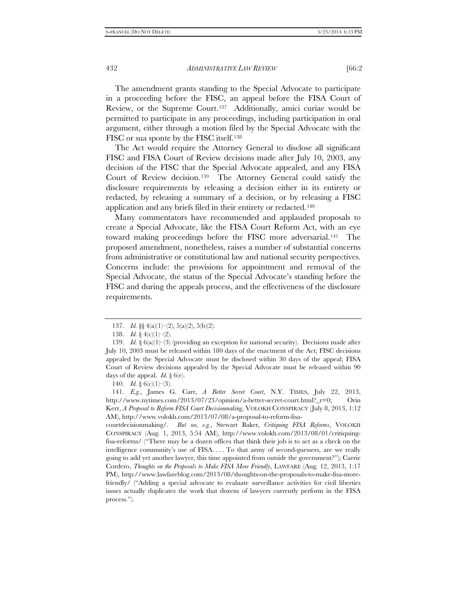The amendment grants standing to the Special Advocate to participate in a proceeding before the FISC, an appeal before the FISA Court of Review, or the Supreme Court.[137](#page-23-0) Additionally, amici curiae would be permitted to participate in any proceedings, including participation in oral argument, either through a motion filed by the Special Advocate with the FISC or sua sponte by the FISC itself.[138](#page-23-1)

The Act would require the Attorney General to disclose all significant FISC and FISA Court of Review decisions made after July 10, 2003, any decision of the FISC that the Special Advocate appealed, and any FISA Court of Review decision.[139](#page-23-2) The Attorney General could satisfy the disclosure requirements by releasing a decision either in its entirety or redacted, by releasing a summary of a decision, or by releasing a FISC application and any briefs filed in their entirety or redacted.[140](#page-23-3)

Many commentators have recommended and applauded proposals to create a Special Advocate, like the FISA Court Reform Act, with an eye toward making proceedings before the FISC more adversarial.[141](#page-23-4) The proposed amendment, nonetheless, raises a number of substantial concerns from administrative or constitutional law and national security perspectives. Concerns include: the provisions for appointment and removal of the Special Advocate, the status of the Special Advocate's standing before the FISC and during the appeals process, and the effectiveness of the disclosure requirements.

<sup>137.</sup> *Id.* §§ 4(a)(1)–(2), 5(a)(2), 5(b)(2).

<sup>138.</sup> *Id.* § 4(c)(1)–(2).

<span id="page-23-2"></span><span id="page-23-1"></span><span id="page-23-0"></span><sup>139.</sup> *Id.* § 6(a)(1)–(3) (providing an exception for national security). Decisions made after July 10, 2003 must be released within 180 days of the enactment of the Act; FISC decisions appealed by the Special Advocate must be disclosed within 30 days of the appeal; FISA Court of Review decisions appealed by the Special Advocate must be released within 90 days of the appeal. *Id.*  $\S$  6(e).

<sup>140.</sup> *Id.* § 6(c)(1)–(3).

<span id="page-23-4"></span><span id="page-23-3"></span><sup>141.</sup> *E.g.*, James G. Carr, *A Better Secret Court*, N.Y. TIMES, July 22, 2013, http://www.nytimes.com/2013/07/23/opinion/a-better-secret-court.html?\_r=0; Orin Kerr, *A Proposal to Reform FISA Court Decisionmaking*, VOLOKH CONSPIRACY (July 8, 2013, 1:12 AM), http://www.volokh.com/2013/07/08/a-proposal-to-reform-fisa-

courtdecisionmaking/. *But see, e.g.*, Stewart Baker, *Critiquing FISA Reforms*, VOLOKH CONSPIRACY (Aug. 1, 2013, 5:54 AM), http://www.volokh.com/2013/08/01/critiquingfisa-reforms/ ("There may be a dozen offices that think their job is to act as a check on the intelligence community's use of FISA. . . . To that army of second-guessers, are we really going to add yet another lawyer, this time appointed from outside the government?"); Carrie Cordero, *Thoughts on the Proposals to Make FISA More Friendly*, LAWFARE (Aug. 12, 2013, 1:17 PM), http://www.lawfareblog.com/2013/08/thoughts-on-the-proposals-to-make-fisa-morefriendly/ ("Adding a special advocate to evaluate surveillance activities for civil liberties issues actually duplicates the work that dozens of lawyers currently perform in the FISA process.").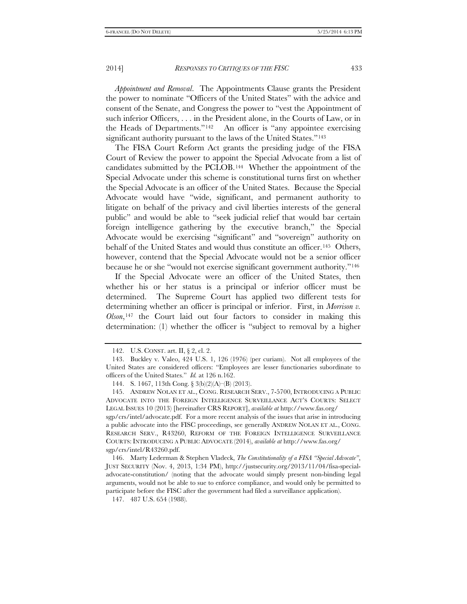*Appointment and Removal*. The Appointments Clause grants the President the power to nominate "Officers of the United States" with the advice and consent of the Senate, and Congress the power to "vest the Appointment of such inferior Officers, . . . in the President alone, in the Courts of Law, or in the Heads of Departments."[142](#page-24-0) An officer is "any appointee exercising significant authority pursuant to the laws of the United States."<sup>[143](#page-24-1)</sup>

The FISA Court Reform Act grants the presiding judge of the FISA Court of Review the power to appoint the Special Advocate from a list of candidates submitted by the PCLOB.[144](#page-24-2) Whether the appointment of the Special Advocate under this scheme is constitutional turns first on whether the Special Advocate is an officer of the United States. Because the Special Advocate would have "wide, significant, and permanent authority to litigate on behalf of the privacy and civil liberties interests of the general public" and would be able to "seek judicial relief that would bar certain foreign intelligence gathering by the executive branch," the Special Advocate would be exercising "significant" and "sovereign" authority on behalf of the United States and would thus constitute an officer.<sup>145</sup> Others, however, contend that the Special Advocate would not be a senior officer because he or she "would not exercise significant government authority."[146](#page-24-4)

If the Special Advocate were an officer of the United States, then whether his or her status is a principal or inferior officer must be determined. The Supreme Court has applied two different tests for determining whether an officer is principal or inferior. First, in *Morrison v. Olson*,[147](#page-24-5) the Court laid out four factors to consider in making this determination: (1) whether the officer is "subject to removal by a higher

<sup>142.</sup> U.S. CONST. art. II, § 2, cl. 2.

<span id="page-24-1"></span><span id="page-24-0"></span><sup>143.</sup> Buckley v. Valeo, 424 U.S. 1, 126 (1976) (per curiam). Not all employees of the United States are considered officers: "Employees are lesser functionaries subordinate to officers of the United States." *Id.* at 126 n.162.

<sup>144.</sup> S. 1467, 113th Cong. § 3(b)(2)(A)–(B) (2013).

<span id="page-24-3"></span><span id="page-24-2"></span><sup>145.</sup> ANDREW NOLAN ET AL., CONG. RESEARCH SERV., 7-5700, INTRODUCING A PUBLIC ADVOCATE INTO THE FOREIGN INTELLIGENCE SURVEILLANCE ACT'S COURTS: SELECT LEGAL ISSUES 10 (2013) [hereinafter CRS REPORT], *available at* http://www.fas.org/ sgp/crs/intel/advocate.pdf. For a more recent analysis of the issues that arise in introducing a public advocate into the FISC proceedings, see generally ANDREW NOLAN ET AL., CONG. RESEARCH SERV., R43260, REFORM OF THE FOREIGN INTELLIGENCE SURVEILLANCE COURTS: INTRODUCING A PUBLIC ADVOCATE (2014), *available at* http://www.fas.org/

sgp/crs/intel/R43260.pdf.

<span id="page-24-4"></span><sup>146.</sup> Marty Lederman & Stephen Vladeck, *The Constitutionality of a FISA "Special Advocate"*, JUST SECURITY (Nov. 4, 2013, 1:34 PM), http://justsecurity.org/2013/11/04/fisa-specialadvocate-constitution/ (noting that the advocate would simply present non-binding legal arguments, would not be able to sue to enforce compliance, and would only be permitted to participate before the FISC after the government had filed a surveillance application).

<span id="page-24-5"></span><sup>147.</sup> 487 U.S. 654 (1988).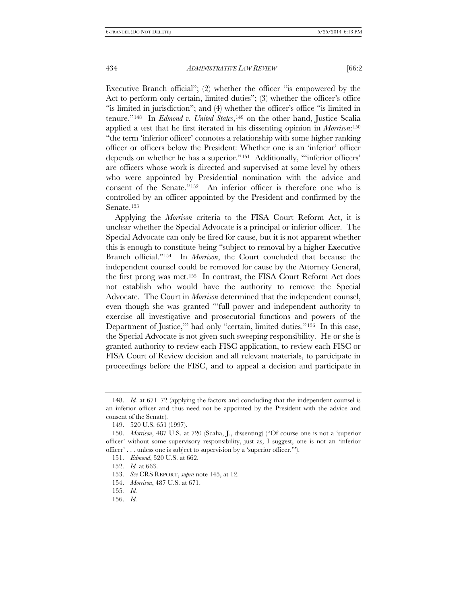Executive Branch official"; (2) whether the officer "is empowered by the Act to perform only certain, limited duties"; (3) whether the officer's office "is limited in jurisdiction"; and (4) whether the officer's office "is limited in tenure."[148](#page-25-0) In *Edmond v. United States*,[149](#page-25-1) on the other hand, Justice Scalia applied a test that he first iterated in his dissenting opinion in *Morrison*[:150](#page-25-2) "the term 'inferior officer' connotes a relationship with some higher ranking officer or officers below the President: Whether one is an 'inferior' officer depends on whether he has a superior.["151](#page-25-3) Additionally, "'inferior officers' are officers whose work is directed and supervised at some level by others who were appointed by Presidential nomination with the advice and consent of the Senate."[152](#page-25-4) An inferior officer is therefore one who is controlled by an officer appointed by the President and confirmed by the Senate.<sup>[153](#page-25-5)</sup>

Applying the *Morrison* criteria to the FISA Court Reform Act, it is unclear whether the Special Advocate is a principal or inferior officer. The Special Advocate can only be fired for cause, but it is not apparent whether this is enough to constitute being "subject to removal by a higher Executive Branch official."[154](#page-25-6) In *Morrison*, the Court concluded that because the independent counsel could be removed for cause by the Attorney General, the first prong was met.[155](#page-25-7) In contrast, the FISA Court Reform Act does not establish who would have the authority to remove the Special Advocate. The Court in *Morrison* determined that the independent counsel, even though she was granted "'full power and independent authority to exercise all investigative and prosecutorial functions and powers of the Department of Justice,'" had only "certain, limited duties."[156](#page-25-8) In this case, the Special Advocate is not given such sweeping responsibility. He or she is granted authority to review each FISC application, to review each FISC or FISA Court of Review decision and all relevant materials, to participate in proceedings before the FISC, and to appeal a decision and participate in

<span id="page-25-0"></span><sup>148.</sup> *Id.* at 671–72 (applying the factors and concluding that the independent counsel is an inferior officer and thus need not be appointed by the President with the advice and consent of the Senate).

<sup>149.</sup> 520 U.S. 651 (1997).

<span id="page-25-4"></span><span id="page-25-3"></span><span id="page-25-2"></span><span id="page-25-1"></span><sup>150.</sup> *Morrison*, 487 U.S. at 720 (Scalia, J., dissenting) ("Of course one is not a 'superior officer' without some supervisory responsibility, just as, I suggest, one is not an 'inferior officer' . . . unless one is subject to supervision by a 'superior officer.'").

<sup>151.</sup> *Edmond*, 520 U.S. at 662.

<sup>152.</sup> *Id.* at 663.

<span id="page-25-6"></span><span id="page-25-5"></span><sup>153.</sup> *See* CRS REPORT, *supra* note 145, at 12.

<span id="page-25-7"></span><sup>154.</sup> *Morrison*, 487 U.S. at 671.

<sup>155</sup>*. Id.*

<span id="page-25-8"></span><sup>156.</sup> *Id.*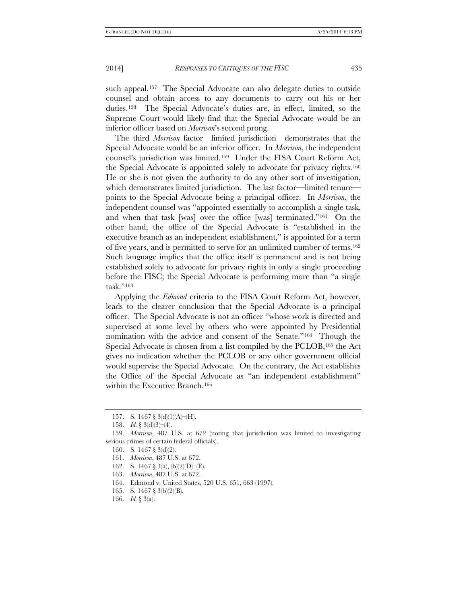such appeal.<sup>157</sup> The Special Advocate can also delegate duties to outside counsel and obtain access to any documents to carry out his or her duties.[158](#page-26-1) The Special Advocate's duties are, in effect, limited, so the Supreme Court would likely find that the Special Advocate would be an inferior officer based on *Morrison*'s second prong.

The third *Morrison* factor—limited jurisdiction—demonstrates that the Special Advocate would be an inferior officer. In *Morrison*, the independent counsel's jurisdiction was limited.[159](#page-26-2) Under the FISA Court Reform Act, the Special Advocate is appointed solely to advocate for privacy rights[.160](#page-26-3)  He or she is not given the authority to do any other sort of investigation, which demonstrates limited jurisdiction. The last factor—limited tenurepoints to the Special Advocate being a principal officer. In *Morrison*, the independent counsel was "appointed essentially to accomplish a single task, and when that task [was] over the office [was] terminated."[161](#page-26-4) On the other hand, the office of the Special Advocate is "established in the executive branch as an independent establishment," is appointed for a term of five years, and is permitted to serve for an unlimited number of terms[.162](#page-26-5)  Such language implies that the office itself is permanent and is not being established solely to advocate for privacy rights in only a single proceeding before the FISC; the Special Advocate is performing more than "a single task."[163](#page-26-6)

Applying the *Edmond* criteria to the FISA Court Reform Act, however, leads to the clearer conclusion that the Special Advocate is a principal officer. The Special Advocate is not an officer "whose work is directed and supervised at some level by others who were appointed by Presidential nomination with the advice and consent of the Senate."[164](#page-26-7) Though the Special Advocate is chosen from a list compiled by the PCLOB, [165](#page-26-8) the Act gives no indication whether the PCLOB or any other government official would supervise the Special Advocate. On the contrary, the Act establishes the Office of the Special Advocate as "an independent establishment" within the Executive Branch.[166](#page-26-9)

<sup>157.</sup> S. 1467 § 3(d)(1)(A)–(H).

<sup>158.</sup> *Id.* § 3(d)(3)–(4).

<span id="page-26-5"></span><span id="page-26-4"></span><span id="page-26-3"></span><span id="page-26-2"></span><span id="page-26-1"></span><span id="page-26-0"></span><sup>159.</sup> *Morrison*, 487 U.S. at 672 (noting that jurisdiction was limited to investigating serious crimes of certain federal officials).

<sup>160.</sup> S. 1467 § 3(d)(2).

<sup>161.</sup> *Morrison*, 487 U.S. at 672.

<sup>162.</sup> S. 1467 § 3(a), (b)(2)(D)–(E).

<span id="page-26-6"></span><sup>163.</sup> *Morrison*, 487 U.S. at 672.

<span id="page-26-7"></span><sup>164.</sup> Edmond v. United States, 520 U.S. 651, 663 (1997).

<span id="page-26-8"></span><sup>165.</sup> S. 1467 § 3(b)(2)(B).

<span id="page-26-9"></span><sup>166.</sup> *Id.* § 3(a).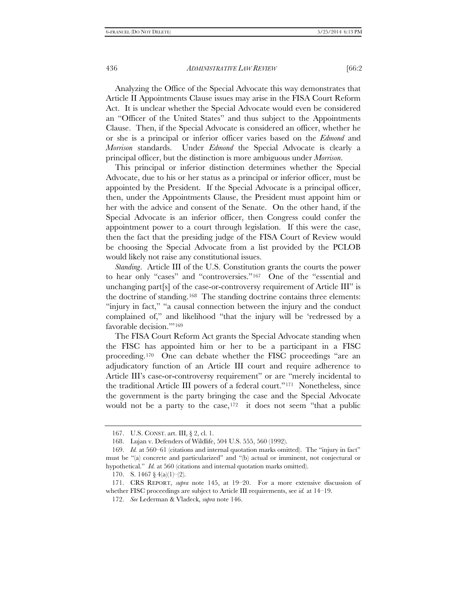Analyzing the Office of the Special Advocate this way demonstrates that Article II Appointments Clause issues may arise in the FISA Court Reform Act. It is unclear whether the Special Advocate would even be considered an "Officer of the United States" and thus subject to the Appointments Clause. Then, if the Special Advocate is considered an officer, whether he or she is a principal or inferior officer varies based on the *Edmond* and *Morrison* standards. Under *Edmond* the Special Advocate is clearly a principal officer, but the distinction is more ambiguous under *Morrison*.

This principal or inferior distinction determines whether the Special Advocate, due to his or her status as a principal or inferior officer, must be appointed by the President. If the Special Advocate is a principal officer, then, under the Appointments Clause, the President must appoint him or her with the advice and consent of the Senate. On the other hand, if the Special Advocate is an inferior officer, then Congress could confer the appointment power to a court through legislation. If this were the case, then the fact that the presiding judge of the FISA Court of Review would be choosing the Special Advocate from a list provided by the PCLOB would likely not raise any constitutional issues.

*Standing*. Article III of the U.S. Constitution grants the courts the power to hear only "cases" and "controversies."[167](#page-27-0) One of the "essential and unchanging part[s] of the case-or-controversy requirement of Article III" is the doctrine of standing.[168](#page-27-1) The standing doctrine contains three elements: "injury in fact," "a causal connection between the injury and the conduct complained of," and likelihood "that the injury will be 'redressed by a favorable decision."<sup>[169](#page-27-2)</sup>

The FISA Court Reform Act grants the Special Advocate standing when the FISC has appointed him or her to be a participant in a FISC proceeding.[170](#page-27-3) One can debate whether the FISC proceedings "are an adjudicatory function of an Article III court and require adherence to Article III's case-or-controversy requirement" or are "merely incidental to the traditional Article III powers of a federal court."[171](#page-27-4) Nonetheless, since the government is the party bringing the case and the Special Advocate would not be a party to the case,  $172$  it does not seem "that a public

<sup>167.</sup> U.S. CONST. art. III, § 2, cl. 1.

<sup>168.</sup> Lujan v. Defenders of Wildlife, 504 U.S. 555, 560 (1992).

<span id="page-27-2"></span><span id="page-27-1"></span><span id="page-27-0"></span><sup>169.</sup> *Id.* at 560–61 (citations and internal quotation marks omitted). The "injury in fact" must be "(a) concrete and particularized" and "(b) actual or imminent, not conjectural or hypothetical." *Id.* at 560 (citations and internal quotation marks omitted).

<sup>170.</sup> S. 1467 § 4(a)(1)–(2).

<span id="page-27-5"></span><span id="page-27-4"></span><span id="page-27-3"></span><sup>171.</sup> CRS REPORT, *supra* note 145, at 19–20. For a more extensive discussion of whether FISC proceedings are subject to Article III requirements, see *id.* at 14–19.

<sup>172.</sup> *See* Lederman & Vladeck, *supra* note 146.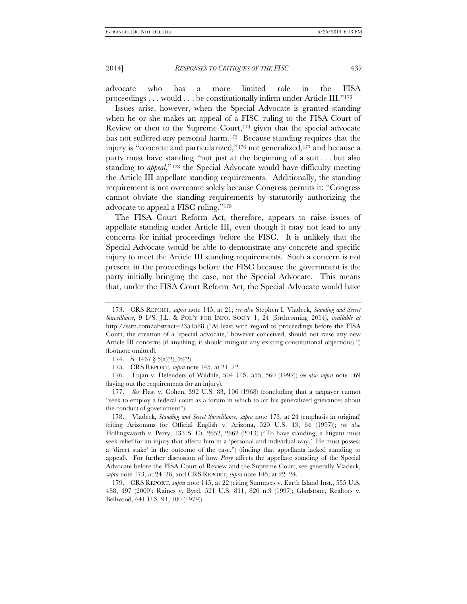advocate who has a more limited role in the FISA proceedings . . . would . . . be constitutionally infirm under Article III."[173](#page-28-0)

Issues arise, however, when the Special Advocate is granted standing when he or she makes an appeal of a FISC ruling to the FISA Court of Review or then to the Supreme Court,  $174$  given that the special advocate has not suffered any personal harm.<sup>175</sup> Because standing requires that the injury is "concrete and particularized,"[176](#page-28-3) not generalized,[177](#page-28-4) and because a party must have standing "not just at the beginning of a suit . . . but also standing to *appeal*,"[178](#page-28-5) the Special Advocate would have difficulty meeting the Article III appellate standing requirements. Additionally, the standing requirement is not overcome solely because Congress permits it: "Congress cannot obviate the standing requirements by statutorily authorizing the advocate to appeal a FISC ruling.["179](#page-28-6)

The FISA Court Reform Act, therefore, appears to raise issues of appellate standing under Article III, even though it may not lead to any concerns for initial proceedings before the FISC. It is unlikely that the Special Advocate would be able to demonstrate any concrete and specific injury to meet the Article III standing requirements. Such a concern is not present in the proceedings before the FISC because the government is the party initially bringing the case, not the Special Advocate. This means that, under the FISA Court Reform Act, the Special Advocate would have

<span id="page-28-0"></span><sup>173.</sup> CRS REPORT, *supra* note 145, at 21; *see also* Stephen I. Vladeck, *Standing and Secret Surveillance*, 9 I/S: J.L. & POL'Y FOR INFO. SOC'Y 1, 24 (forthcoming 2014), *available at* http://ssrn.com/abstract=2351588 ("At least with regard to proceedings before the FISA Court, the creation of a 'special advocate,' however conceived, should not raise any new Article III concerns (if anything, it should mitigate any existing constitutional objections).") (footnote omitted).

<sup>174.</sup> S. 1467 § 5(a)(2), (b)(2).

<sup>175.</sup> CRS REPORT, *supra* note 145, at 21–22.

<span id="page-28-3"></span><span id="page-28-2"></span><span id="page-28-1"></span><sup>176.</sup> Lujan v. Defenders of Wildlife, 504 U.S. 555, 560 (1992); *see also supra* note 169 (laying out the requirements for an injury).

<span id="page-28-4"></span><sup>177.</sup> *See* Flast v. Cohen, 392 U.S. 83, 106 (1968) (concluding that a taxpayer cannot "seek to employ a federal court as a forum in which to air his generalized grievances about the conduct of government").

<span id="page-28-5"></span><sup>178.</sup> Vladeck, *Standing and Secret Surveillance*, *supra* note 173, at 24 (emphasis in original) (citing Arizonans for Official English v. Arizona, 520 U.S. 43, 64 (1997)); *see also*  Hollingsworth v. Perry, 133 S. Ct. 2652, 2662 (2013) ("To have standing, a litigant must seek relief for an injury that affects him in a 'personal and individual way.' He must possess a 'direct stake' in the outcome of the case.") (finding that appellants lacked standing to appeal). For further discussion of how *Perry* affects the appellate standing of the Special Advocate before the FISA Court of Review and the Supreme Court, see generally Vladeck, *supra* note 173, at 24–26, and CRS REPORT, *supra* note 145, at 22–24.

<span id="page-28-6"></span><sup>179.</sup> CRS REPORT, *supra* note 145, at 22 (citing Summers v. Earth Island Inst., 555 U.S. 488, 497 (2009); Raines v. Byrd, 521 U.S. 811, 820 n.3 (1997); Gladstone, Realtors v. Bellwood, 441 U.S. 91, 100 (1979)).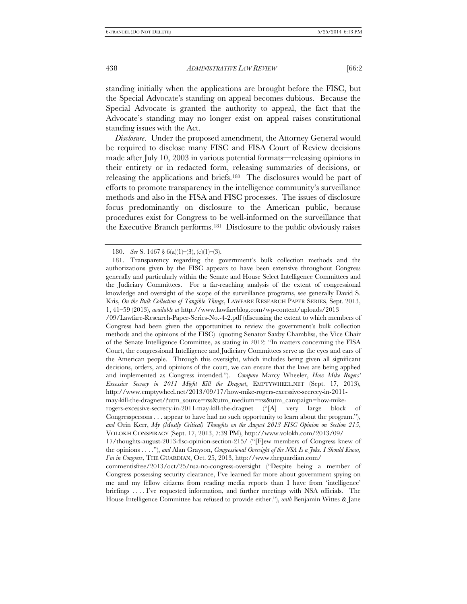standing initially when the applications are brought before the FISC, but the Special Advocate's standing on appeal becomes dubious. Because the Special Advocate is granted the authority to appeal, the fact that the Advocate's standing may no longer exist on appeal raises constitutional standing issues with the Act.

*Disclosure*. Under the proposed amendment, the Attorney General would be required to disclose many FISC and FISA Court of Review decisions made after July 10, 2003 in various potential formats—releasing opinions in their entirety or in redacted form, releasing summaries of decisions, or releasing the applications and briefs.[180](#page-29-0) The disclosures would be part of efforts to promote transparency in the intelligence community's surveillance methods and also in the FISA and FISC processes. The issues of disclosure focus predominantly on disclosure to the American public, because procedures exist for Congress to be well-informed on the surveillance that the Executive Branch performs.[181](#page-29-1) Disclosure to the public obviously raises

<sup>180.</sup> *See* S. 1467 § 6(a)(1)–(3), (c)(1)–(3).

<span id="page-29-1"></span><span id="page-29-0"></span><sup>181.</sup> Transparency regarding the government's bulk collection methods and the authorizations given by the FISC appears to have been extensive throughout Congress generally and particularly within the Senate and House Select Intelligence Committees and the Judiciary Committees. For a far-reaching analysis of the extent of congressional knowledge and oversight of the scope of the surveillance programs, see generally David S. Kris, *On the Bulk Collection of Tangible Things*, LAWFARE RESEARCH PAPER SERIES, Sept. 2013, 1, 41–59 (2013), *available at* http://www.lawfareblog.com/wp-content/uploads/2013

<sup>/09/</sup>Lawfare-Research-Paper-Series-No.-4-2.pdf (discussing the extent to which members of Congress had been given the opportunities to review the government's bulk collection methods and the opinions of the FISC) (quoting Senator Saxby Chambliss, the Vice Chair of the Senate Intelligence Committee, as stating in 2012: "In matters concerning the FISA Court, the congressional Intelligence and Judiciary Committees serve as the eyes and ears of the American people. Through this oversight, which includes being given all significant decisions, orders, and opinions of the court, we can ensure that the laws are being applied and implemented as Congress intended."). *Compare* Marcy Wheeler, *How Mike Rogers' Excessive Secrecy in 2011 Might Kill the Dragnet*, EMPTYWHEEL.NET (Sept. 17, 2013), http://www.emptywheel.net/2013/09/17/how-mike-rogers-excessive-secrecy-in-2011 may-kill-the-dragnet/?utm\_source=rss&utm\_medium=rss&utm\_campaign=how-mike-

rogers-excessive-secrecy-in-2011-may-kill-the-dragnet ("[A] very large block of Congresspersons . . . appear to have had no such opportunity to learn about the program."), *and* Orin Kerr, *My (Mostly Critical) Thoughts on the August 2013 FISC Opinion on Section 215*, VOLOKH CONSPIRACY (Sept. 17, 2013, 7:39 PM), http://www.volokh.com/2013/09/

<sup>17/</sup>thoughts-august-2013-fisc-opinion-section-215/ ("[F]ew members of Congress knew of the opinions . . . ."), *and* Alan Grayson, *Congressional Oversight of the NSA Is a Joke. I Should Know, I'm in Congress*, THE GUARDIAN, Oct. 25, 2013, http://www.theguardian.com/

commentisfree/2013/oct/25/nsa-no-congress-oversight ("Despite being a member of Congress possessing security clearance, I've learned far more about government spying on me and my fellow citizens from reading media reports than I have from 'intelligence' briefings . . . . I've requested information, and further meetings with NSA officials. The House Intelligence Committee has refused to provide either."), *with* Benjamin Wittes & Jane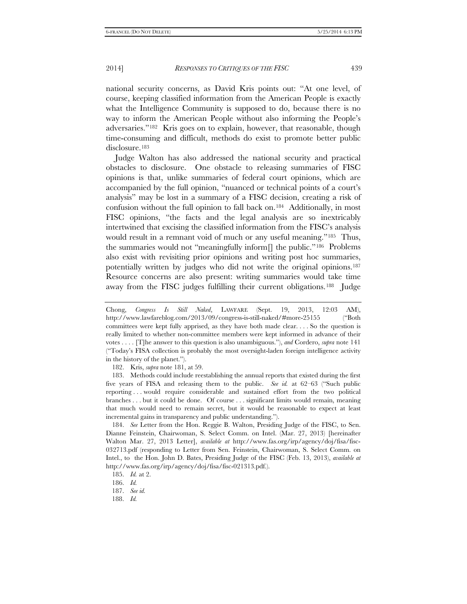national security concerns, as David Kris points out: "At one level, of course, keeping classified information from the American People is exactly what the Intelligence Community is supposed to do, because there is no way to inform the American People without also informing the People's adversaries."[182](#page-30-0) Kris goes on to explain, however, that reasonable, though time-consuming and difficult, methods do exist to promote better public disclosure[.183](#page-30-1)

Judge Walton has also addressed the national security and practical obstacles to disclosure. One obstacle to releasing summaries of FISC opinions is that, unlike summaries of federal court opinions, which are accompanied by the full opinion, "nuanced or technical points of a court's analysis" may be lost in a summary of a FISC decision, creating a risk of confusion without the full opinion to fall back on.[184](#page-30-2) Additionally, in most FISC opinions, "the facts and the legal analysis are so inextricably intertwined that excising the classified information from the FISC's analysis would result in a remnant void of much or any useful meaning."[185](#page-30-3) Thus, the summaries would not "meaningfully inform[] the public.["186](#page-30-4) Problems also exist with revisiting prior opinions and writing post hoc summaries, potentially written by judges who did not write the original opinions[.187](#page-30-5)  Resource concerns are also present: writing summaries would take time away from the FISC judges fulfilling their current obligations.[188](#page-30-6) Judge

182. Kris, *supra* note 181, at 59.

<span id="page-30-1"></span><span id="page-30-0"></span>183. Methods could include reestablishing the annual reports that existed during the first five years of FISA and releasing them to the public. *See id.* at 62–63 ("Such public reporting . . . would require considerable and sustained effort from the two political branches . . . but it could be done. Of course . . . significant limits would remain, meaning that much would need to remain secret, but it would be reasonable to expect at least incremental gains in transparency and public understanding.").

<span id="page-30-2"></span>184. *See* Letter from the Hon. Reggie B. Walton, Presiding Judge of the FISC, to Sen. Dianne Feinstein, Chairwoman, S. Select Comm. on Intel. (Mar. 27, 2013) [hereinafter Walton Mar. 27, 2013 Letter], *available at* [http://www.fas.org/irp/agency/doj/fisa/fisc-](http://www.fas.org/irp/agency/doj/fisa/fisc-032713.pdf)[032713.pdf](http://www.fas.org/irp/agency/doj/fisa/fisc-032713.pdf) (responding to Letter from Sen. Feinstein, Chairwoman, S. Select Comm. on Intel., to the Hon. John D. Bates, Presiding Judge of the FISC (Feb. 13, 2013), *available at* http://www.fas.org/irp/agency/doj/fisa/fisc-021313.pdf.).

Chong, *Congress Is Still Naked*, LAWFARE (Sept. 19, 2013, 12:03 AM), http://www.lawfareblog.com/2013/09/congress-is-still-naked/#more-25155 ("Both committees were kept fully apprised, as they have both made clear. . . . So the question is really limited to whether non-committee members were kept informed in advance of their votes . . . . [T]he answer to this question is also unambiguous."), *and* Cordero, *supra* note 141 ("Today's FISA collection is probably the most oversight-laden foreign intelligence activity in the history of the planet.").

<span id="page-30-3"></span><sup>185.</sup> *Id.* at 2.

<span id="page-30-4"></span><sup>186.</sup> *Id.*

<span id="page-30-5"></span><sup>187.</sup> *See id.*

<span id="page-30-6"></span><sup>188.</sup> *Id.*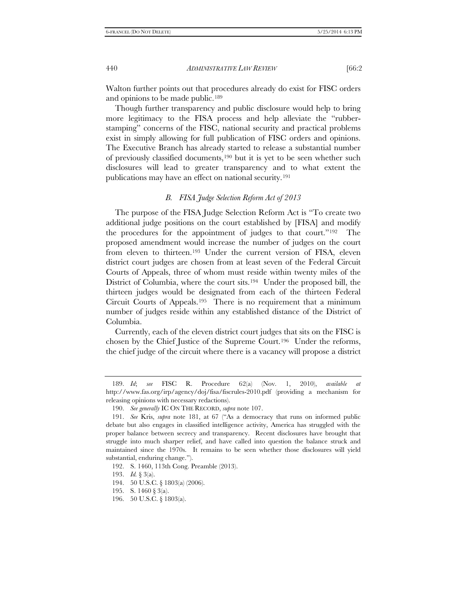Walton further points out that procedures already do exist for FISC orders and opinions to be made public.[189](#page-31-0)

Though further transparency and public disclosure would help to bring more legitimacy to the FISA process and help alleviate the "rubberstamping" concerns of the FISC, national security and practical problems exist in simply allowing for full publication of FISC orders and opinions. The Executive Branch has already started to release a substantial number of previously classified documents,[190](#page-31-1) but it is yet to be seen whether such disclosures will lead to greater transparency and to what extent the publications may have an effect on national security.[191](#page-31-2)

# *B. FISA Judge Selection Reform Act of 2013*

The purpose of the FISA Judge Selection Reform Act is "To create two additional judge positions on the court established by [FISA] and modify the procedures for the appointment of judges to that court."[192](#page-31-3) The proposed amendment would increase the number of judges on the court from eleven to thirteen.[193](#page-31-4) Under the current version of FISA, eleven district court judges are chosen from at least seven of the Federal Circuit Courts of Appeals, three of whom must reside within twenty miles of the District of Columbia, where the court sits.<sup>194</sup> Under the proposed bill, the thirteen judges would be designated from each of the thirteen Federal Circuit Courts of Appeals.[195](#page-31-6) There is no requirement that a minimum number of judges reside within any established distance of the District of Columbia.

Currently, each of the eleven district court judges that sits on the FISC is chosen by the Chief Justice of the Supreme Court.[196](#page-31-7) Under the reforms, the chief judge of the circuit where there is a vacancy will propose a district

<span id="page-31-0"></span><sup>189.</sup> *Id*; *see* FISC R. Procedure 62(a) (Nov. 1, 2010), *available at* http://www.fas.org/irp/agency/doj/fisa/fiscrules-2010.pdf (providing a mechanism for releasing opinions with necessary redactions).

<sup>190.</sup> *See generally* IC ON THE RECORD, *supra* note 107.

<span id="page-31-2"></span><span id="page-31-1"></span><sup>191.</sup> *See* Kris, *supra* note 181, at 67 ("As a democracy that runs on informed public debate but also engages in classified intelligence activity, America has struggled with the proper balance between secrecy and transparency. Recent disclosures have brought that struggle into much sharper relief, and have called into question the balance struck and maintained since the 1970s. It remains to be seen whether those disclosures will yield substantial, enduring change.").

<span id="page-31-3"></span><sup>192.</sup> S. 1460, 113th Cong. Preamble (2013).

<span id="page-31-4"></span><sup>193.</sup> *Id.* § 3(a).

<span id="page-31-5"></span><sup>194.</sup> 50 U.S.C. § 1803(a) (2006).

<span id="page-31-6"></span><sup>195.</sup> S. 1460 § 3(a).

<span id="page-31-7"></span><sup>196.</sup> 50 U.S.C. § 1803(a).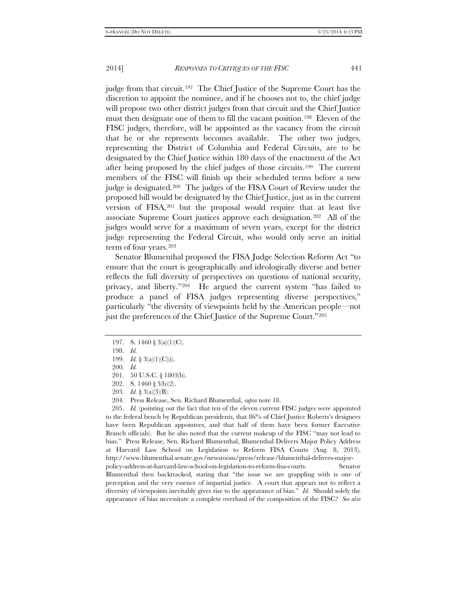judge from that circuit.[197](#page-32-0) The Chief Justice of the Supreme Court has the discretion to appoint the nominee, and if he chooses not to, the chief judge will propose two other district judges from that circuit and the Chief Justice must then designate one of them to fill the vacant position.[198](#page-32-1) Eleven of the FISC judges, therefore, will be appointed as the vacancy from the circuit that he or she represents becomes available. The other two judges, representing the District of Columbia and Federal Circuits, are to be designated by the Chief Justice within 180 days of the enactment of the Act after being proposed by the chief judges of those circuits.[199](#page-32-2) The current members of the FISC will finish up their scheduled terms before a new judge is designated.[200](#page-32-3) The judges of the FISA Court of Review under the proposed bill would be designated by the Chief Justice, just as in the current version of FISA,[201](#page-32-4) but the proposal would require that at least five associate Supreme Court justices approve each designation.[202](#page-32-5) All of the judges would serve for a maximum of seven years, except for the district judge representing the Federal Circuit, who would only serve an initial term of four years.[203](#page-32-6)

Senator Blumenthal proposed the FISA Judge Selection Reform Act "to ensure that the court is geographically and ideologically diverse and better reflects the full diversity of perspectives on questions of national security, privacy, and liberty."[204](#page-32-7) He argued the current system "has failed to produce a panel of FISA judges representing diverse perspectives," particularly "the diversity of viewpoints held by the American people—not just the preferences of the Chief Justice of the Supreme Court."[205](#page-32-8)

<span id="page-32-8"></span><span id="page-32-7"></span><span id="page-32-6"></span><span id="page-32-5"></span><span id="page-32-4"></span>205. *Id.* (pointing out the fact that ten of the eleven current FISC judges were appointed to the federal bench by Republican presidents, that 86% of Chief Justice Roberts's designees have been Republican appointees, and that half of them have been former Executive Branch officials). But he also noted that the current makeup of the FISC "may not lead to bias." Press Release, Sen. Richard Blumenthal, Blumenthal Delivers Major Policy Address at Harvard Law School on Legislation to Reform FISA Courts (Aug. 8, 2013), http://www.blumenthal.senate.gov/newsroom/press/release/blumenthal-delivers-majorpolicy-address-at-harvard-law-school-on-legislation-to-reform-fisa-courts. Senator Blumenthal then backtracked, stating that "the issue we are grappling with is one of perception and the very essence of impartial justice. A court that appears not to reflect a diversity of viewpoints inevitably gives rise to the appearance of bias." *Id.* Should solely the

appearance of bias necessitate a complete overhaul of the composition of the FISC? *See also*

<span id="page-32-0"></span><sup>197.</sup> S. 1460 § 3(a)(1)(C).

<span id="page-32-1"></span><sup>198.</sup> *Id.* 199. *Id.* § 3(a)(1)(C)(i).

<span id="page-32-3"></span><span id="page-32-2"></span><sup>200.</sup> *Id.*

<sup>201.</sup> 50 U.S.C. § 1803(b).

<sup>202.</sup> S. 1460 § 3(b)(2).

<sup>203.</sup> *Id.* § 3(a)(3)(B).

<sup>204.</sup> Press Release, Sen. Richard Blumenthal, *supra* note 18.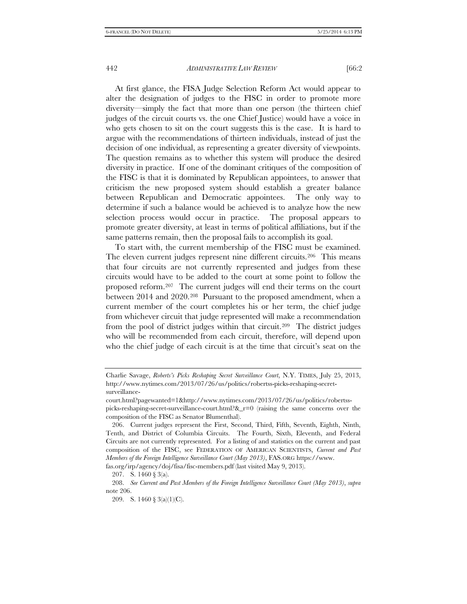At first glance, the FISA Judge Selection Reform Act would appear to alter the designation of judges to the FISC in order to promote more diversity—simply the fact that more than one person (the thirteen chief judges of the circuit courts vs. the one Chief Justice) would have a voice in who gets chosen to sit on the court suggests this is the case. It is hard to argue with the recommendations of thirteen individuals, instead of just the decision of one individual, as representing a greater diversity of viewpoints. The question remains as to whether this system will produce the desired diversity in practice. If one of the dominant critiques of the composition of the FISC is that it is dominated by Republican appointees, to answer that criticism the new proposed system should establish a greater balance between Republican and Democratic appointees. The only way to determine if such a balance would be achieved is to analyze how the new selection process would occur in practice. The proposal appears to promote greater diversity, at least in terms of political affiliations, but if the same patterns remain, then the proposal fails to accomplish its goal.

To start with, the current membership of the FISC must be examined. The eleven current judges represent nine different circuits.[206](#page-33-0) This means that four circuits are not currently represented and judges from these circuits would have to be added to the court at some point to follow the proposed reform.[207](#page-33-1) The current judges will end their terms on the court between 2014 and 2020.[208](#page-33-2) Pursuant to the proposed amendment, when a current member of the court completes his or her term, the chief judge from whichever circuit that judge represented will make a recommendation from the pool of district judges within that circuit.[209](#page-33-3) The district judges who will be recommended from each circuit, therefore, will depend upon who the chief judge of each circuit is at the time that circuit's seat on the

Charlie Savage, *Roberts's Picks Reshaping Secret Surveillance Court*, N.Y. TIMES, July 25, 2013, http://www.nytimes.com/2013/07/26/us/politics/robertss-picks-reshaping-secretsurveillance-

court.html?pagewanted=1&http://www.nytimes.com/2013/07/26/us/politics/robertsspicks-reshaping-secret-surveillance-court.html? $&r=0$  (raising the same concerns over the composition of the FISC as Senator Blumenthal).

<span id="page-33-0"></span><sup>206.</sup> Current judges represent the First, Second, Third, Fifth, Seventh, Eighth, Ninth, Tenth, and District of Columbia Circuits. The Fourth, Sixth, Eleventh, and Federal Circuits are not currently represented. For a listing of and statistics on the current and past composition of the FISC, see FEDERATION OF AMERICAN SCIENTISTS, *Current and Past Members of the Foreign Intelligence Surveillance Court (May 2013)*, FAS.ORG https://www.

<span id="page-33-1"></span>fas.org/irp/agency/doj/fisa/fisc-members.pdf (last visited May 9, 2013).

<sup>207.</sup> S. 1460 § 3(a).

<span id="page-33-3"></span><span id="page-33-2"></span><sup>208.</sup> *See Current and Past Members of the Foreign Intelligence Surveillance Court (May 2013)*, *supra* note 206.

<sup>209.</sup> S. 1460 § 3(a)(1)(C).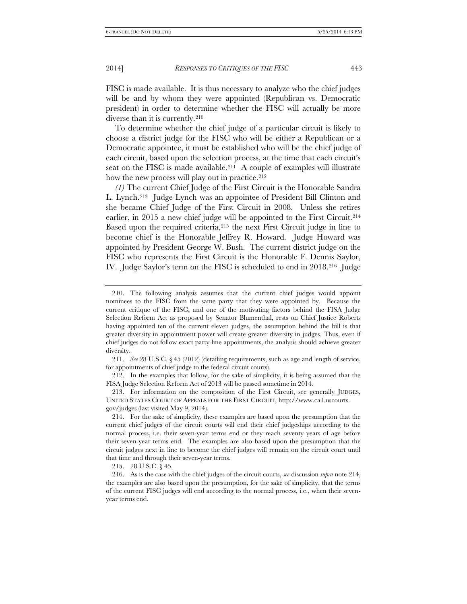FISC is made available. It is thus necessary to analyze who the chief judges will be and by whom they were appointed (Republican vs. Democratic president) in order to determine whether the FISC will actually be more diverse than it is currently[.210](#page-34-0)

To determine whether the chief judge of a particular circuit is likely to choose a district judge for the FISC who will be either a Republican or a Democratic appointee, it must be established who will be the chief judge of each circuit, based upon the selection process, at the time that each circuit's seat on the FISC is made available.<sup>[211](#page-34-1)</sup> A couple of examples will illustrate how the new process will play out in practice.<sup>[212](#page-34-2)</sup>

*(1)* The current Chief Judge of the First Circuit is the Honorable Sandra L. Lynch[.213](#page-34-3) Judge Lynch was an appointee of President Bill Clinton and she became Chief Judge of the First Circuit in 2008. Unless she retires earlier, in 2015 a new chief judge will be appointed to the First Circuit.<sup>214</sup> Based upon the required criteria,<sup>[215](#page-34-5)</sup> the next First Circuit judge in line to become chief is the Honorable Jeffrey R. Howard. Judge Howard was appointed by President George W. Bush. The current district judge on the FISC who represents the First Circuit is the Honorable F. Dennis Saylor, IV. Judge Saylor's term on the FISC is scheduled to end in 2018.[216](#page-34-6) Judge

<span id="page-34-0"></span><sup>210.</sup> The following analysis assumes that the current chief judges would appoint nominees to the FISC from the same party that they were appointed by. Because the current critique of the FISC, and one of the motivating factors behind the FISA Judge Selection Reform Act as proposed by Senator Blumenthal, rests on Chief Justice Roberts having appointed ten of the current eleven judges, the assumption behind the bill is that greater diversity in appointment power will create greater diversity in judges. Thus, even if chief judges do not follow exact party-line appointments, the analysis should achieve greater diversity.

<span id="page-34-1"></span><sup>211.</sup> *See* 28 U.S.C. § 45 (2012) (detailing requirements, such as age and length of service, for appointments of chief judge to the federal circuit courts).

<span id="page-34-2"></span><sup>212.</sup> In the examples that follow, for the sake of simplicity, it is being assumed that the FISA Judge Selection Reform Act of 2013 will be passed sometime in 2014.

<span id="page-34-3"></span><sup>213.</sup> For information on the composition of the First Circuit, see generally JUDGES, UNITED STATES COURT OF APPEALS FOR THE FIRST CIRCUIT, http://www.ca1.uscourts. gov/judges (last visited May 9, 2014).

<span id="page-34-4"></span><sup>214.</sup> For the sake of simplicity, these examples are based upon the presumption that the current chief judges of the circuit courts will end their chief judgeships according to the normal process, i.e. their seven-year terms end or they reach seventy years of age before their seven-year terms end. The examples are also based upon the presumption that the circuit judges next in line to become the chief judges will remain on the circuit court until that time and through their seven-year terms.

<sup>215.</sup> 28 U.S.C. § 45.

<span id="page-34-6"></span><span id="page-34-5"></span><sup>216.</sup> As is the case with the chief judges of the circuit courts, *see* discussion *supra* note 214, the examples are also based upon the presumption, for the sake of simplicity, that the terms of the current FISC judges will end according to the normal process, i.e., when their sevenyear terms end.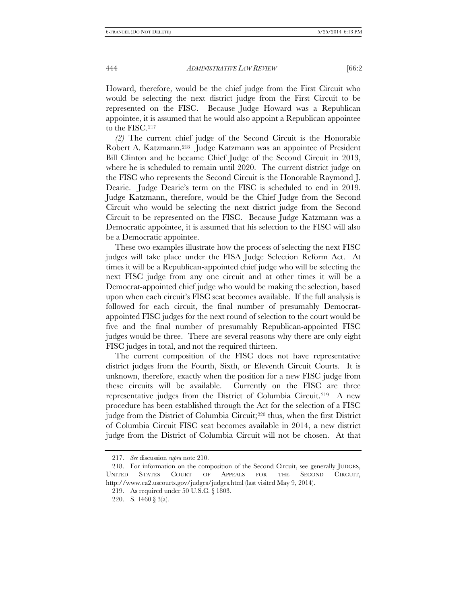Howard, therefore, would be the chief judge from the First Circuit who would be selecting the next district judge from the First Circuit to be represented on the FISC. Because Judge Howard was a Republican appointee, it is assumed that he would also appoint a Republican appointee to the FISC.[217](#page-35-0)

*(2)* The current chief judge of the Second Circuit is the Honorable Robert A. Katzmann.[218](#page-35-1) Judge Katzmann was an appointee of President Bill Clinton and he became Chief Judge of the Second Circuit in 2013, where he is scheduled to remain until 2020. The current district judge on the FISC who represents the Second Circuit is the Honorable Raymond J. Dearie. Judge Dearie's term on the FISC is scheduled to end in 2019. Judge Katzmann, therefore, would be the Chief Judge from the Second Circuit who would be selecting the next district judge from the Second Circuit to be represented on the FISC. Because Judge Katzmann was a Democratic appointee, it is assumed that his selection to the FISC will also be a Democratic appointee.

These two examples illustrate how the process of selecting the next FISC judges will take place under the FISA Judge Selection Reform Act. At times it will be a Republican-appointed chief judge who will be selecting the next FISC judge from any one circuit and at other times it will be a Democrat-appointed chief judge who would be making the selection, based upon when each circuit's FISC seat becomes available. If the full analysis is followed for each circuit, the final number of presumably Democratappointed FISC judges for the next round of selection to the court would be five and the final number of presumably Republican-appointed FISC judges would be three. There are several reasons why there are only eight FISC judges in total, and not the required thirteen.

The current composition of the FISC does not have representative district judges from the Fourth, Sixth, or Eleventh Circuit Courts. It is unknown, therefore, exactly when the position for a new FISC judge from these circuits will be available. Currently on the FISC are three representative judges from the District of Columbia Circuit.[219](#page-35-2) A new procedure has been established through the Act for the selection of a FISC judge from the District of Columbia Circuit;[220](#page-35-3) thus, when the first District of Columbia Circuit FISC seat becomes available in 2014, a new district judge from the District of Columbia Circuit will not be chosen. At that

<sup>217.</sup> *See* discussion *supra* note 210.

<span id="page-35-3"></span><span id="page-35-2"></span><span id="page-35-1"></span><span id="page-35-0"></span><sup>218.</sup> For information on the composition of the Second Circuit, see generally JUDGES, UNITED STATES COURT OF APPEALS FOR THE SECOND CIRCUIT, http://www.ca2.uscourts.gov/judges/judges.html (last visited May 9, 2014).

<sup>219.</sup> As required under 50 U.S.C. § 1803.

<sup>220.</sup> S. 1460 § 3(a).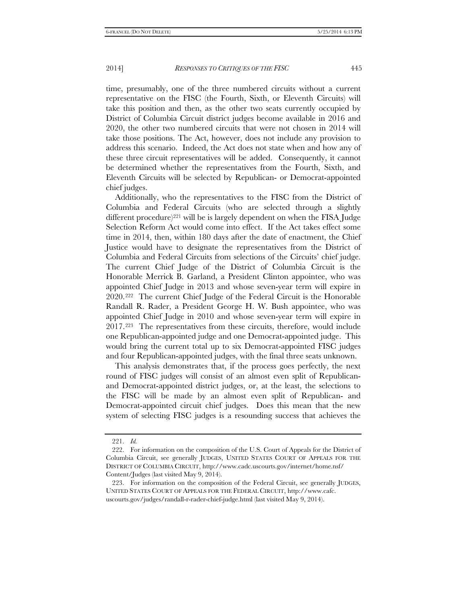time, presumably, one of the three numbered circuits without a current representative on the FISC (the Fourth, Sixth, or Eleventh Circuits) will take this position and then, as the other two seats currently occupied by District of Columbia Circuit district judges become available in 2016 and 2020, the other two numbered circuits that were not chosen in 2014 will take those positions. The Act, however, does not include any provision to address this scenario. Indeed, the Act does not state when and how any of these three circuit representatives will be added. Consequently, it cannot be determined whether the representatives from the Fourth, Sixth, and Eleventh Circuits will be selected by Republican- or Democrat-appointed chief judges.

Additionally, who the representatives to the FISC from the District of Columbia and Federal Circuits (who are selected through a slightly different procedure)<sup>[221](#page-36-0)</sup> will be is largely dependent on when the FISA Judge Selection Reform Act would come into effect. If the Act takes effect some time in 2014, then, within 180 days after the date of enactment, the Chief Justice would have to designate the representatives from the District of Columbia and Federal Circuits from selections of the Circuits' chief judge. The current Chief Judge of the District of Columbia Circuit is the Honorable Merrick B. Garland, a President Clinton appointee, who was appointed Chief Judge in 2013 and whose seven-year term will expire in 2020.[222](#page-36-1) The current Chief Judge of the Federal Circuit is the Honorable Randall R. Rader, a President George H. W. Bush appointee, who was appointed Chief Judge in 2010 and whose seven-year term will expire in 2017.[223](#page-36-2) The representatives from these circuits, therefore, would include one Republican-appointed judge and one Democrat-appointed judge. This would bring the current total up to six Democrat-appointed FISC judges and four Republican-appointed judges, with the final three seats unknown.

This analysis demonstrates that, if the process goes perfectly, the next round of FISC judges will consist of an almost even split of Republicanand Democrat-appointed district judges, or, at the least, the selections to the FISC will be made by an almost even split of Republican- and Democrat-appointed circuit chief judges. Does this mean that the new system of selecting FISC judges is a resounding success that achieves the

<sup>221.</sup> *Id.*

<span id="page-36-1"></span><span id="page-36-0"></span><sup>222.</sup> For information on the composition of the U.S. Court of Appeals for the District of Columbia Circuit, see generally JUDGES, UNITED STATES COURT OF APPEALS FOR THE DISTRICT OF COLUMBIA CIRCUIT, http://www.cadc.uscourts.gov/internet/home.nsf/ Content/Judges (last visited May 9, 2014).

<span id="page-36-2"></span><sup>223.</sup> For information on the composition of the Federal Circuit, see generally JUDGES, UNITED STATES COURT OF APPEALS FOR THE FEDERAL CIRCUIT, http://www.cafc. uscourts.gov/judges/randall-r-rader-chief-judge.html (last visited May 9, 2014).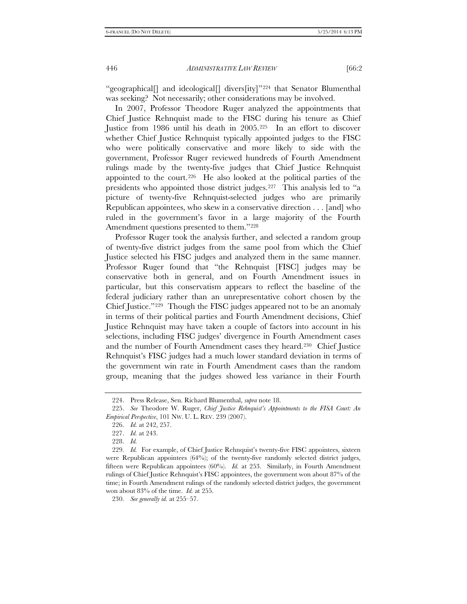"geographical<sup>[]</sup> and ideological<sup>[]</sup> divers<sup>[ity]"[224](#page-37-0)</sup> that Senator Blumenthal was seeking? Not necessarily; other considerations may be involved.

In 2007, Professor Theodore Ruger analyzed the appointments that Chief Justice Rehnquist made to the FISC during his tenure as Chief Justice from 1986 until his death in 2005[.225](#page-37-1) In an effort to discover whether Chief Justice Rehnquist typically appointed judges to the FISC who were politically conservative and more likely to side with the government, Professor Ruger reviewed hundreds of Fourth Amendment rulings made by the twenty-five judges that Chief Justice Rehnquist appointed to the court.[226](#page-37-2) He also looked at the political parties of the presidents who appointed those district judges[.227](#page-37-3) This analysis led to "a picture of twenty-five Rehnquist-selected judges who are primarily Republican appointees, who skew in a conservative direction . . . [and] who ruled in the government's favor in a large majority of the Fourth Amendment questions presented to them."<sup>[228](#page-37-4)</sup>

Professor Ruger took the analysis further, and selected a random group of twenty-five district judges from the same pool from which the Chief Justice selected his FISC judges and analyzed them in the same manner. Professor Ruger found that "the Rehnquist [FISC] judges may be conservative both in general, and on Fourth Amendment issues in particular, but this conservatism appears to reflect the baseline of the federal judiciary rather than an unrepresentative cohort chosen by the Chief Justice."[229](#page-37-5) Though the FISC judges appeared not to be an anomaly in terms of their political parties and Fourth Amendment decisions, Chief Justice Rehnquist may have taken a couple of factors into account in his selections, including FISC judges' divergence in Fourth Amendment cases and the number of Fourth Amendment cases they heard.[230](#page-37-6) Chief Justice Rehnquist's FISC judges had a much lower standard deviation in terms of the government win rate in Fourth Amendment cases than the random group, meaning that the judges showed less variance in their Fourth

<sup>224.</sup> Press Release, Sen. Richard Blumenthal, *supra* note 18.

<span id="page-37-2"></span><span id="page-37-1"></span><span id="page-37-0"></span><sup>225.</sup> *See* Theodore W. Ruger, *Chief Justice Rehnquist's Appointments to the FISA Court: An Empirical Perspective*, 101 NW. U. L. REV. 239 (2007).

<sup>226.</sup> *Id.* at 242, 257.

<sup>227.</sup> *Id.* at 243.

<sup>228.</sup> *Id.*

<span id="page-37-5"></span><span id="page-37-4"></span><span id="page-37-3"></span><sup>229.</sup> *Id.* For example, of Chief Justice Rehnquist's twenty-five FISC appointees, sixteen were Republican appointees  $(64%)$ ; of the twenty-five randomly selected district judges, fifteen were Republican appointees (60%). *Id.* at 253. Similarly, in Fourth Amendment rulings of Chief Justice Rehnquist's FISC appointees, the government won about 87% of the time; in Fourth Amendment rulings of the randomly selected district judges, the government won about 83% of the time. *Id.* at 255.

<span id="page-37-6"></span><sup>230.</sup> *See generally id.* at 255–57.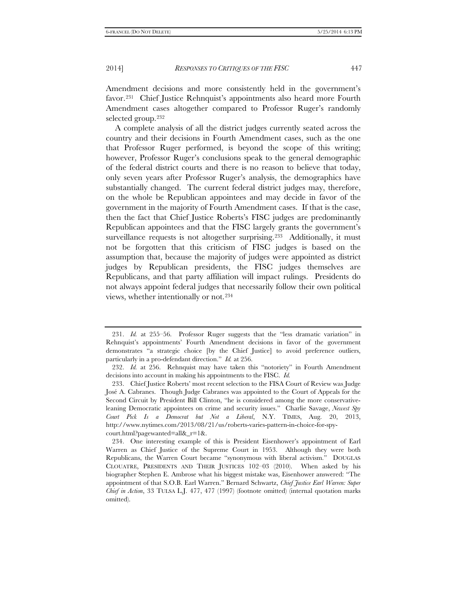Amendment decisions and more consistently held in the government's favor.[231](#page-38-0) Chief Justice Rehnquist's appointments also heard more Fourth Amendment cases altogether compared to Professor Ruger's randomly selected group[.232](#page-38-1)

A complete analysis of all the district judges currently seated across the country and their decisions in Fourth Amendment cases, such as the one that Professor Ruger performed, is beyond the scope of this writing; however, Professor Ruger's conclusions speak to the general demographic of the federal district courts and there is no reason to believe that today, only seven years after Professor Ruger's analysis, the demographics have substantially changed. The current federal district judges may, therefore, on the whole be Republican appointees and may decide in favor of the government in the majority of Fourth Amendment cases. If that is the case, then the fact that Chief Justice Roberts's FISC judges are predominantly Republican appointees and that the FISC largely grants the government's surveillance requests is not altogether surprising.<sup>233</sup> Additionally, it must not be forgotten that this criticism of FISC judges is based on the assumption that, because the majority of judges were appointed as district judges by Republican presidents, the FISC judges themselves are Republicans, and that party affiliation will impact rulings. Presidents do not always appoint federal judges that necessarily follow their own political views, whether intentionally or not.[234](#page-38-3)

<span id="page-38-0"></span><sup>231.</sup> *Id.* at 255–56. Professor Ruger suggests that the "less dramatic variation" in Rehnquist's appointments' Fourth Amendment decisions in favor of the government demonstrates "a strategic choice [by the Chief Justice] to avoid preference outliers, particularly in a pro-defendant direction." *Id.* at 256.

<sup>232.</sup> *Id.* at 256. Rehnquist may have taken this "notoriety" in Fourth Amendment decisions into account in making his appointments to the FISC. *Id.*

<span id="page-38-2"></span><span id="page-38-1"></span><sup>233.</sup> Chief Justice Roberts' most recent selection to the FISA Court of Review was Judge José A. Cabranes. Though Judge Cabranes was appointed to the Court of Appeals for the Second Circuit by President Bill Clinton, "he is considered among the more conservativeleaning Democratic appointees on crime and security issues." Charlie Savage, *Newest Spy Court Pick Is a Democrat but Not a Liberal*, N.Y. TIMES, Aug. 20, 2013, http://www.nytimes.com/2013/08/21/us/roberts-varies-pattern-in-choice-for-spycourt.html?pagewanted=all&\_r=1&.

<span id="page-38-3"></span><sup>234.</sup> One interesting example of this is President Eisenhower's appointment of Earl Warren as Chief Justice of the Supreme Court in 1953. Although they were both Republicans, the Warren Court became "synonymous with liberal activism." DOUGLAS CLOUATRE, PRESIDENTS AND THEIR JUSTICES 102–03 (2010). When asked by his biographer Stephen E. Ambrose what his biggest mistake was, Eisenhower answered: "The appointment of that S.O.B. Earl Warren." Bernard Schwartz, *Chief Justice Earl Warren: Super Chief in Action*, 33 TULSA L.J. 477, 477 (1997) (footnote omitted) (internal quotation marks omitted).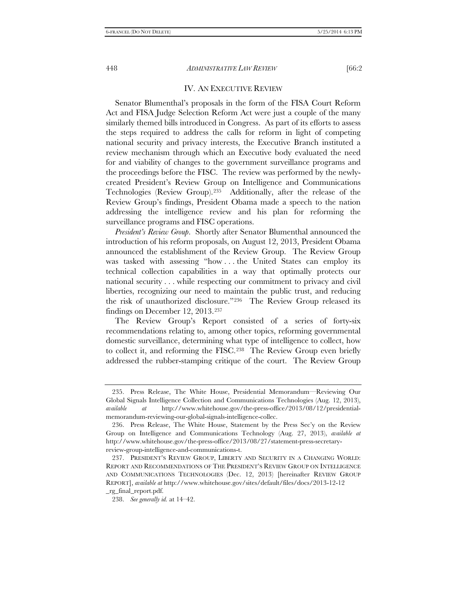## IV. AN EXECUTIVE REVIEW

Senator Blumenthal's proposals in the form of the FISA Court Reform Act and FISA Judge Selection Reform Act were just a couple of the many similarly themed bills introduced in Congress. As part of its efforts to assess the steps required to address the calls for reform in light of competing national security and privacy interests, the Executive Branch instituted a review mechanism through which an Executive body evaluated the need for and viability of changes to the government surveillance programs and the proceedings before the FISC. The review was performed by the newlycreated President's Review Group on Intelligence and Communications Technologies (Review Group).[235](#page-39-0) Additionally, after the release of the Review Group's findings, President Obama made a speech to the nation addressing the intelligence review and his plan for reforming the surveillance programs and FISC operations.

*President's Review Group*. Shortly after Senator Blumenthal announced the introduction of his reform proposals, on August 12, 2013, President Obama announced the establishment of the Review Group. The Review Group was tasked with assessing "how . . . the United States can employ its technical collection capabilities in a way that optimally protects our national security . . . while respecting our commitment to privacy and civil liberties, recognizing our need to maintain the public trust, and reducing the risk of unauthorized disclosure."[236](#page-39-1) The Review Group released its findings on December 12, 2013.[237](#page-39-2)

The Review Group's Report consisted of a series of forty-six recommendations relating to, among other topics, reforming governmental domestic surveillance, determining what type of intelligence to collect, how to collect it, and reforming the FISC.[238](#page-39-3) The Review Group even briefly addressed the rubber-stamping critique of the court. The Review Group

<span id="page-39-0"></span><sup>235.</sup> Press Release, The White House, Presidential Memorandum—Reviewing Our Global Signals Intelligence Collection and Communications Technologies (Aug. 12, 2013), *available at* http://www.whitehouse.gov/the-press-office/2013/08/12/presidentialmemorandum-reviewing-our-global-signals-intelligence-collec.

<span id="page-39-1"></span><sup>236.</sup> Press Release, The White House, Statement by the Press Sec'y on the Review Group on Intelligence and Communications Technology (Aug. 27, 2013), *available at*  http://www.whitehouse.gov/the-press-office/2013/08/27/statement-press-secretaryreview-group-intelligence-and-communications-t.

<span id="page-39-2"></span><sup>237.</sup> PRESIDENT'S REVIEW GROUP, LIBERTY AND SECURITY IN A CHANGING WORLD: REPORT AND RECOMMENDATIONS OF THE PRESIDENT'S REVIEW GROUP ON INTELLIGENCE AND COMMUNICATIONS TECHNOLOGIES (Dec. 12, 2013) [hereinafter REVIEW GROUP REPORT], *available at* http://www.whitehouse.gov/sites/default/files/docs/2013-12-12 \_rg\_final\_report.pdf.

<span id="page-39-3"></span><sup>238.</sup> *See generally id.* at 14–42.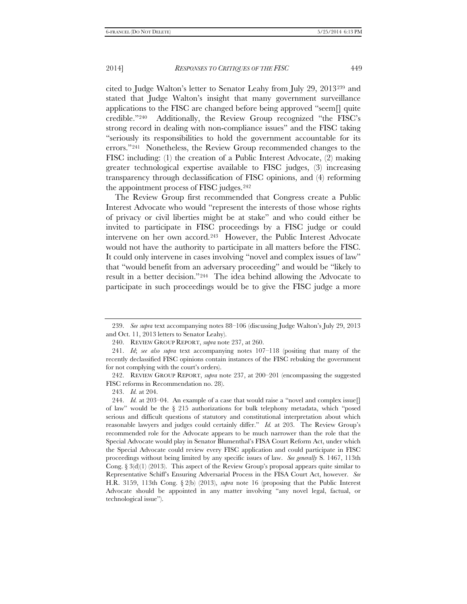cited to Judge Walton's letter to Senator Leahy from July 29, 2013[239](#page-40-0) and stated that Judge Walton's insight that many government surveillance applications to the FISC are changed before being approved "seem[] quite credible.["240](#page-40-1) Additionally, the Review Group recognized "the FISC's strong record in dealing with non-compliance issues" and the FISC taking "seriously its responsibilities to hold the government accountable for its errors."[241](#page-40-2) Nonetheless, the Review Group recommended changes to the FISC including: (1) the creation of a Public Interest Advocate, (2) making greater technological expertise available to FISC judges, (3) increasing transparency through declassification of FISC opinions, and (4) reforming the appointment process of FISC judges.[242](#page-40-3)

The Review Group first recommended that Congress create a Public Interest Advocate who would "represent the interests of those whose rights of privacy or civil liberties might be at stake" and who could either be invited to participate in FISC proceedings by a FISC judge or could intervene on her own accord.[243](#page-40-4) However, the Public Interest Advocate would not have the authority to participate in all matters before the FISC. It could only intervene in cases involving "novel and complex issues of law" that "would benefit from an adversary proceeding" and would be "likely to result in a better decision."[244](#page-40-5) The idea behind allowing the Advocate to participate in such proceedings would be to give the FISC judge a more

<span id="page-40-0"></span><sup>239.</sup> *See supra* text accompanying notes 88–106 (discussing Judge Walton's July 29, 2013 and Oct. 11, 2013 letters to Senator Leahy).

<sup>240.</sup> REVIEW GROUP REPORT, *supra* note 237, at 260.

<span id="page-40-2"></span><span id="page-40-1"></span><sup>241.</sup> *Id*; *see also supra* text accompanying notes 107–118 (positing that many of the recently declassified FISC opinions contain instances of the FISC rebuking the government for not complying with the court's orders).

<span id="page-40-3"></span><sup>242.</sup> REVIEW GROUP REPORT, *supra* note 237, at 200–201 (encompassing the suggested FISC reforms in Recommendation no. 28).

<sup>243.</sup> *Id.* at 204.

<span id="page-40-5"></span><span id="page-40-4"></span><sup>244.</sup> *Id.* at 203–04. An example of a case that would raise a "novel and complex issue] of law" would be the  $\S$  215 authorizations for bulk telephony metadata, which "posed serious and difficult questions of statutory and constitutional interpretation about which reasonable lawyers and judges could certainly differ." *Id.* at 203. The Review Group's recommended role for the Advocate appears to be much narrower than the role that the Special Advocate would play in Senator Blumenthal's FISA Court Reform Act, under which the Special Advocate could review every FISC application and could participate in FISC proceedings without being limited by any specific issues of law. *See generally* S. 1467, 113th Cong. § 3(d)(1) (2013). This aspect of the Review Group's proposal appears quite similar to Representative Schiff's Ensuring Adversarial Process in the FISA Court Act, however. *See* H.R. 3159, 113th Cong. § 2(b) (2013), *supra* note 16 (proposing that the Public Interest Advocate should be appointed in any matter involving "any novel legal, factual, or technological issue").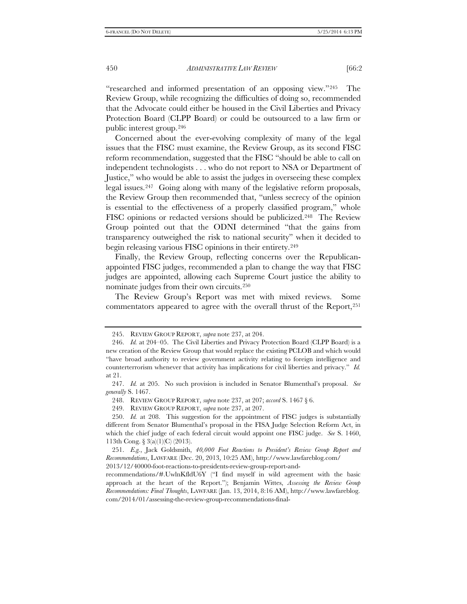"researched and informed presentation of an opposing view."[245](#page-41-0) The Review Group, while recognizing the difficulties of doing so, recommended that the Advocate could either be housed in the Civil Liberties and Privacy Protection Board (CLPP Board) or could be outsourced to a law firm or public interest group[.246](#page-41-1)

Concerned about the ever-evolving complexity of many of the legal issues that the FISC must examine, the Review Group, as its second FISC reform recommendation, suggested that the FISC "should be able to call on independent technologists . . . who do not report to NSA or Department of Justice," who would be able to assist the judges in overseeing these complex legal issues.[247](#page-41-2) Going along with many of the legislative reform proposals, the Review Group then recommended that, "unless secrecy of the opinion is essential to the effectiveness of a properly classified program," whole FISC opinions or redacted versions should be publicized.<sup>248</sup> The Review Group pointed out that the ODNI determined "that the gains from transparency outweighed the risk to national security" when it decided to begin releasing various FISC opinions in their entirety.<sup>[249](#page-41-4)</sup>

Finally, the Review Group, reflecting concerns over the Republicanappointed FISC judges, recommended a plan to change the way that FISC judges are appointed, allowing each Supreme Court justice the ability to nominate judges from their own circuits.[250](#page-41-5)

The Review Group's Report was met with mixed reviews. Some commentators appeared to agree with the overall thrust of the Report[,251](#page-41-6) 

<sup>245.</sup> REVIEW GROUP REPORT, *supra* note 237, at 204.

<span id="page-41-1"></span><span id="page-41-0"></span><sup>246.</sup> *Id.* at 204–05. The Civil Liberties and Privacy Protection Board (CLPP Board) is a new creation of the Review Group that would replace the existing PCLOB and which would "have broad authority to review government activity relating to foreign intelligence and counterterrorism whenever that activity has implications for civil liberties and privacy." *Id.* at 21.

<span id="page-41-3"></span><span id="page-41-2"></span><sup>247.</sup> *Id.* at 205. No such provision is included in Senator Blumenthal's proposal. *See generally* S. 1467.

<sup>248.</sup> REVIEW GROUP REPORT, *supra* note 237, at 207; *accord* S. 1467 § 6.

<sup>249.</sup> REVIEW GROUP REPORT, *supra* note 237, at 207.

<span id="page-41-5"></span><span id="page-41-4"></span><sup>250.</sup> *Id.* at 208. This suggestion for the appointment of FISC judges is substantially different from Senator Blumenthal's proposal in the FISA Judge Selection Reform Act, in which the chief judge of each federal circuit would appoint one FISC judge. *See* S. 1460, 113th Cong. § 3(a)(1)(C) (2013).

<span id="page-41-6"></span><sup>251.</sup> *E.g.*, Jack Goldsmith, *40,000 Foot Reactions to President's Review Group Report and Recommendations*, LAWFARE (Dec. 20, 2013, 10:25 AM), http://www.lawfareblog.com/

<sup>2013/12/40000-</sup>foot-reactions-to-presidents-review-group-report-and-

recommendations/#.UwlnKfldU6Y ("I find myself in wild agreement with the basic approach at the heart of the Report."); Benjamin Wittes, *Assessing the Review Group Recommendations: Final Thoughts*, LAWFARE (Jan. 13, 2014, 8:16 AM), http://www.lawfareblog. com/2014/01/assessing-the-review-group-recommendations-final-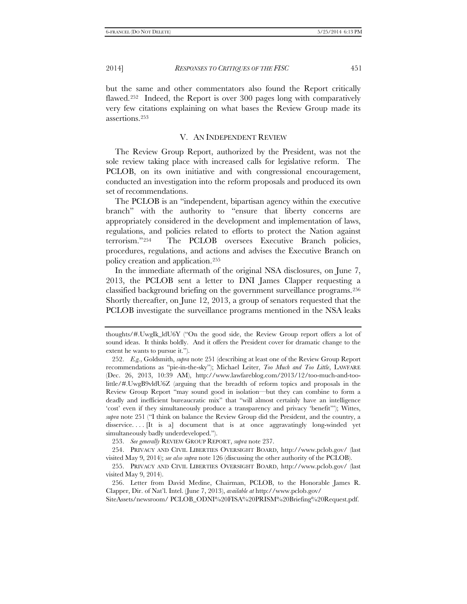but the same and other commentators also found the Report critically flawed.<sup>[252](#page-42-0)</sup> Indeed, the Report is over 300 pages long with comparatively very few citations explaining on what bases the Review Group made its assertions[.253](#page-42-1)

#### V. AN INDEPENDENT REVIEW

The Review Group Report, authorized by the President, was not the sole review taking place with increased calls for legislative reform. The PCLOB, on its own initiative and with congressional encouragement, conducted an investigation into the reform proposals and produced its own set of recommendations.

The PCLOB is an "independent, bipartisan agency within the executive branch" with the authority to "ensure that liberty concerns are appropriately considered in the development and implementation of laws, regulations, and policies related to efforts to protect the Nation against terrorism."[254](#page-42-2) The PCLOB oversees Executive Branch policies, procedures, regulations, and actions and advises the Executive Branch on policy creation and application.[255](#page-42-3)

In the immediate aftermath of the original NSA disclosures, on June 7, 2013, the PCLOB sent a letter to DNI James Clapper requesting a classified background briefing on the government surveillance programs.[256](#page-42-4)  Shortly thereafter, on June 12, 2013, a group of senators requested that the PCLOB investigate the surveillance programs mentioned in the NSA leaks

253. *See generally* REVIEW GROUP REPORT, *supra* note 237.

SiteAssets/newsroom/ PCLOB\_ODNI%20FISA%20PRISM%20Briefing%20Request.pdf.

thoughts/#.UwgIk\_ldU6Y ("On the good side, the Review Group report offers a lot of sound ideas. It thinks boldly. And it offers the President cover for dramatic change to the extent he wants to pursue it.").

<span id="page-42-0"></span><sup>252.</sup> *E.g.*, Goldsmith, *supra* note 251 (describing at least one of the Review Group Report recommendations as "pie-in-the-sky"); Michael Leiter, *Too Much and Too Little*, LAWFARE (Dec. 26, 2013, 10:39 AM), http://www.lawfareblog.com/2013/12/too-much-and-toolittle/#.UwgB9vldU6Z (arguing that the breadth of reform topics and proposals in the Review Group Report "may sound good in isolation—but they can combine to form a deadly and inefficient bureaucratic mix" that "will almost certainly have an intelligence 'cost' even if they simultaneously produce a transparency and privacy 'benefit'"); Wittes, *supra* note 251 ("I think on balance the Review Group did the President, and the country, a disservice. . . . [It is a] document that is at once aggravatingly long-winded yet simultaneously badly underdeveloped.").

<span id="page-42-2"></span><span id="page-42-1"></span><sup>254.</sup> PRIVACY AND CIVIL LIBERTIES OVERSIGHT BOARD, http://www.pclob.gov/ (last visited May 9, 2014); *see also supra* note 126 (discussing the other authority of the PCLOB).

<span id="page-42-3"></span><sup>255.</sup> PRIVACY AND CIVIL LIBERTIES OVERSIGHT BOARD, http://www.pclob.gov/ (last visited May 9, 2014).

<span id="page-42-4"></span><sup>256.</sup> Letter from David Medine, Chairman, PCLOB, to the Honorable James R. Clapper, Dir. of Nat'l. Intel. (June 7, 2013), *available at* http://www.pclob.gov/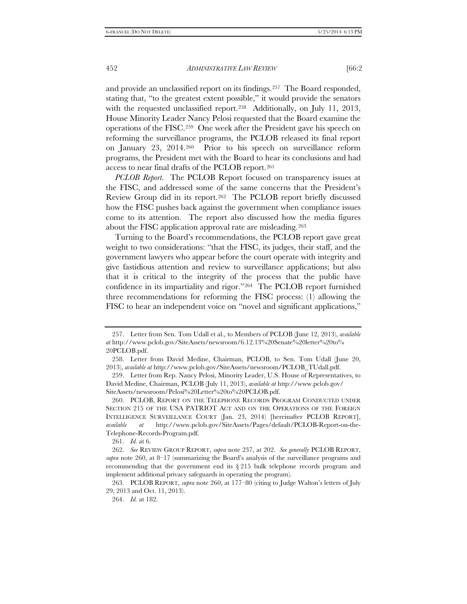and provide an unclassified report on its findings.[257](#page-43-0) The Board responded, stating that, "to the greatest extent possible," it would provide the senators with the requested unclassified report.<sup>[258](#page-43-1)</sup> Additionally, on July 11, 2013, House Minority Leader Nancy Pelosi requested that the Board examine the operations of the FISC.[259](#page-43-2) One week after the President gave his speech on reforming the surveillance programs, the PCLOB released its final report on January 23, 2014.[260](#page-43-3) Prior to his speech on surveillance reform programs, the President met with the Board to hear its conclusions and had access to near final drafts of the PCLOB report.[261](#page-43-4)

*PCLOB Report*. The PCLOB Report focused on transparency issues at the FISC, and addressed some of the same concerns that the President's Review Group did in its report.[262](#page-43-5) The PCLOB report briefly discussed how the FISC pushes back against the government when compliance issues come to its attention. The report also discussed how the media figures about the FISC application approval rate are misleading.[263](#page-43-6)

Turning to the Board's recommendations, the PCLOB report gave great weight to two considerations: "that the FISC, its judges, their staff, and the government lawyers who appear before the court operate with integrity and give fastidious attention and review to surveillance applications; but also that it is critical to the integrity of the process that the public have confidence in its impartiality and rigor."[264](#page-43-7) The PCLOB report furnished three recommendations for reforming the FISC process: (1) allowing the FISC to hear an independent voice on "novel and significant applications,"

261. *Id.* at 6.

<span id="page-43-0"></span><sup>257.</sup> Letter from Sen. Tom Udall et al., to Members of PCLOB (June 12, 2013), *available at* http://www.pclob.gov/SiteAssets/newsroom/6.12.13%20Senate%20letter%20to% 20PCLOB.pdf.

<span id="page-43-1"></span><sup>258.</sup> Letter from David Medine, Chairman, PCLOB, to Sen. Tom Udall (June 20, 2013), *available at* http://www.pclob.gov/SiteAssets/newsroom/PCLOB\_TUdall.pdf.

<span id="page-43-2"></span><sup>259.</sup> Letter from Rep. Nancy Pelosi, Minority Leader, U.S. House of Representatives, to David Medine, Chairman, PCLOB (July 11, 2013), *available at* http://www.pclob.gov/ SiteAssets/newsroom/Pelosi%20Letter%20to%20PCLOB.pdf.

<span id="page-43-3"></span><sup>260.</sup> PCLOB, REPORT ON THE TELEPHONE RECORDS PROGRAM CONDUCTED UNDER SECTION 215 OF THE USA PATRIOT ACT AND ON THE OPERATIONS OF THE FOREIGN INTELLIGENCE SURVEILLANCE COURT (Jan. 23, 2014) [hereinafter PCLOB REPORT], *available at* http://www.pclob.gov/SiteAssets/Pages/default/PCLOB-Report-on-the-Telephone-Records-Program.pdf.

<span id="page-43-5"></span><span id="page-43-4"></span><sup>262.</sup> *See* REVIEW GROUP REPORT, *supra* note 237, at 202. *See generally* PCLOB REPORT, *supra* note 260, at 8–17 (summarizing the Board's analysis of the surveillance programs and recommending that the government end its  $\S 215$  bulk telephone records program and implement additional privacy safeguards in operating the program).

<span id="page-43-7"></span><span id="page-43-6"></span><sup>263.</sup> PCLOB REPORT, *supra* note 260, at 177–80 (citing to Judge Walton's letters of July 29, 2013 and Oct. 11, 2013).

<sup>264.</sup> *Id.* at 182.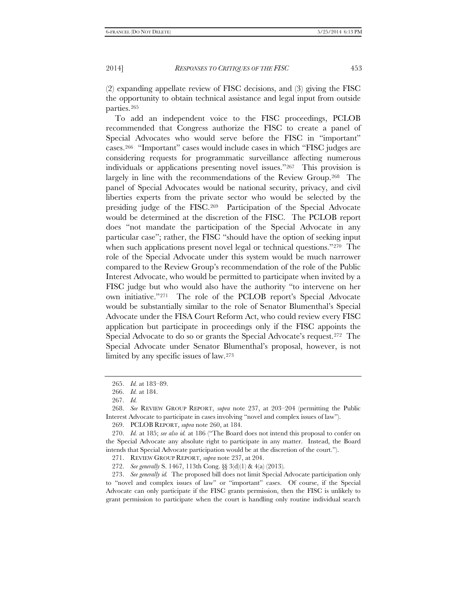(2) expanding appellate review of FISC decisions, and (3) giving the FISC the opportunity to obtain technical assistance and legal input from outside parties.[265](#page-44-0)

To add an independent voice to the FISC proceedings, PCLOB recommended that Congress authorize the FISC to create a panel of Special Advocates who would serve before the FISC in "important" cases.[266](#page-44-1) "Important" cases would include cases in which "FISC judges are considering requests for programmatic surveillance affecting numerous individuals or applications presenting novel issues."[267](#page-44-2) This provision is largely in line with the recommendations of the Review Group.[268](#page-44-3) The panel of Special Advocates would be national security, privacy, and civil liberties experts from the private sector who would be selected by the presiding judge of the FISC.[269](#page-44-4) Participation of the Special Advocate would be determined at the discretion of the FISC. The PCLOB report does "not mandate the participation of the Special Advocate in any particular case"; rather, the FISC "should have the option of seeking input when such applications present novel legal or technical questions."<sup>270</sup> The role of the Special Advocate under this system would be much narrower compared to the Review Group's recommendation of the role of the Public Interest Advocate, who would be permitted to participate when invited by a FISC judge but who would also have the authority "to intervene on her own initiative."[271](#page-44-6) The role of the PCLOB report's Special Advocate would be substantially similar to the role of Senator Blumenthal's Special Advocate under the FISA Court Reform Act, who could review every FISC application but participate in proceedings only if the FISC appoints the Special Advocate to do so or grants the Special Advocate's request.<sup>[272](#page-44-7)</sup> The Special Advocate under Senator Blumenthal's proposal, however, is not limited by any specific issues of law.[273](#page-44-8)

<span id="page-44-8"></span><span id="page-44-7"></span><span id="page-44-6"></span>273. *See generally id.* The proposed bill does not limit Special Advocate participation only to "novel and complex issues of law" or "important" cases. Of course, if the Special Advocate can only participate if the FISC grants permission, then the FISC is unlikely to grant permission to participate when the court is handling only routine individual search

<sup>265.</sup> *Id.* at 183–89.

<sup>266.</sup> *Id.* at 184.

<sup>267.</sup> *Id.*

<span id="page-44-3"></span><span id="page-44-2"></span><span id="page-44-1"></span><span id="page-44-0"></span><sup>268.</sup> *See* REVIEW GROUP REPORT, *supra* note 237, at 203–204 (permitting the Public Interest Advocate to participate in cases involving "novel and complex issues of law").

<sup>269.</sup> PCLOB REPORT, *supra* note 260, at 184.

<span id="page-44-5"></span><span id="page-44-4"></span><sup>270.</sup> *Id.* at 185; *see also id.* at 186 ("The Board does not intend this proposal to confer on the Special Advocate any absolute right to participate in any matter. Instead, the Board intends that Special Advocate participation would be at the discretion of the court.").

<sup>271.</sup> REVIEW GROUP REPORT, *supra* note 237, at 204.

<sup>272.</sup> *See generally* S. 1467, 113th Cong. §§ 3(d)(1) & 4(a) (2013).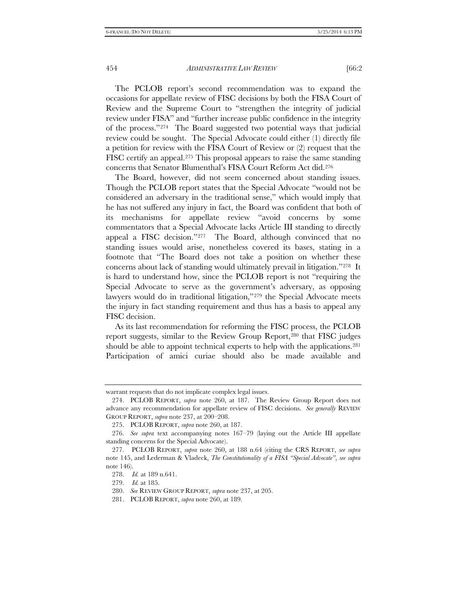The PCLOB report's second recommendation was to expand the occasions for appellate review of FISC decisions by both the FISA Court of Review and the Supreme Court to "strengthen the integrity of judicial review under FISA" and "further increase public confidence in the integrity of the process."[274](#page-45-0) The Board suggested two potential ways that judicial review could be sought. The Special Advocate could either (1) directly file a petition for review with the FISA Court of Review or (2) request that the FISC certify an appeal.<sup>[275](#page-45-1)</sup> This proposal appears to raise the same standing concerns that Senator Blumenthal's FISA Court Reform Act did[.276](#page-45-2)

The Board, however, did not seem concerned about standing issues. Though the PCLOB report states that the Special Advocate "would not be considered an adversary in the traditional sense," which would imply that he has not suffered any injury in fact, the Board was confident that both of its mechanisms for appellate review "avoid concerns by some commentators that a Special Advocate lacks Article III standing to directly appeal a FISC decision."[277](#page-45-3) The Board, although convinced that no standing issues would arise, nonetheless covered its bases, stating in a footnote that "The Board does not take a position on whether these concerns about lack of standing would ultimately prevail in litigation."[278](#page-45-4) It is hard to understand how, since the PCLOB report is not "requiring the Special Advocate to serve as the government's adversary, as opposing lawyers would do in traditional litigation,"<sup>[279](#page-45-5)</sup> the Special Advocate meets the injury in fact standing requirement and thus has a basis to appeal any FISC decision.

As its last recommendation for reforming the FISC process, the PCLOB report suggests, similar to the Review Group Report[,280](#page-45-6) that FISC judges should be able to appoint technical experts to help with the applications.<sup>281</sup> Participation of amici curiae should also be made available and

<span id="page-45-0"></span>warrant requests that do not implicate complex legal issues.

<sup>274.</sup> PCLOB REPORT, *supra* note 260, at 187. The Review Group Report does not advance any recommendation for appellate review of FISC decisions. *See generally* REVIEW GROUP REPORT, *supra* note 237, at 200–208.

<sup>275.</sup> PCLOB REPORT, *supra* note 260, at 187.

<span id="page-45-2"></span><span id="page-45-1"></span><sup>276.</sup> *See supra* text accompanying notes 167–79 (laying out the Article III appellate standing concerns for the Special Advocate).

<span id="page-45-5"></span><span id="page-45-4"></span><span id="page-45-3"></span><sup>277.</sup> PCLOB REPORT, *supra* note 260, at 188 n.64 (citing the CRS REPORT, *see supra* note 145, and Lederman & Vladeck, *The Constitutionality of a FISA "Special Advocate"*, *see supra* note 146).

<sup>278.</sup> *Id.* at 189 n.641.

<sup>279.</sup> *Id.* at 185.

<span id="page-45-6"></span><sup>280.</sup> *See* REVIEW GROUP REPORT, *supra* note 237, at 205.

<span id="page-45-7"></span><sup>281.</sup> PCLOB REPORT, *supra* note 260, at 189.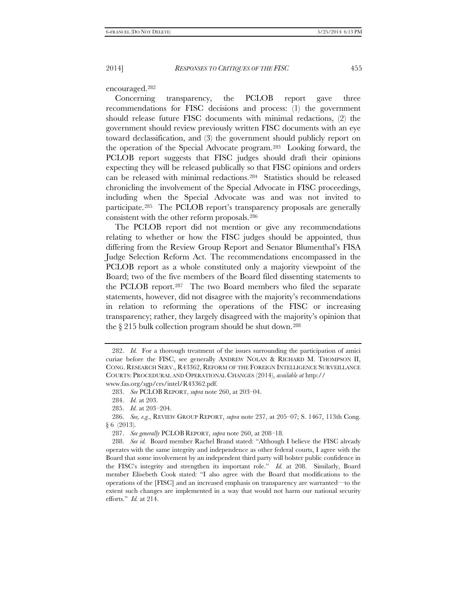encouraged.[282](#page-46-0)

Concerning transparency, the PCLOB report gave three recommendations for FISC decisions and process: (1) the government should release future FISC documents with minimal redactions, (2) the government should review previously written FISC documents with an eye toward declassification, and (3) the government should publicly report on the operation of the Special Advocate program.[283](#page-46-1) Looking forward, the PCLOB report suggests that FISC judges should draft their opinions expecting they will be released publically so that FISC opinions and orders can be released with minimal redactions.[284](#page-46-2) Statistics should be released chronicling the involvement of the Special Advocate in FISC proceedings, including when the Special Advocate was and was not invited to participate.[285](#page-46-3) The PCLOB report's transparency proposals are generally consistent with the other reform proposals[.286](#page-46-4)

The PCLOB report did not mention or give any recommendations relating to whether or how the FISC judges should be appointed, thus differing from the Review Group Report and Senator Blumenthal's FISA Judge Selection Reform Act. The recommendations encompassed in the PCLOB report as a whole constituted only a majority viewpoint of the Board; two of the five members of the Board filed dissenting statements to the PCLOB report.[287](#page-46-5) The two Board members who filed the separate statements, however, did not disagree with the majority's recommendations in relation to reforming the operations of the FISC or increasing transparency; rather, they largely disagreed with the majority's opinion that the § 215 bulk collection program should be shut down.[288](#page-46-6)

<span id="page-46-0"></span><sup>282.</sup> *Id.* For a thorough treatment of the issues surrounding the participation of amici curiae before the FISC, see generally ANDREW NOLAN & RICHARD M. THOMPSON II, CONG. RESEARCH SERV., R43362, REFORM OF THE FOREIGN INTELLIGENCE SURVEILLANCE COURTS: PROCEDURAL AND OPERATIONAL CHANGES (2014), *available at* http:// www.fas.org/sgp/crs/intel/R43362.pdf.

<sup>283.</sup> *See* PCLOB REPORT, *supra* note 260, at 203–04.

<sup>284.</sup> *Id.* at 203.

<sup>285.</sup> *Id.* at 203–204.

<span id="page-46-4"></span><span id="page-46-3"></span><span id="page-46-2"></span><span id="page-46-1"></span><sup>286.</sup> *See, e.g.*, REVIEW GROUP REPORT, *supra* note 237, at 205–07; S. 1467, 113th Cong. § 6 (2013).

<sup>287.</sup> *See generally* PCLOB REPORT, *supra* note 260, at 208–18.

<span id="page-46-6"></span><span id="page-46-5"></span><sup>288.</sup> *See id.* Board member Rachel Brand stated: "Although I believe the FISC already operates with the same integrity and independence as other federal courts, I agree with the Board that some involvement by an independent third party will bolster public confidence in the FISC's integrity and strengthen its important role." *Id.* at 208. Similarly, Board member Elisebeth Cook stated: "I also agree with the Board that modifications to the operations of the [FISC] and an increased emphasis on transparency are warranted—to the extent such changes are implemented in a way that would not harm our national security efforts." *Id.* at 214.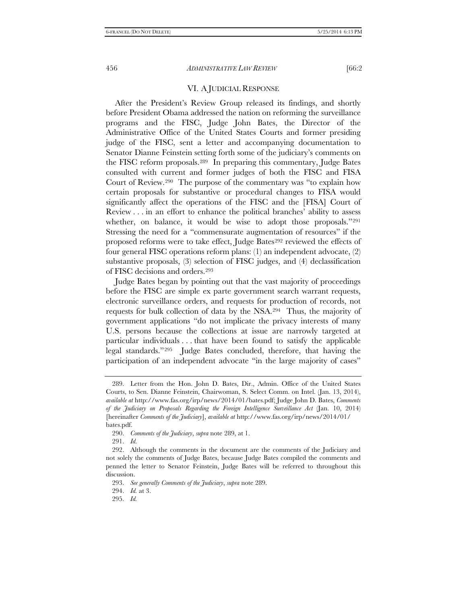# VI. A JUDICIAL RESPONSE

After the President's Review Group released its findings, and shortly before President Obama addressed the nation on reforming the surveillance programs and the FISC, Judge John Bates, the Director of the Administrative Office of the United States Courts and former presiding judge of the FISC, sent a letter and accompanying documentation to Senator Dianne Feinstein setting forth some of the judiciary's comments on the FISC reform proposals.[289](#page-47-0) In preparing this commentary, Judge Bates consulted with current and former judges of both the FISC and FISA Court of Review.[290](#page-47-1) The purpose of the commentary was "to explain how certain proposals for substantive or procedural changes to FISA would significantly affect the operations of the FISC and the [FISA] Court of Review . . . in an effort to enhance the political branches' ability to assess whether, on balance, it would be wise to adopt those proposals."291 Stressing the need for a "commensurate augmentation of resources" if the proposed reforms were to take effect, Judge Bates<sup>[292](#page-47-3)</sup> reviewed the effects of four general FISC operations reform plans: (1) an independent advocate, (2) substantive proposals, (3) selection of FISC judges, and (4) declassification of FISC decisions and orders[.293](#page-47-4)

Judge Bates began by pointing out that the vast majority of proceedings before the FISC are simple ex parte government search warrant requests, electronic surveillance orders, and requests for production of records, not requests for bulk collection of data by the NSA[.294](#page-47-5) Thus, the majority of government applications "do not implicate the privacy interests of many U.S. persons because the collections at issue are narrowly targeted at particular individuals . . . that have been found to satisfy the applicable legal standards."[295](#page-47-6) Judge Bates concluded, therefore, that having the participation of an independent advocate "in the large majority of cases"

<span id="page-47-0"></span><sup>289.</sup> Letter from the Hon. John D. Bates, Dir., Admin. Office of the United States Courts, to Sen. Dianne Feinstein, Chairwoman, S. Select Comm. on Intel. (Jan. 13, 2014), *available at* http://www.fas.org/irp/news/2014/01/bates.pdf; Judge John D. Bates, *Comments of the Judiciary on Proposals Regarding the Foreign Intelligence Surveillance Act* (Jan. 10, 2014) [hereinafter *Comments of the Judiciary*], *available at* http://www.fas.org/irp/news/2014/01/ bates.pdf.

<sup>290.</sup> *Comments of the Judiciary*, *supra* note 289, at 1.

<sup>291.</sup> *Id.*

<span id="page-47-4"></span><span id="page-47-3"></span><span id="page-47-2"></span><span id="page-47-1"></span><sup>292.</sup> Although the comments in the document are the comments of the Judiciary and not solely the comments of Judge Bates, because Judge Bates compiled the comments and penned the letter to Senator Feinstein, Judge Bates will be referred to throughout this discussion.

<sup>293.</sup> *See generally Comments of the Judiciary*, *supra* note 289.

<span id="page-47-5"></span><sup>294.</sup> *Id.* at 3.

<span id="page-47-6"></span><sup>295.</sup> *Id.*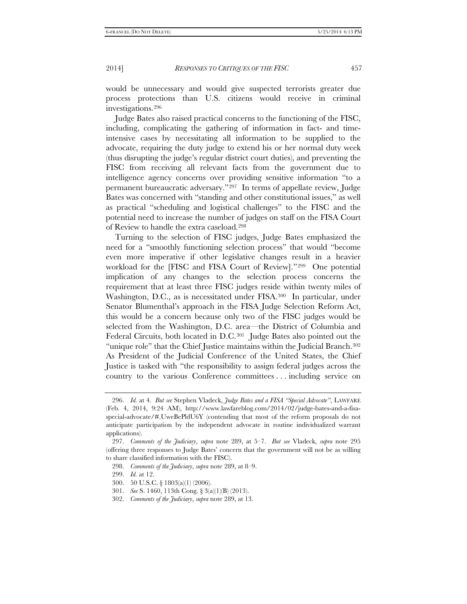would be unnecessary and would give suspected terrorists greater due process protections than U.S. citizens would receive in criminal investigations.[296](#page-48-0)

Judge Bates also raised practical concerns to the functioning of the FISC, including, complicating the gathering of information in fact- and timeintensive cases by necessitating all information to be supplied to the advocate, requiring the duty judge to extend his or her normal duty week (thus disrupting the judge's regular district court duties), and preventing the FISC from receiving all relevant facts from the government due to intelligence agency concerns over providing sensitive information "to a permanent bureaucratic adversary."[297](#page-48-1) In terms of appellate review, Judge Bates was concerned with "standing and other constitutional issues," as well as practical "scheduling and logistical challenges" to the FISC and the potential need to increase the number of judges on staff on the FISA Court of Review to handle the extra caseload[.298](#page-48-2)

Turning to the selection of FISC judges, Judge Bates emphasized the need for a "smoothly functioning selection process" that would "become even more imperative if other legislative changes result in a heavier workload for the [FISC and FISA Court of Review]."[299](#page-48-3) One potential implication of any changes to the selection process concerns the requirement that at least three FISC judges reside within twenty miles of Washington, D.C., as is necessitated under FISA.<sup>300</sup> In particular, under Senator Blumenthal's approach in the FISA Judge Selection Reform Act, this would be a concern because only two of the FISC judges would be selected from the Washington, D.C. area—the District of Columbia and Federal Circuits, both located in D.C.[301](#page-48-5) Judge Bates also pointed out the "unique role" that the Chief Justice maintains within the Judicial Branch[.302](#page-48-6)  As President of the Judicial Conference of the United States, the Chief Justice is tasked with "the responsibility to assign federal judges across the country to the various Conference committees . . . including service on

<span id="page-48-0"></span><sup>296.</sup> *Id.* at 4. *But see* Stephen Vladeck, *Judge Bates and a FISA "Special Advocate"*, LAWFARE (Feb. 4, 2014, 9:24 AM), http://www.lawfareblog.com/2014/02/judge-bates-and-a-fisaspecial-advocate/#.UweBePldU6Y (contending that most of the reform proposals do not anticipate participation by the independent advocate in routine individualized warrant applications).

<span id="page-48-3"></span><span id="page-48-2"></span><span id="page-48-1"></span><sup>297.</sup> *Comments of the Judiciary*, *supra* note 289, at 5–7. *But see* Vladeck, *supra* note 295 (offering three responses to Judge Bates' concern that the government will not be as willing to share classified information with the FISC).

<sup>298.</sup> *Comments of the Judiciary*, *supra* note 289, at 8–9.

<sup>299.</sup> *Id.* at 12.

<span id="page-48-4"></span><sup>300.</sup> 50 U.S.C. § 1803(a)(1) (2006).

<sup>301.</sup> *See* S. 1460, 113th Cong. § 3(a)(1)(B) (2013).

<span id="page-48-6"></span><span id="page-48-5"></span><sup>302.</sup> *Comments of the Judiciary*, *supra* note 289, at 13.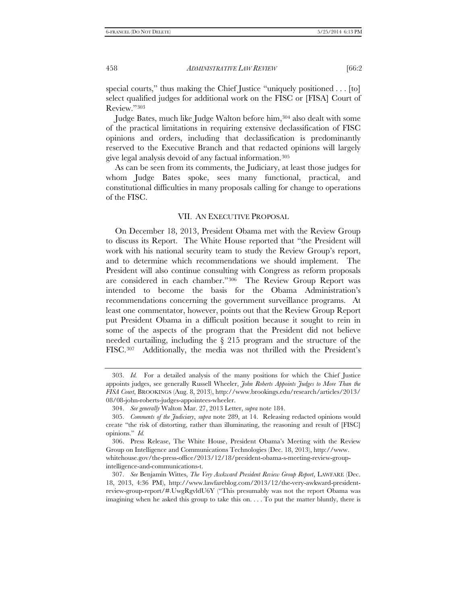special courts," thus making the Chief Justice "uniquely positioned . . . [to] select qualified judges for additional work on the FISC or [FISA] Court of Review."[303](#page-49-0)

Judge Bates, much like Judge Walton before him,[304](#page-49-1) also dealt with some of the practical limitations in requiring extensive declassification of FISC opinions and orders, including that declassification is predominantly reserved to the Executive Branch and that redacted opinions will largely give legal analysis devoid of any factual information.[305](#page-49-2)

As can be seen from its comments, the Judiciary, at least those judges for whom Judge Bates spoke, sees many functional, practical, and constitutional difficulties in many proposals calling for change to operations of the FISC.

#### VII. AN EXECUTIVE PROPOSAL

On December 18, 2013, President Obama met with the Review Group to discuss its Report. The White House reported that "the President will work with his national security team to study the Review Group's report, and to determine which recommendations we should implement. The President will also continue consulting with Congress as reform proposals are considered in each chamber."[306](#page-49-3) The Review Group Report was intended to become the basis for the Obama Administration's recommendations concerning the government surveillance programs. At least one commentator, however, points out that the Review Group Report put President Obama in a difficult position because it sought to rein in some of the aspects of the program that the President did not believe needed curtailing, including the § 215 program and the structure of the FISC.[307](#page-49-4) Additionally, the media was not thrilled with the President's

<span id="page-49-0"></span><sup>303.</sup> *Id.* For a detailed analysis of the many positions for which the Chief Justice appoints judges, see generally Russell Wheeler, *John Roberts Appoints Judges to More Than the FISA Court*, BROOKINGS (Aug. 8, 2013), http://www.brookings.edu/research/articles/2013/ 08/08-john-roberts-judges-appointees-wheeler.

<sup>304.</sup> *See generally* Walton Mar. 27, 2013 Letter, *supra* note 184.

<span id="page-49-2"></span><span id="page-49-1"></span><sup>305.</sup> *Comments of the Judiciary*, *supra* note 289, at 14. Releasing redacted opinions would create "the risk of distorting, rather than illuminating, the reasoning and result of [FISC] opinions." *Id.*

<span id="page-49-3"></span><sup>306.</sup> Press Release, The White House, President Obama's Meeting with the Review Group on Intelligence and Communications Technologies (Dec. 18, 2013), http://www. whitehouse.gov/the-press-office/2013/12/18/president-obama-s-meeting-review-groupintelligence-and-communications-t.

<span id="page-49-4"></span><sup>307.</sup> *See* Benjamin Wittes, *The Very Awkward President Review Group Report*, LAWFARE (Dec. 18, 2013, 4:36 PM), http://www.lawfareblog.com/2013/12/the-very-awkward-presidentreview-group-report/#.UwgRgvldU6Y ("This presumably was not the report Obama was imagining when he asked this group to take this on. . . . To put the matter bluntly, there is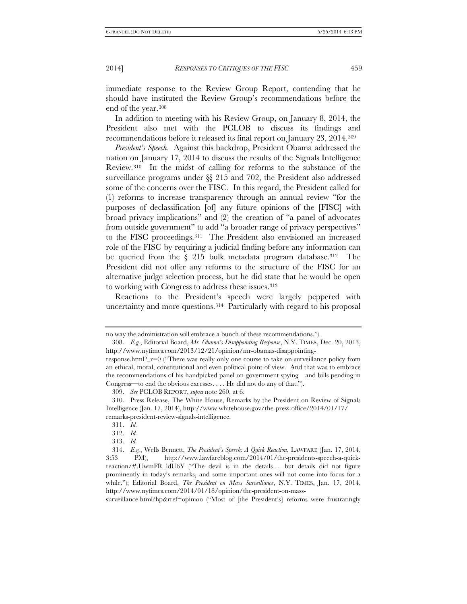immediate response to the Review Group Report, contending that he should have instituted the Review Group's recommendations before the end of the year.[308](#page-50-0)

In addition to meeting with his Review Group, on January 8, 2014, the President also met with the PCLOB to discuss its findings and recommendations before it released its final report on January 23, 2014[.309](#page-50-1)

*President's Speech*. Against this backdrop, President Obama addressed the nation on January 17, 2014 to discuss the results of the Signals Intelligence Review.[310](#page-50-2) In the midst of calling for reforms to the substance of the surveillance programs under §§ 215 and 702, the President also addressed some of the concerns over the FISC. In this regard, the President called for (1) reforms to increase transparency through an annual review "for the purposes of declassification [of] any future opinions of the [FISC] with broad privacy implications" and (2) the creation of "a panel of advocates from outside government" to add "a broader range of privacy perspectives" to the FISC proceedings.[311](#page-50-3) The President also envisioned an increased role of the FISC by requiring a judicial finding before any information can be queried from the § 215 bulk metadata program database.<sup>312</sup> The President did not offer any reforms to the structure of the FISC for an alternative judge selection process, but he did state that he would be open to working with Congress to address these issues.<sup>[313](#page-50-5)</sup>

Reactions to the President's speech were largely peppered with uncertainty and more questions.[314](#page-50-6) Particularly with regard to his proposal

<span id="page-50-0"></span>no way the administration will embrace a bunch of these recommendations.").

<sup>308.</sup> *E.g.*, Editorial Board, *Mr. Obama's Disappointing Response*, N.Y. TIMES, Dec. 20, 2013, http://www.nytimes.com/2013/12/21/opinion/mr-obamas-disappointing-

response.html?\_r=0 ("There was really only one course to take on surveillance policy from an ethical, moral, constitutional and even political point of view. And that was to embrace the recommendations of his handpicked panel on government spying—and bills pending in Congress—to end the obvious excesses. . . . He did not do any of that.").

<sup>309.</sup> *See* PCLOB REPORT, *supra* note 260, at 6.

<span id="page-50-3"></span><span id="page-50-2"></span><span id="page-50-1"></span><sup>310.</sup> Press Release, The White House, Remarks by the President on Review of Signals Intelligence (Jan. 17, 2014), http://www.whitehouse.gov/the-press-office/2014/01/17/ remarks-president-review-signals-intelligence.

<sup>311.</sup> *Id.*

<sup>312.</sup> *Id.*

<sup>313.</sup> *Id.*

<span id="page-50-6"></span><span id="page-50-5"></span><span id="page-50-4"></span><sup>314.</sup> *E.g.*, Wells Bennett, *The President's Speech: A Quick Reaction*, LAWFARE (Jan. 17, 2014, 3:53 PM), http://www.lawfareblog.com/2014/01/the-presidents-speech-a-quickreaction/#.UwmFR\_ldU6Y ("The devil is in the details . . . but details did not figure prominently in today's remarks, and some important ones will not come into focus for a while."); Editorial Board, *The President on Mass Surveillance*, N.Y. TIMES, Jan. 17, 2014, http://www.nytimes.com/2014/01/18/opinion/the-president-on-mass-

surveillance.html?hp&rref=opinion ("Most of [the President's] reforms were frustratingly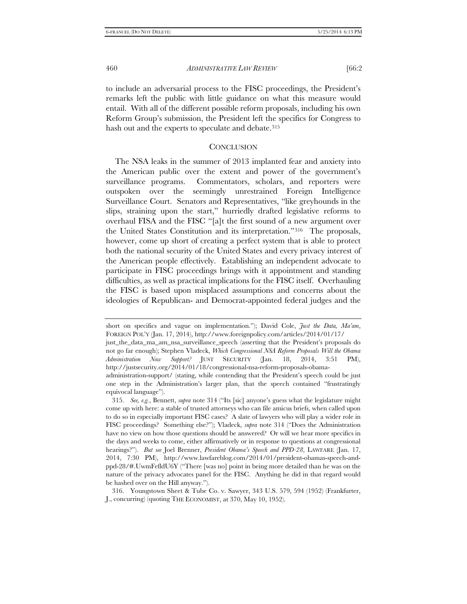to include an adversarial process to the FISC proceedings, the President's remarks left the public with little guidance on what this measure would entail. With all of the different possible reform proposals, including his own Reform Group's submission, the President left the specifics for Congress to hash out and the experts to speculate and debate.<sup>[315](#page-51-0)</sup>

#### **CONCLUSION**

The NSA leaks in the summer of 2013 implanted fear and anxiety into the American public over the extent and power of the government's surveillance programs. Commentators, scholars, and reporters were outspoken over the seemingly unrestrained Foreign Intelligence Surveillance Court. Senators and Representatives, "like greyhounds in the slips, straining upon the start," hurriedly drafted legislative reforms to overhaul FISA and the FISC "[a]t the first sound of a new argument over the United States Constitution and its interpretation."[316](#page-51-1) The proposals, however, come up short of creating a perfect system that is able to protect both the national security of the United States and every privacy interest of the American people effectively. Establishing an independent advocate to participate in FISC proceedings brings with it appointment and standing difficulties, as well as practical implications for the FISC itself. Overhauling the FISC is based upon misplaced assumptions and concerns about the ideologies of Republican- and Democrat-appointed federal judges and the

<span id="page-51-1"></span>316. Youngstown Sheet & Tube Co. v. Sawyer, 343 U.S. 579, 594 (1952) (Frankfurter, J., concurring) (quoting THE ECONOMIST, at 370, May 10, 1952).

short on specifics and vague on implementation."); David Cole, *Just the Data, Ma'am*, FOREIGN POL'Y (Jan. 17, 2014), http://www.foreignpolicy.com/articles/2014/01/17/

just\_the\_data\_ma\_am\_nsa\_surveillance\_speech (asserting that the President's proposals do not go far enough); Stephen Vladeck, *Which Congressional NSA Reform Proposals Will the Obama Administration Now Support?* JUST SECURITY (Jan. 18, 2014, 3:51 PM), http://justsecurity.org/2014/01/18/congressional-nsa-reform-proposals-obama-

administration-support/ (stating, while contending that the President's speech could be just one step in the Administration's larger plan, that the speech contained "frustratingly equivocal language").

<span id="page-51-0"></span><sup>315.</sup> *See, e.g.*, Bennett, *supra* note 314 ("Its [sic] anyone's guess what the legislature might come up with here: a stable of trusted attorneys who can file amicus briefs, when called upon to do so in especially important FISC cases? A slate of lawyers who will play a wider role in FISC proceedings? Something else?"); Vladeck, *supra* note 314 ("Does the Administration have no view on how those questions should be answered? Or will we hear more specifics in the days and weeks to come, either affirmatively or in response to questions at congressional hearings?"). *But see* Joel Brenner, *President Obama's Speech and PPD-28*, LAWFARE (Jan. 17, 2014, 7:30 PM), http://www.lawfareblog.com/2014/01/president-obamas-speech-andppd-28/#.UwmFefldU6Y ("There [was no] point in being more detailed than he was on the nature of the privacy advocates panel for the FISC. Anything he did in that regard would be hashed over on the Hill anyway.").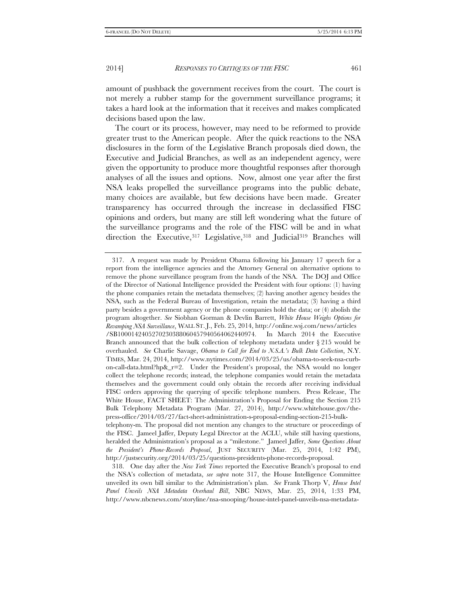amount of pushback the government receives from the court. The court is not merely a rubber stamp for the government surveillance programs; it takes a hard look at the information that it receives and makes complicated decisions based upon the law.

The court or its process, however, may need to be reformed to provide greater trust to the American people. After the quick reactions to the NSA disclosures in the form of the Legislative Branch proposals died down, the Executive and Judicial Branches, as well as an independent agency, were given the opportunity to produce more thoughtful responses after thorough analyses of all the issues and options. Now, almost one year after the first NSA leaks propelled the surveillance programs into the public debate, many choices are available, but few decisions have been made. Greater transparency has occurred through the increase in declassified FISC opinions and orders, but many are still left wondering what the future of the surveillance programs and the role of the FISC will be and in what direction the Executive,[317](#page-52-0) Legislative,[318](#page-52-1) and Judicial[319](#page-52-2) Branches will

<span id="page-52-0"></span><sup>317.</sup> A request was made by President Obama following his January 17 speech for a report from the intelligence agencies and the Attorney General on alternative options to remove the phone surveillance program from the hands of the NSA. The DOJ and Office of the Director of National Intelligence provided the President with four options: (1) having the phone companies retain the metadata themselves; (2) having another agency besides the NSA, such as the Federal Bureau of Investigation, retain the metadata; (3) having a third party besides a government agency or the phone companies hold the data; or (4) abolish the program altogether. *See* Siobhan Gorman & Devlin Barrett, *White House Weighs Options for Revamping NSA Surveillance*, WALL ST. J., Feb. 25, 2014, http://online.wsj.com/news/articles /SB1000142405270230388060457940564062440974. In March 2014 the Executive Branch announced that the bulk collection of telephony metadata under § 215 would be overhauled. *See* Charlie Savage, *Obama to Call for End to N.S.A.'s Bulk Data Collection*, N.Y. TIMES, Mar. 24, 2014, http://www.nytimes.com/2014/03/25/us/obama-to-seek-nsa-curbon-call-data.html?hp&\_r=2. Under the President's proposal, the NSA would no longer collect the telephone records; instead, the telephone companies would retain the metadata themselves and the government could only obtain the records after receiving individual FISC orders approving the querying of specific telephone numbers. Press Release, The White House, FACT SHEET: The Administration's Proposal for Ending the Section 215 Bulk Telephony Metadata Program (Mar. 27, 2014), http://www.whitehouse.gov/thepress-office/2014/03/27/fact-sheet-administration-s-proposal-ending-section-215-bulktelephony-m. The proposal did not mention any changes to the structure or proceedings of the FISC. Jameel Jaffer, Deputy Legal Director at the ACLU, while still having questions, heralded the Administration's proposal as a "milestone." Jameel Jaffer, *Some Questions About* 

*the President's Phone-Records Proposal*, JUST SECURITY (Mar. 25, 2014, 1:42 PM), http://justsecurity.org/2014/03/25/questions-presidents-phone-records-proposal. 318. One day after the *New York Times* reported the Executive Branch's proposal to end

<span id="page-52-2"></span><span id="page-52-1"></span>the NSA's collection of metadata, *see supra* note 317, the House Intelligence Committee unveiled its own bill similar to the Administration's plan. *See* Frank Thorp V, *House Intel Panel Unveils NSA Metadata Overhaul Bill*, NBC NEWS, Mar. 25, 2014, 1:33 PM, http://www.nbcnews.com/storyline/nsa-snooping/house-intel-panel-unveils-nsa-metadata-